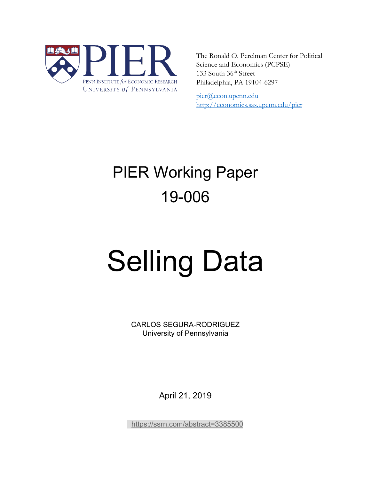

The Ronald O. Perelman Center for Political Science and Economics (PCPSE) 133 South 36<sup>th</sup> Street Philadelphia, PA 19104-6297

pier@econ.upenn.edu <http://economics.sas.upenn.edu/pier>

# PIER Working Paper 19-006

# Selling Data

CARLOS SEGURA-RODRIGUEZ University of Pennsylvania

April 21, 2019

<https://ssrn.com/abstract=3385500>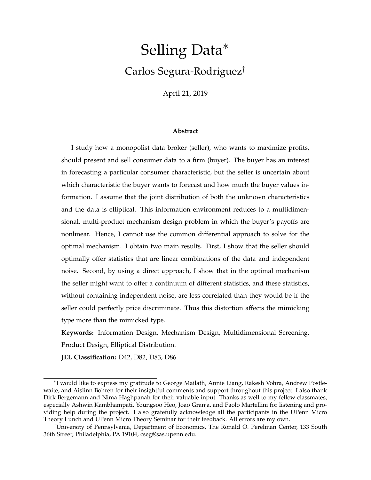# Selling Data<sup>∗</sup> Carlos Segura-Rodriguez†

April 21, 2019

#### **Abstract**

I study how a monopolist data broker (seller), who wants to maximize profits, should present and sell consumer data to a firm (buyer). The buyer has an interest in forecasting a particular consumer characteristic, but the seller is uncertain about which characteristic the buyer wants to forecast and how much the buyer values information. I assume that the joint distribution of both the unknown characteristics and the data is elliptical. This information environment reduces to a multidimensional, multi-product mechanism design problem in which the buyer's payoffs are nonlinear. Hence, I cannot use the common differential approach to solve for the optimal mechanism. I obtain two main results. First, I show that the seller should optimally offer statistics that are linear combinations of the data and independent noise. Second, by using a direct approach, I show that in the optimal mechanism the seller might want to offer a continuum of different statistics, and these statistics, without containing independent noise, are less correlated than they would be if the seller could perfectly price discriminate. Thus this distortion affects the mimicking type more than the mimicked type.

**Keywords:** Information Design, Mechanism Design, Multidimensional Screening, Product Design, Elliptical Distribution.

**JEL Classification:** D42, D82, D83, D86.

<sup>∗</sup> I would like to express my gratitude to George Mailath, Annie Liang, Rakesh Vohra, Andrew Postlewaite, and Aislinn Bohren for their insightful comments and support throughout this project. I also thank Dirk Bergemann and Nima Haghpanah for their valuable input. Thanks as well to my fellow classmates, especially Ashwin Kambhampati, Youngsoo Heo, Joao Granja, and Paolo Martellini for listening and providing help during the project. I also gratefully acknowledge all the participants in the UPenn Micro Theory Lunch and UPenn Micro Theory Seminar for their feedback. All errors are my own.

<sup>†</sup>University of Pennsylvania, Department of Economics, The Ronald O. Perelman Center, 133 South 36th Street; Philadelphia, PA 19104, cseg@sas.upenn.edu.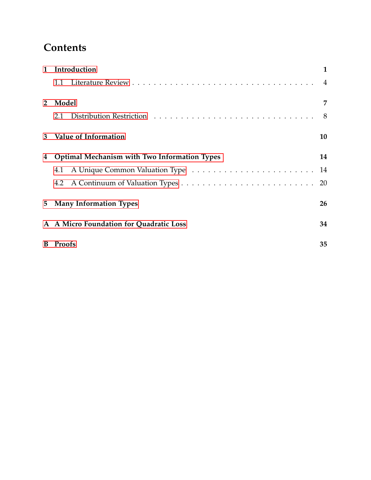# **Contents**

| $\mathbf{1}$ | Introduction                                        |                |  |  |  |
|--------------|-----------------------------------------------------|----------------|--|--|--|
|              | 1.1                                                 | $\overline{4}$ |  |  |  |
| $2^{\circ}$  | Model                                               |                |  |  |  |
|              | 2.1                                                 | 8              |  |  |  |
| 3            | Value of Information                                | 10             |  |  |  |
| 4            | <b>Optimal Mechanism with Two Information Types</b> | 14             |  |  |  |
|              | 4.1                                                 | 14             |  |  |  |
|              | 4.2                                                 | 20             |  |  |  |
| 5            | <b>Many Information Types</b>                       |                |  |  |  |
|              | A A Micro Foundation for Quadratic Loss             |                |  |  |  |
| B            | <b>Proofs</b>                                       |                |  |  |  |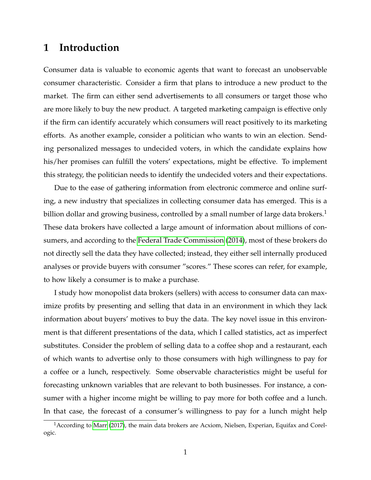# <span id="page-3-0"></span>**1 Introduction**

Consumer data is valuable to economic agents that want to forecast an unobservable consumer characteristic. Consider a firm that plans to introduce a new product to the market. The firm can either send advertisements to all consumers or target those who are more likely to buy the new product. A targeted marketing campaign is effective only if the firm can identify accurately which consumers will react positively to its marketing efforts. As another example, consider a politician who wants to win an election. Sending personalized messages to undecided voters, in which the candidate explains how his/her promises can fulfill the voters' expectations, might be effective. To implement this strategy, the politician needs to identify the undecided voters and their expectations.

Due to the ease of gathering information from electronic commerce and online surfing, a new industry that specializes in collecting consumer data has emerged. This is a billion dollar and growing business, controlled by a small number of large data brokers.<sup>1</sup> These data brokers have collected a large amount of information about millions of consumers, and according to the [Federal Trade Commission](#page-35-0) [\(2014\)](#page-35-0), most of these brokers do not directly sell the data they have collected; instead, they either sell internally produced analyses or provide buyers with consumer "scores." These scores can refer, for example, to how likely a consumer is to make a purchase.

I study how monopolist data brokers (sellers) with access to consumer data can maximize profits by presenting and selling that data in an environment in which they lack information about buyers' motives to buy the data. The key novel issue in this environment is that different presentations of the data, which I called statistics, act as imperfect substitutes. Consider the problem of selling data to a coffee shop and a restaurant, each of which wants to advertise only to those consumers with high willingness to pay for a coffee or a lunch, respectively. Some observable characteristics might be useful for forecasting unknown variables that are relevant to both businesses. For instance, a consumer with a higher income might be willing to pay more for both coffee and a lunch. In that case, the forecast of a consumer's willingness to pay for a lunch might help

<sup>&</sup>lt;sup>1</sup> According to [Marr](#page-35-1) [\(2017\)](#page-35-1), the main data brokers are Acxiom, Nielsen, Experian, Equifax and Corelogic.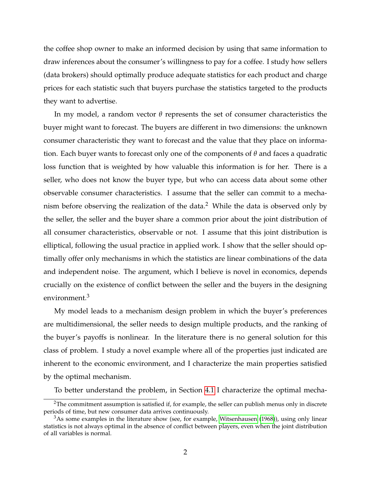the coffee shop owner to make an informed decision by using that same information to draw inferences about the consumer's willingness to pay for a coffee. I study how sellers (data brokers) should optimally produce adequate statistics for each product and charge prices for each statistic such that buyers purchase the statistics targeted to the products they want to advertise.

In my model, a random vector *θ* represents the set of consumer characteristics the buyer might want to forecast. The buyers are different in two dimensions: the unknown consumer characteristic they want to forecast and the value that they place on information. Each buyer wants to forecast only one of the components of *θ* and faces a quadratic loss function that is weighted by how valuable this information is for her. There is a seller, who does not know the buyer type, but who can access data about some other observable consumer characteristics. I assume that the seller can commit to a mechanism before observing the realization of the data.<sup>2</sup> While the data is observed only by the seller, the seller and the buyer share a common prior about the joint distribution of all consumer characteristics, observable or not. I assume that this joint distribution is elliptical, following the usual practice in applied work. I show that the seller should optimally offer only mechanisms in which the statistics are linear combinations of the data and independent noise. The argument, which I believe is novel in economics, depends crucially on the existence of conflict between the seller and the buyers in the designing environment.<sup>3</sup>

My model leads to a mechanism design problem in which the buyer's preferences are multidimensional, the seller needs to design multiple products, and the ranking of the buyer's payoffs is nonlinear. In the literature there is no general solution for this class of problem. I study a novel example where all of the properties just indicated are inherent to the economic environment, and I characterize the main properties satisfied by the optimal mechanism.

To better understand the problem, in Section [4.1](#page-22-1) I characterize the optimal mecha-

<sup>2</sup>The commitment assumption is satisfied if, for example, the seller can publish menus only in discrete periods of time, but new consumer data arrives continuously.

 $3$ As some examples in the literature show (see, for example, [Witsenhausen](#page-36-1) [\(1968\)](#page-36-1)), using only linear statistics is not always optimal in the absence of conflict between players, even when the joint distribution of all variables is normal.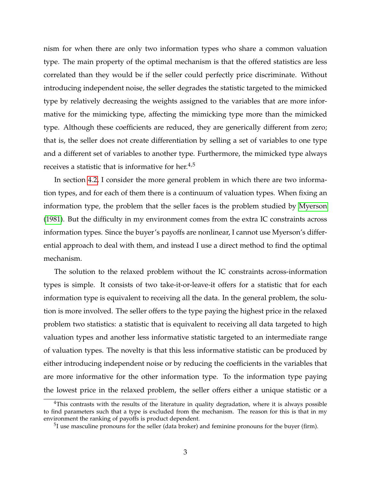nism for when there are only two information types who share a common valuation type. The main property of the optimal mechanism is that the offered statistics are less correlated than they would be if the seller could perfectly price discriminate. Without introducing independent noise, the seller degrades the statistic targeted to the mimicked type by relatively decreasing the weights assigned to the variables that are more informative for the mimicking type, affecting the mimicking type more than the mimicked type. Although these coefficients are reduced, they are generically different from zero; that is, the seller does not create differentiation by selling a set of variables to one type and a different set of variables to another type. Furthermore, the mimicked type always receives a statistic that is informative for her. $4.5$ 

In section [4.2,](#page-28-1) I consider the more general problem in which there are two information types, and for each of them there is a continuum of valuation types. When fixing an information type, the problem that the seller faces is the problem studied by [Myerson](#page-36-2) [\(1981\)](#page-36-2). But the difficulty in my environment comes from the extra IC constraints across information types. Since the buyer's payoffs are nonlinear, I cannot use Myerson's differential approach to deal with them, and instead I use a direct method to find the optimal mechanism.

The solution to the relaxed problem without the IC constraints across-information types is simple. It consists of two take-it-or-leave-it offers for a statistic that for each information type is equivalent to receiving all the data. In the general problem, the solution is more involved. The seller offers to the type paying the highest price in the relaxed problem two statistics: a statistic that is equivalent to receiving all data targeted to high valuation types and another less informative statistic targeted to an intermediate range of valuation types. The novelty is that this less informative statistic can be produced by either introducing independent noise or by reducing the coefficients in the variables that are more informative for the other information type. To the information type paying the lowest price in the relaxed problem, the seller offers either a unique statistic or a

<sup>&</sup>lt;sup>4</sup>This contrasts with the results of the literature in quality degradation, where it is always possible to find parameters such that a type is excluded from the mechanism. The reason for this is that in my environment the ranking of payoffs is product dependent.

 $5$ I use masculine pronouns for the seller (data broker) and feminine pronouns for the buyer (firm).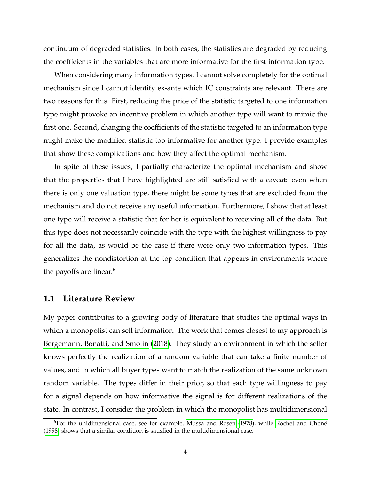continuum of degraded statistics. In both cases, the statistics are degraded by reducing the coefficients in the variables that are more informative for the first information type.

When considering many information types, I cannot solve completely for the optimal mechanism since I cannot identify ex-ante which IC constraints are relevant. There are two reasons for this. First, reducing the price of the statistic targeted to one information type might provoke an incentive problem in which another type will want to mimic the first one. Second, changing the coefficients of the statistic targeted to an information type might make the modified statistic too informative for another type. I provide examples that show these complications and how they affect the optimal mechanism.

In spite of these issues, I partially characterize the optimal mechanism and show that the properties that I have highlighted are still satisfied with a caveat: even when there is only one valuation type, there might be some types that are excluded from the mechanism and do not receive any useful information. Furthermore, I show that at least one type will receive a statistic that for her is equivalent to receiving all of the data. But this type does not necessarily coincide with the type with the highest willingness to pay for all the data, as would be the case if there were only two information types. This generalizes the nondistortion at the top condition that appears in environments where the payoffs are linear.<sup>6</sup>

#### <span id="page-6-0"></span>**1.1 Literature Review**

My paper contributes to a growing body of literature that studies the optimal ways in which a monopolist can sell information. The work that comes closest to my approach is [Bergemann, Bonatti, and Smolin](#page-35-2) [\(2018\)](#page-35-2). They study an environment in which the seller knows perfectly the realization of a random variable that can take a finite number of values, and in which all buyer types want to match the realization of the same unknown random variable. The types differ in their prior, so that each type willingness to pay for a signal depends on how informative the signal is for different realizations of the state. In contrast, I consider the problem in which the monopolist has multidimensional

 $6$ For the unidimensional case, see for example, [Mussa and Rosen](#page-35-3) [\(1978\)](#page-35-3), while Rochet and Choné [\(1998\)](#page-36-3) shows that a similar condition is satisfied in the multidimensional case.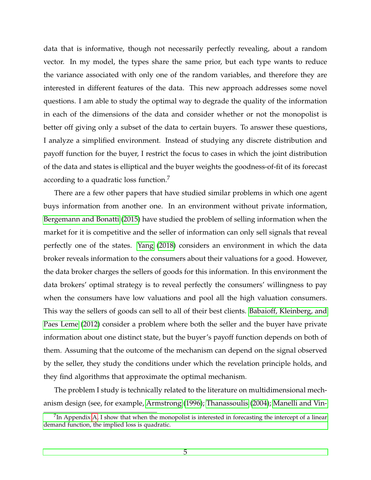data that is informative, though not necessarily perfectly revealing, about a random vector. In my model, the types share the same prior, but each type wants to reduce the variance associated with only one of the random variables, and therefore they are interested in different features of the data. This new approach addresses some novel questions. I am able to study the optimal way to degrade the quality of the information in each of the dimensions of the data and consider whether or not the monopolist is better off giving only a subset of the data to certain buyers. To answer these questions, I analyze a simplified environment. Instead of studying any discrete distribution and payoff function for the buyer, I restrict the focus to cases in which the joint distribution of the data and states is elliptical and the buyer weights the goodness-of-fit of its forecast according to a quadratic loss function.<sup>7</sup>

There are a few other papers that have studied similar problems in which one agent buys information from another one. In an environment without private information, [Bergemann and Bonatti](#page-35-4) [\(2015\)](#page-35-4) have studied the problem of selling information when the market for it is competitive and the seller of information can only sell signals that reveal perfectly one of the states. [Yang](#page-36-4) [\(2018\)](#page-36-4) considers an environment in which the data broker reveals information to the consumers about their valuations for a good. However, the data broker charges the sellers of goods for this information. In this environment the data brokers' optimal strategy is to reveal perfectly the consumers' willingness to pay when the consumers have low valuations and pool all the high valuation consumers. This way the sellers of goods can sell to all of their best clients. [Babaioff, Kleinberg, and](#page-34-0) [Paes Leme](#page-34-0) [\(2012\)](#page-34-0) consider a problem where both the seller and the buyer have private information about one distinct state, but the buyer's payoff function depends on both of them. Assuming that the outcome of the mechanism can depend on the signal observed by the seller, they study the conditions under which the revelation principle holds, and they find algorithms that approximate the optimal mechanism.

The problem I study is technically related to the literature on multidimensional mechanism design (see, for example, [Armstrong](#page-34-1) [\(1996\)](#page-34-1); [Thanassoulis](#page-36-5) [\(2004\)](#page-36-5); [Manelli and Vin-](#page-35-5)

 $^{7}$ [In Appendix A, I show that when the monopolist is interested in forecasting the intercept of a linear](#page-35-5) [demand function, the implied loss is quadratic.](#page-35-5)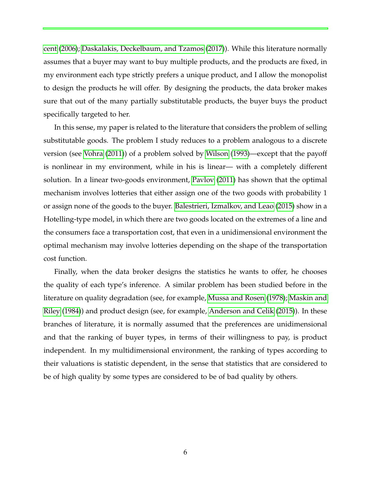[cent](#page-35-5) [\(2006\)](#page-35-5); [Daskalakis, Deckelbaum, and Tzamos](#page-35-6) [\(2017\)](#page-35-6)). While this literature normally assumes that a buyer may want to buy multiple products, and the products are fixed, in my environment each type strictly prefers a unique product, and I allow the monopolist to design the products he will offer. By designing the products, the data broker makes sure that out of the many partially substitutable products, the buyer buys the product specifically targeted to her.

In this sense, my paper is related to the literature that considers the problem of selling substitutable goods. The problem I study reduces to a problem analogous to a discrete version (see [Vohra](#page-36-6) [\(2011\)](#page-36-6)) of a problem solved by [Wilson](#page-36-7) [\(1993\)](#page-36-7)—except that the payoff is nonlinear in my environment, while in his is linear— with a completely different solution. In a linear two-goods environment, [Pavlov](#page-36-8) [\(2011\)](#page-36-8) has shown that the optimal mechanism involves lotteries that either assign one of the two goods with probability 1 or assign none of the goods to the buyer. [Balestrieri, Izmalkov, and Leao](#page-35-7) [\(2015\)](#page-35-7) show in a Hotelling-type model, in which there are two goods located on the extremes of a line and the consumers face a transportation cost, that even in a unidimensional environment the optimal mechanism may involve lotteries depending on the shape of the transportation cost function.

Finally, when the data broker designs the statistics he wants to offer, he chooses the quality of each type's inference. A similar problem has been studied before in the literature on quality degradation (see, for example, [Mussa and Rosen](#page-35-3) [\(1978\)](#page-35-3); [Maskin and](#page-35-8) [Riley](#page-35-8) [\(1984\)](#page-35-8)) and product design (see, for example, [Anderson and Celik](#page-34-2) [\(2015\)](#page-34-2)). In these branches of literature, it is normally assumed that the preferences are unidimensional and that the ranking of buyer types, in terms of their willingness to pay, is product independent. In my multidimensional environment, the ranking of types according to their valuations is statistic dependent, in the sense that statistics that are considered to be of high quality by some types are considered to be of bad quality by others.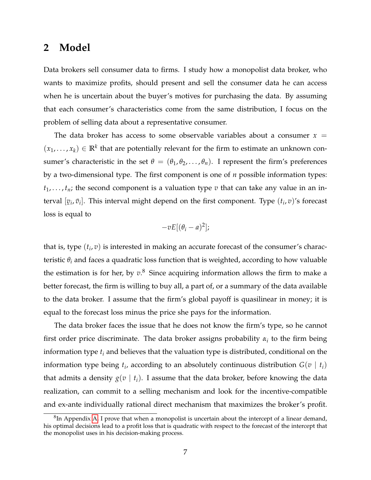# <span id="page-9-0"></span>**2 Model**

Data brokers sell consumer data to firms. I study how a monopolist data broker, who wants to maximize profits, should present and sell the consumer data he can access when he is uncertain about the buyer's motives for purchasing the data. By assuming that each consumer's characteristics come from the same distribution, I focus on the problem of selling data about a representative consumer.

The data broker has access to some observable variables about a consumer  $x =$  $(x_1, \ldots, x_k) \in \mathbb{R}^k$  that are potentially relevant for the firm to estimate an unknown consumer's characteristic in the set  $\theta = (\theta_1, \theta_2, \dots, \theta_n)$ . I represent the firm's preferences by a two-dimensional type. The first component is one of *n* possible information types:  $t_1, \ldots, t_n$ ; the second component is a valuation type  $v$  that can take any value in an interval [  $[v_i, \bar{v}_i]$ . This interval might depend on the first component. Type  $(t_i, v)$ 's forecast loss is equal to

$$
-vE[(\theta_i-a)^2];
$$

that is, type  $(t_i, v)$  is interested in making an accurate forecast of the consumer's characteristic  $\theta_i$  and faces a quadratic loss function that is weighted, according to how valuable the estimation is for her, by *v*. <sup>8</sup> Since acquiring information allows the firm to make a better forecast, the firm is willing to buy all, a part of, or a summary of the data available to the data broker. I assume that the firm's global payoff is quasilinear in money; it is equal to the forecast loss minus the price she pays for the information.

The data broker faces the issue that he does not know the firm's type, so he cannot first order price discriminate. The data broker assigns probability  $\alpha_i$  to the firm being information type *t<sup>i</sup>* and believes that the valuation type is distributed, conditional on the information type being  $t_i$ , according to an absolutely continuous distribution  $G(v \mid t_i)$ that admits a density  $g(v \mid t_i)$ . I assume that the data broker, before knowing the data realization, can commit to a selling mechanism and look for the incentive-compatible and ex-ante individually rational direct mechanism that maximizes the broker's profit.

 ${}^{8}$ In Appendix [A,](#page-36-0) I prove that when a monopolist is uncertain about the intercept of a linear demand, his optimal decisions lead to a profit loss that is quadratic with respect to the forecast of the intercept that the monopolist uses in his decision-making process.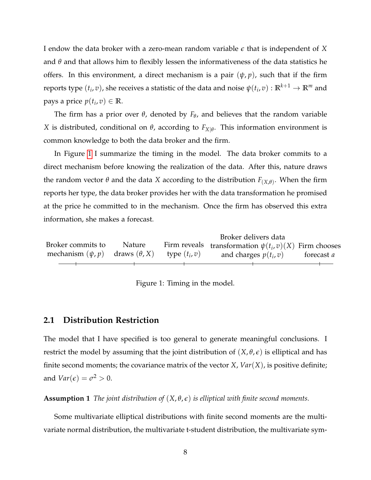I endow the data broker with a zero-mean random variable *e* that is independent of *X* and *θ* and that allows him to flexibly lessen the informativeness of the data statistics he offers. In this environment, a direct mechanism is a pair  $(\psi, p)$ , such that if the firm reports type  $(t_i, v)$ , she receives a statistic of the data and noise  $\psi(t_i, v): \mathbb{R}^{k+1} \to \mathbb{R}^m$  and pays a price  $p(t_i, v) \in \mathbb{R}$ .

The firm has a prior over *θ*, denoted by *F<sup>θ</sup>* , and believes that the random variable *X* is distributed, conditional on *θ*, according to  $F_{X|\theta}$ . This information environment is common knowledge to both the data broker and the firm.

In Figure [1](#page-10-1) I summarize the timing in the model. The data broker commits to a direct mechanism before knowing the realization of the data. After this, nature draws the random vector *θ* and the data *X* according to the distribution *F*(*X*,*θ*) . When the firm reports her type, the data broker provides her with the data transformation he promised at the price he committed to in the mechanism. Once the firm has observed this extra information, she makes a forecast.

<span id="page-10-1"></span>

|                                                           |               | Broker delivers data                                       |                   |
|-----------------------------------------------------------|---------------|------------------------------------------------------------|-------------------|
| Broker commits to                                         | <b>Nature</b> | Firm reveals transformation $\psi(t_i, v)(X)$ Firm chooses |                   |
| mechanism $(\psi, p)$ draws $(\theta, X)$ type $(t_i, v)$ |               | and charges $p(t_i, v)$                                    | forecast <i>a</i> |
|                                                           |               |                                                            |                   |

Figure 1: Timing in the model.

#### <span id="page-10-0"></span>**2.1 Distribution Restriction**

The model that I have specified is too general to generate meaningful conclusions. I restrict the model by assuming that the joint distribution of  $(X, \theta, \epsilon)$  is elliptical and has finite second moments; the covariance matrix of the vector *X*, *Var*(*X*), is positive definite; and  $Var(\epsilon) = \sigma^2 > 0$ .

**Assumption 1** *The joint distribution of* (*X*, *θ*, *e*) *is elliptical with finite second moments.*

Some multivariate elliptical distributions with finite second moments are the multivariate normal distribution, the multivariate t-student distribution, the multivariate sym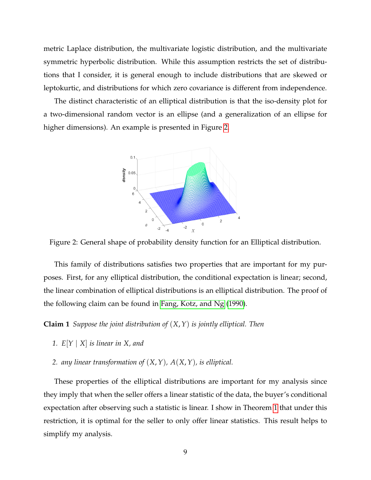metric Laplace distribution, the multivariate logistic distribution, and the multivariate symmetric hyperbolic distribution. While this assumption restricts the set of distributions that I consider, it is general enough to include distributions that are skewed or leptokurtic, and distributions for which zero covariance is different from independence.

<span id="page-11-0"></span>The distinct characteristic of an elliptical distribution is that the iso-density plot for a two-dimensional random vector is an ellipse (and a generalization of an ellipse for higher dimensions). An example is presented in Figure [2.](#page-11-0)



Figure 2: General shape of probability density function for an Elliptical distribution.

This family of distributions satisfies two properties that are important for my purposes. First, for any elliptical distribution, the conditional expectation is linear; second, the linear combination of elliptical distributions is an elliptical distribution. The proof of the following claim can be found in [Fang, Kotz, and Ng](#page-35-9) [\(1990\)](#page-35-9).

<span id="page-11-1"></span>**Claim 1** *Suppose the joint distribution of* (*X*,*Y*) *is jointly elliptical. Then*

- *1. E*[*Y* | *X*] *is linear in X, and*
- *2. any linear transformation of* (*X*,*Y*)*, A*(*X*,*Y*)*, is elliptical.*

These properties of the elliptical distributions are important for my analysis since they imply that when the seller offers a linear statistic of the data, the buyer's conditional expectation after observing such a statistic is linear. I show in Theorem [1](#page-13-0) that under this restriction, it is optimal for the seller to only offer linear statistics. This result helps to simplify my analysis.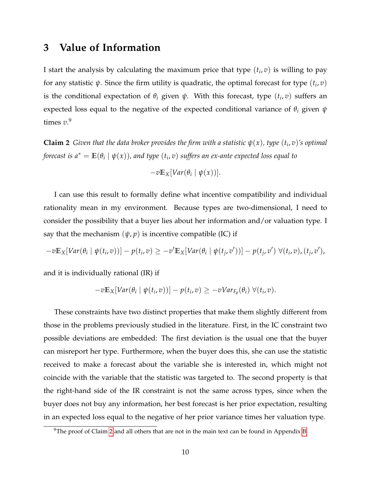# <span id="page-12-0"></span>**3 Value of Information**

I start the analysis by calculating the maximum price that type (*t<sup>i</sup>* , *v*) is willing to pay for any statistic  $\psi$ . Since the firm utility is quadratic, the optimal forecast for type  $(t_i, v)$ is the conditional expectation of  $\theta_i$  given  $\psi$ . With this forecast, type  $(t_i, v)$  suffers an expected loss equal to the negative of the expected conditional variance of *θ<sup>i</sup>* given *ψ* times *v*. 9

<span id="page-12-1"></span>**Claim 2** *Given that the data broker provides the firm with a statistic*  $\psi(x)$ *, type*  $(t_i, v)$ *'s optimal forecast is a\**  $= \mathbb{E}(\theta_i \mid \psi(x))$ , and type  $(t_i,v)$  suffers an ex-ante expected loss equal to

$$
-v\mathbb{E}_X[Var(\theta_i \mid \psi(x))].
$$

I can use this result to formally define what incentive compatibility and individual rationality mean in my environment. Because types are two-dimensional, I need to consider the possibility that a buyer lies about her information and/or valuation type. I say that the mechanism  $(\psi, p)$  is incentive compatible (IC) if

$$
-v\mathbb{E}_X[Var(\theta_i \mid \psi(t_i, v))] - p(t_i, v) \geq -v'\mathbb{E}_X[Var(\theta_i \mid \psi(t_j, v'))] - p(t_j, v') \ \forall (t_i, v), (t_j, v'),
$$

and it is individually rational (IR) if

$$
-v\mathbb{E}_X[Var(\theta_i \mid \psi(t_i, v))] - p(t_i, v) \geq -vVar_{F_{\theta}}(\theta_i) \ \forall (t_i, v).
$$

These constraints have two distinct properties that make them slightly different from those in the problems previously studied in the literature. First, in the IC constraint two possible deviations are embedded: The first deviation is the usual one that the buyer can misreport her type. Furthermore, when the buyer does this, she can use the statistic received to make a forecast about the variable she is interested in, which might not coincide with the variable that the statistic was targeted to. The second property is that the right-hand side of the IR constraint is not the same across types, since when the buyer does not buy any information, her best forecast is her prior expectation, resulting in an expected loss equal to the negative of her prior variance times her valuation type.

 $9$ The proof of Claim [2](#page-12-1) and all others that are not in the main text can be found in Appendix [B.](#page-37-0)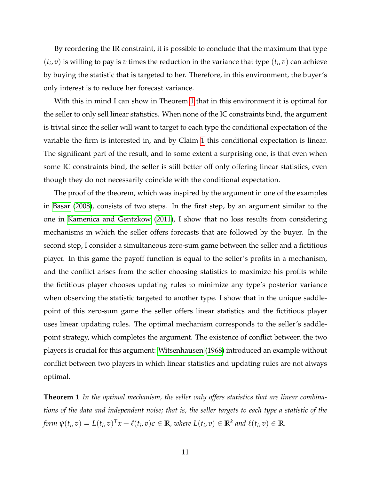By reordering the IR constraint, it is possible to conclude that the maximum that type  $(t_i, v)$  is willing to pay is *v* times the reduction in the variance that type  $(t_i, v)$  can achieve by buying the statistic that is targeted to her. Therefore, in this environment, the buyer's only interest is to reduce her forecast variance.

With this in mind I can show in Theorem [1](#page-13-0) that in this environment it is optimal for the seller to only sell linear statistics. When none of the IC constraints bind, the argument is trivial since the seller will want to target to each type the conditional expectation of the variable the firm is interested in, and by Claim [1](#page-11-1) this conditional expectation is linear. The significant part of the result, and to some extent a surprising one, is that even when some IC constraints bind, the seller is still better off only offering linear statistics, even though they do not necessarily coincide with the conditional expectation.

The proof of the theorem, which was inspired by the argument in one of the examples in [Basar](#page-35-10) [\(2008\)](#page-35-10), consists of two steps. In the first step, by an argument similar to the one in [Kamenica and Gentzkow](#page-35-11) [\(2011\)](#page-35-11), I show that no loss results from considering mechanisms in which the seller offers forecasts that are followed by the buyer. In the second step, I consider a simultaneous zero-sum game between the seller and a fictitious player. In this game the payoff function is equal to the seller's profits in a mechanism, and the conflict arises from the seller choosing statistics to maximize his profits while the fictitious player chooses updating rules to minimize any type's posterior variance when observing the statistic targeted to another type. I show that in the unique saddlepoint of this zero-sum game the seller offers linear statistics and the fictitious player uses linear updating rules. The optimal mechanism corresponds to the seller's saddlepoint strategy, which completes the argument. The existence of conflict between the two players is crucial for this argument: [Witsenhausen](#page-36-1) [\(1968\)](#page-36-1) introduced an example without conflict between two players in which linear statistics and updating rules are not always optimal.

<span id="page-13-0"></span>**Theorem 1** *In the optimal mechanism, the seller only offers statistics that are linear combinations of the data and independent noise; that is, the seller targets to each type a statistic of the* form  $\psi(t_i, v) = L(t_i, v)^T x + \ell(t_i, v) \epsilon \in \mathbb{R}$ , where  $L(t_i, v) \in \mathbb{R}^k$  and  $\ell(t_i, v) \in \mathbb{R}$ .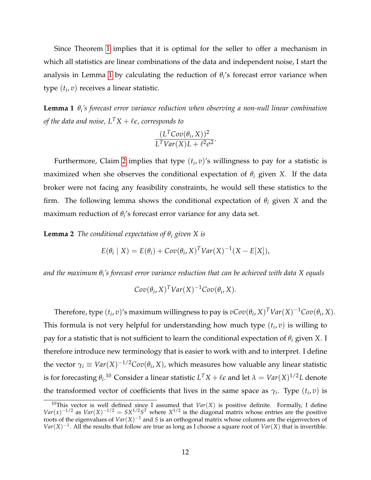Since Theorem [1](#page-13-0) implies that it is optimal for the seller to offer a mechanism in which all statistics are linear combinations of the data and independent noise, I start the analysis in Lemma [1](#page-14-0) by calculating the reduction of *θ<sup>i</sup>* 's forecast error variance when type (*t<sup>i</sup>* , *v*) receives a linear statistic.

<span id="page-14-0"></span>**Lemma 1** *θ<sup>i</sup> 's forecast error variance reduction when observing a non-null linear combination of the data and noise,*  $L^T X + \ell \epsilon$ *, corresponds to* 

$$
\frac{(L^T \text{Cov}(\theta_i, X))^2}{L^T \text{Var}(X)L + \ell^2 \sigma^2}.
$$

Furthermore, Claim [2](#page-12-1) implies that type  $(t_i, v)$ 's willingness to pay for a statistic is maximized when she observes the conditional expectation of  $\theta_i$  given *X*. If the data broker were not facing any feasibility constraints, he would sell these statistics to the firm. The following lemma shows the conditional expectation of  $\theta_i$  given *X* and the maximum reduction of  $\theta$ <sup>*i*</sup> s forecast error variance for any data set.

<span id="page-14-1"></span>**Lemma 2** *The conditional expectation of*  $\theta_i$  *given X is* 

$$
E(\theta_i | X) = E(\theta_i) + Cov(\theta_i, X)^T Var(X)^{-1}(X - E[X]),
$$

*and the maximum θ<sup>i</sup> 's forecast error variance reduction that can be achieved with data X equals*

$$
Cov(\theta_i, X)^T Var(X)^{-1}Cov(\theta_i, X).
$$

Therefore, type  $(t_i, v)$ 's maximum willingness to pay is  $vCov(\theta_i, X)^TVar(X)^{-1}Cov(\theta_i, X)$ . This formula is not very helpful for understanding how much type (*t<sup>i</sup>* , *v*) is willing to pay for a statistic that is not sufficient to learn the conditional expectation of *θ<sup>i</sup>* given *X*. I therefore introduce new terminology that is easier to work with and to interpret. I define the vector  $\gamma_i \equiv Var(X)^{-1/2}Cov(\theta_i,X)$ , which measures how valuable any linear statistic is for forecasting  $\theta_i$ .<sup>10</sup> Consider a linear statistic  $L^TX + \ell \epsilon$  and let  $\lambda = Var(X)^{1/2}L$  denote the transformed vector of coefficients that lives in the same space as  $\gamma_i$ . Type  $(t_i, v)$  is

<sup>&</sup>lt;sup>10</sup>This vector is well defined since I assumed that  $Var(X)$  is positive definite. Formally, I define  $Var(x)^{-1/2}$  as  $Var(X)^{-1/2} = SX^{1/2}S^T$  where  $X^{1/2}$  is the diagonal matrix whose entries are the positive roots of the eigenvalues of *Var*(*X*) <sup>−</sup><sup>1</sup> and *S* is an orthogonal matrix whose columns are the eigenvectors of  $Var(X)^{-1}$ . All the results that follow are true as long as I choose a square root of *Var*(*X*) that is invertible.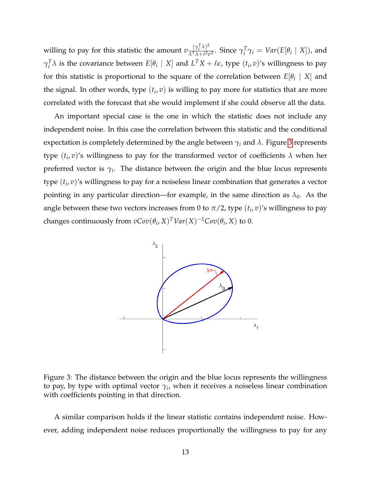willing to pay for this statistic the amount  $v \frac{(\gamma_i^T \lambda)^2}{\lambda^T \lambda + \ell^2 \ell^2}$  $\frac{(\gamma_i \wedge \beta)^2}{\lambda^T \lambda + \ell^2 \sigma^2}$ . Since  $\gamma_i^T$  $\int_i^T \gamma_i = Var(E[\theta_i \mid X])$ , and  $\gamma_i^T$  $I_i^T \lambda$  is the covariance between  $E[\theta_i \mid X]$  and  $L^T X + \ell \epsilon$ , type  $(t_i, v)$ 's willingness to pay for this statistic is proportional to the square of the correlation between  $E[\theta_i \mid X]$  and the signal. In other words, type  $(t_i, v)$  is willing to pay more for statistics that are more correlated with the forecast that she would implement if she could observe all the data.

An important special case is the one in which the statistic does not include any independent noise. In this case the correlation between this statistic and the conditional expectation is completely determined by the angle between  $\gamma_i$  and  $\lambda$ . Figure [3](#page-15-0) represents type (*t<sup>i</sup>* , *v*)'s willingness to pay for the transformed vector of coefficients *λ* when her preferred vector is  $\gamma_i.$  The distance between the origin and the blue locus represents type (*t<sup>i</sup>* , *v*)'s willingness to pay for a noiseless linear combination that generates a vector pointing in any particular direction—for example, in the same direction as  $\lambda_0$ . As the angle between these two vectors increases from 0 to  $\pi/2$ , type  $(t_i, v)'$ s willingness to pay changes continuously from  $vCov(\theta_i, X)^T Var(X)^{-1}Cov(\theta_i, X)$  to 0.

<span id="page-15-0"></span>

Figure 3: The distance between the origin and the blue locus represents the willingness to pay, by type with optimal vector *γ<sup>i</sup>* , when it receives a noiseless linear combination with coefficients pointing in that direction.

A similar comparison holds if the linear statistic contains independent noise. However, adding independent noise reduces proportionally the willingness to pay for any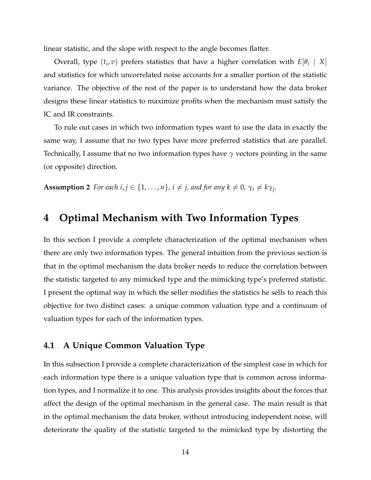linear statistic, and the slope with respect to the angle becomes flatter.

Overall, type  $(t_i, v)$  prefers statistics that have a higher correlation with  $E[\theta_i \mid X]$ and statistics for which uncorrelated noise accounts for a smaller portion of the statistic variance. The objective of the rest of the paper is to understand how the data broker designs these linear statistics to maximize profits when the mechanism must satisfy the IC and IR constraints.

To rule out cases in which two information types want to use the data in exactly the same way, I assume that no two types have more preferred statistics that are parallel. Technically, I assume that no two information types have *γ* vectors pointing in the same (or opposite) direction.

<span id="page-16-2"></span>**Assumption 2** *For each i, j*  $\in$  {1, . . . , *n*}, *i*  $\neq$  *j*, *and for any k*  $\neq$  0,  $\gamma_i \neq k\gamma_j$ .

## <span id="page-16-0"></span>**4 Optimal Mechanism with Two Information Types**

In this section I provide a complete characterization of the optimal mechanism when there are only two information types. The general intuition from the previous section is that in the optimal mechanism the data broker needs to reduce the correlation between the statistic targeted to any mimicked type and the mimicking type's preferred statistic. I present the optimal way in which the seller modifies the statistics he sells to reach this objective for two distinct cases: a unique common valuation type and a continuum of valuation types for each of the information types.

#### <span id="page-16-1"></span>**4.1 A Unique Common Valuation Type**

In this subsection I provide a complete characterization of the simplest case in which for each information type there is a unique valuation type that is common across information types, and I normalize it to one. This analysis provides insights about the forces that affect the design of the optimal mechanism in the general case. The main result is that in the optimal mechanism the data broker, without introducing independent noise, will deteriorate the quality of the statistic targeted to the mimicked type by distorting the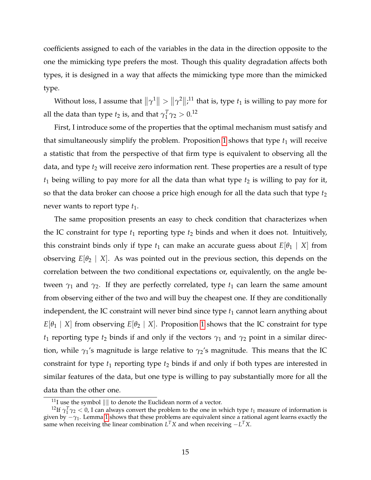coefficients assigned to each of the variables in the data in the direction opposite to the one the mimicking type prefers the most. Though this quality degradation affects both types, it is designed in a way that affects the mimicking type more than the mimicked type.

Without loss, I assume that  $\|\gamma^1\| > \|\gamma^2\|$ ;<sup>11</sup> that is, type  $t_1$  is willing to pay more for all the data than type  $t_2$  is, and that  $\gamma_1^T$  $_{1}^{T}γ_2 > 0.12$ 

First, I introduce some of the properties that the optimal mechanism must satisfy and that simultaneously simplify the problem. Proposition [1](#page-18-0) shows that type  $t_1$  will receive a statistic that from the perspective of that firm type is equivalent to observing all the data, and type  $t_2$  will receive zero information rent. These properties are a result of type  $t_1$  being willing to pay more for all the data than what type  $t_2$  is willing to pay for it, so that the data broker can choose a price high enough for all the data such that type  $t_2$ never wants to report type  $t_1$ .

The same proposition presents an easy to check condition that characterizes when the IC constraint for type  $t_1$  reporting type  $t_2$  binds and when it does not. Intuitively, this constraint binds only if type  $t_1$  can make an accurate guess about  $E[\theta_1 | X]$  from observing  $E[\theta_2 | X]$ . As was pointed out in the previous section, this depends on the correlation between the two conditional expectations or, equivalently, on the angle between  $\gamma_1$  and  $\gamma_2$ . If they are perfectly correlated, type  $t_1$  can learn the same amount from observing either of the two and will buy the cheapest one. If they are conditionally independent, the IC constraint will never bind since type  $t_1$  cannot learn anything about  $E[\theta_1 | X]$  from observing  $E[\theta_2 | X]$ . Proposition [1](#page-18-0) shows that the IC constraint for type *t*<sub>1</sub> reporting type *t*<sub>2</sub> binds if and only if the vectors  $\gamma_1$  and  $\gamma_2$  point in a similar direction, while  $\gamma_1$ 's magnitude is large relative to  $\gamma_2$ 's magnitude. This means that the IC constraint for type  $t_1$  reporting type  $t_2$  binds if and only if both types are interested in similar features of the data, but one type is willing to pay substantially more for all the data than the other one.

<sup>&</sup>lt;sup>11</sup>I use the symbol  $\|\|\$  to denote the Euclidean norm of a vector.

<sup>&</sup>lt;sup>12</sup>If  $\gamma_1^T \gamma_2 < 0$ , I can always convert the problem to the one in which type  $t_1$  measure of information is given by −*γ*<sub>1</sub>. Lemma [1](#page-14-0) shows that these problems are equivalent since a rational agent learns exactly the same when receiving the linear combination  $L^T X$  and when receiving  $-L^T X$ .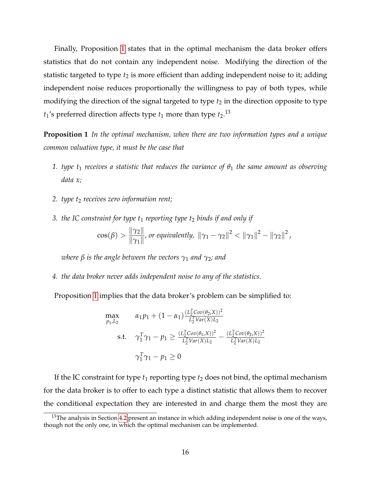Finally, Proposition [1](#page-18-0) states that in the optimal mechanism the data broker offers statistics that do not contain any independent noise. Modifying the direction of the statistic targeted to type  $t_2$  is more efficient than adding independent noise to it; adding independent noise reduces proportionally the willingness to pay of both types, while modifying the direction of the signal targeted to type  $t_2$  in the direction opposite to type  $t_1$ 's preferred direction affects type  $t_1$  more than type  $t_2$ .<sup>13</sup>

<span id="page-18-0"></span>**Proposition 1** *In the optimal mechanism, when there are two information types and a unique common valuation type, it must be the case that*

- **1.** *type t<sub>1</sub> <i>receives a statistic that reduces the variance of*  $θ_1$  *the same amount as observing data x;*
- *2. type t*<sup>2</sup> *receives zero information rent;*
- *3. the IC constraint for type t*<sup>1</sup> *reporting type t*<sup>2</sup> *binds if and only if*

$$
\cos(\beta) > \frac{\|\gamma_2\|}{\|\gamma_1\|},\,
$$
 or equivalently,  $\|\gamma_1 - \gamma_2\|^2 < \|\gamma_1\|^2 - \|\gamma_2\|^2,$ 

*where β is the angle between the vectors*  $γ_1$  *and*  $γ_2$ *; and* 

<span id="page-18-1"></span>*4. the data broker never adds independent noise to any of the statistics.*

Proposition [1](#page-18-0) implies that the data broker's problem can be simplified to:

$$
\max_{p_1, L_2} \alpha_1 p_1 + (1 - \alpha_1) \frac{(L_2^T Cov(\theta_2, X))^2}{L_2^T Var(X) L_2}
$$
\n
$$
\text{s.t.} \quad \gamma_1^T \gamma_1 - p_1 \ge \frac{(L_2^T Cov(\theta_1, X))^2}{L_2^T Var(X) L_2} - \frac{(L_2^T Cov(\theta_2, X))^2}{L_2^T Var(X) L_2}
$$
\n
$$
\gamma_1^T \gamma_1 - p_1 \ge 0
$$

If the IC constraint for type  $t_1$  reporting type  $t_2$  does not bind, the optimal mechanism for the data broker is to offer to each type a distinct statistic that allows them to recover the conditional expectation they are interested in and charge them the most they are

<sup>&</sup>lt;sup>13</sup>The analysis in Section [4.2](#page-28-1) present an instance in which adding independent noise is one of the ways, though not the only one, in which the optimal mechanism can be implemented.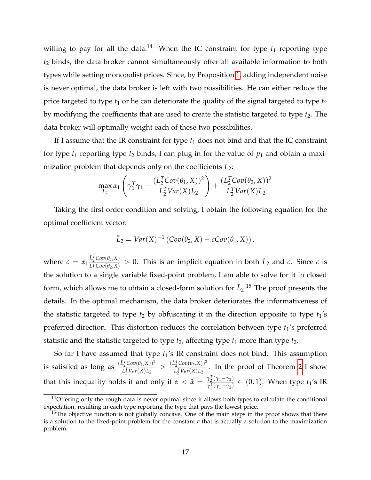willing to pay for all the data.<sup>14</sup> When the IC constraint for type  $t_1$  reporting type *t*<sup>2</sup> binds, the data broker cannot simultaneously offer all available information to both types while setting monopolist prices. Since, by Proposition [1,](#page-18-0) adding independent noise is never optimal, the data broker is left with two possibilities. He can either reduce the price targeted to type  $t_1$  or he can deteriorate the quality of the signal targeted to type  $t_2$ by modifying the coefficients that are used to create the statistic targeted to type  $t_2$ . The data broker will optimally weight each of these two possibilities.

If I assume that the IR constraint for type  $t_1$  does not bind and that the IC constraint for type  $t_1$  reporting type  $t_2$  binds, I can plug in for the value of  $p_1$  and obtain a maximization problem that depends only on the coefficients *L*2:

$$
\max_{L_2} \alpha_1 \left( \gamma_1^T \gamma_1 - \frac{(L_2^T Cov(\theta_1, X))^2}{L_2^T Var(X) L_2} \right) + \frac{(L_2^T Cov(\theta_2, X))^2}{L_2^T Var(X) L_2}
$$

Taking the first order condition and solving, I obtain the following equation for the optimal coefficient vector:

$$
\tilde{L}_2 = Var(X)^{-1} (Cov(\theta_2, X) - cCov(\theta_1, X)),
$$

where  $c = \alpha_1 \frac{\tilde{L}_2^T Cov(\theta_1, X)}{\tilde{L}_2^T Cov(\theta_2, X)}$  $\frac{L_2^2 Cov(\theta_1, X)}{L_2^T Cov(\theta_2, X)} > 0$ . This is an implicit equation in both  $\tilde{L}_2$  and *c*. Since *c* is the solution to a single variable fixed-point problem, I am able to solve for it in closed form, which allows me to obtain a closed-form solution for  $\tilde{L}_2$ .<sup>15</sup> The proof presents the details. In the optimal mechanism, the data broker deteriorates the informativeness of the statistic targeted to type  $t_2$  by obfuscating it in the direction opposite to type  $t_1$ 's preferred direction. This distortion reduces the correlation between type  $t_1$ 's preferred statistic and the statistic targeted to type  $t_2$ , affecting type  $t_1$  more than type  $t_2$ .

So far I have assumed that type  $t_1$ 's IR constraint does not bind. This assumption is satisfied as long as  $\frac{(\tilde{L}_2^T Cov(\theta_1,X))^2}{\tilde{L}_2^T Var(X)\tilde{L}_2}$  $\frac{L_2^T Cov(\theta_1, X))^2}{L_2^T Var(X)\tilde{L}_2} > \frac{(\tilde{L}_2^T Cov(\theta_2, X))^2}{\tilde{L}_2^T Var(X)\tilde{L}_2}$  $\frac{L_2^2 \cos(\nu_2/4)}{L_2^T Var(X) L_2}$ . In the proof of Theorem [2](#page-20-0) I show that this inequality holds if and only if  $\alpha < \tilde{\alpha} = \frac{\gamma_2^T(\gamma_1 - \gamma_2)}{\gamma_1^T(\gamma_1 - \gamma_2)}$ *γ*<sub>2</sub> (*γ*<sub>1</sub>−*γ*<sub>2</sub>)</sub> ∈ (0, 1). When type *t*<sub>1</sub>'s IR

<sup>&</sup>lt;sup>14</sup>Offering only the rough data is never optimal since it allows both types to calculate the conditional expectation, resulting in each type reporting the type that pays the lowest price.

 $15$ The objective function is not globally concave. One of the main steps in the proof shows that there is a solution to the fixed-point problem for the constant *c* that is actually a solution to the maximization problem.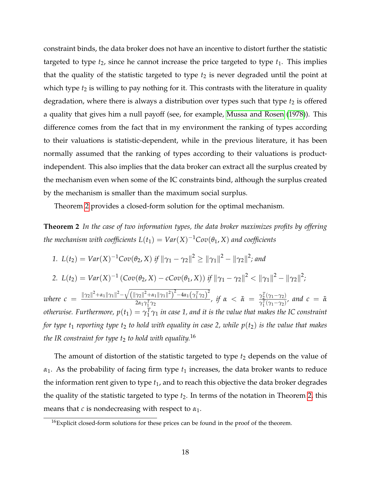constraint binds, the data broker does not have an incentive to distort further the statistic targeted to type  $t_2$ , since he cannot increase the price targeted to type  $t_1$ . This implies that the quality of the statistic targeted to type  $t_2$  is never degraded until the point at which type  $t_2$  is willing to pay nothing for it. This contrasts with the literature in quality degradation, where there is always a distribution over types such that type  $t_2$  is offered a quality that gives him a null payoff (see, for example, [Mussa and Rosen](#page-35-3) [\(1978\)](#page-35-3)). This difference comes from the fact that in my environment the ranking of types according to their valuations is statistic-dependent, while in the previous literature, it has been normally assumed that the ranking of types according to their valuations is productindependent. This also implies that the data broker can extract all the surplus created by the mechanism even when some of the IC constraints bind, although the surplus created by the mechanism is smaller than the maximum social surplus.

Theorem [2](#page-20-0) provides a closed-form solution for the optimal mechanism.

<span id="page-20-0"></span>**Theorem 2** *In the case of two information types, the data broker maximizes profits by offering the mechanism with coefficients*  $L(t_1) = Var(X)^{-1}Cov(\theta_1,X)$  *and coefficients* 

1. 
$$
L(t_2) = Var(X)^{-1}Cov(\theta_2, X)
$$
 if  $\|\gamma_1 - \gamma_2\|^2 \ge \|\gamma_1\|^2 - \|\gamma_2\|^2$ ; and  
\n2.  $L(t_2) = Var(X)^{-1} (Cov(\theta_2, X) - cCov(\theta_1, X))$  if  $\|\gamma_1 - \gamma_2\|^2 < \|\gamma_1\|^2 - \|\gamma_2\|^2$ ;  
\nwhere  $c = \frac{\|\gamma_2\|^2 + \alpha_1 \|\gamma_1\|^2 - \sqrt{\|\gamma_2\|^2 + \alpha_1 \|\gamma_1\|^2\}^2 - 4\alpha_1 (\gamma_1^T \gamma_2)^2}}{2\alpha_1 \gamma_1^T \gamma_2}$ , if  $\alpha < \tilde{\alpha} = \frac{\gamma_2^T(\gamma_1 - \gamma_2)}{\gamma_1^T(\gamma_1 - \gamma_2)}$ , and  $c = \tilde{\alpha}$   
\notherwise. Furthermore,  $p(t_1) = \gamma_1^T \gamma_1$  in case 1, and it is the value that makes the IC constraint  
\nfor type  $t_1$  reporting type  $t_2$  to hold with equality in case 2, while  $p(t_2)$  is the value that makes  
\nthe IR constraint for type  $t_2$  to hold with equality.<sup>16</sup>

The amount of distortion of the statistic targeted to type  $t_2$  depends on the value of  $\alpha_1$ . As the probability of facing firm type  $t_1$  increases, the data broker wants to reduce the information rent given to type *t*1, and to reach this objective the data broker degrades the quality of the statistic targeted to type  $t_2$ . In terms of the notation in Theorem [2,](#page-20-0) this means that *c* is nondecreasing with respect to  $\alpha_1$ .

<span id="page-20-1"></span> $16$ Explicit closed-form solutions for these prices can be found in the proof of the theorem.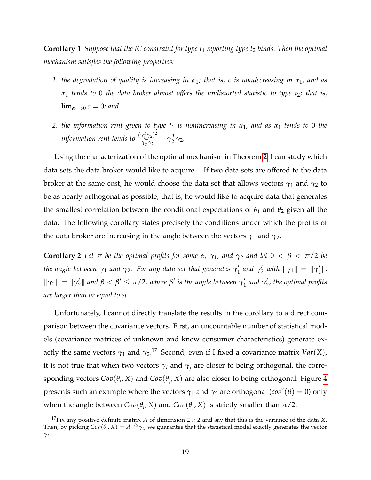**Corollary 1** *Suppose that the IC constraint for type t<sub>1</sub> <i>reporting type t<sub>2</sub> binds. Then the optimal mechanism satisfies the following properties:*

- *1. the degradation of quality is increasing in α*1*; that is, c is nondecreasing in α*1*, and as α*<sup>1</sup> *tends to* 0 *the data broker almost offers the undistorted statistic to type t*2*; that is,*  $\lim_{\alpha_1\to 0} c = 0$ *; and*
- *2. the information rent given to type t*<sup>1</sup> *is nonincreasing in α*1*, and as α*<sup>1</sup> *tends to* 0 *the information rent tends to*  $\frac{(\gamma_1^T \gamma_2)^2}{\gamma_1^T \gamma_2}$  $\frac{\gamma_1^r\,\gamma_2)^r}{\gamma_2^T\gamma_2}-\gamma_2^T$  $\frac{1}{2}$  γ<sub>2</sub>.

Using the characterization of the optimal mechanism in Theorem [2,](#page-20-0) I can study which data sets the data broker would like to acquire. . If two data sets are offered to the data broker at the same cost, he would choose the data set that allows vectors  $\gamma_1$  and  $\gamma_2$  to be as nearly orthogonal as possible; that is, he would like to acquire data that generates the smallest correlation between the conditional expectations of  $\theta_1$  and  $\theta_2$  given all the data. The following corollary states precisely the conditions under which the profits of the data broker are increasing in the angle between the vectors  $\gamma_1$  and  $\gamma_2$ .

<span id="page-21-0"></span>**Corollary 2** *Let*  $\pi$  *be the optimal profits for some*  $\alpha$ *,*  $\gamma_1$ *, and*  $\gamma_2$  *and let*  $0 < \beta < \pi/2$  *be the angle between γ*<sup>1</sup> *and γ*2*. For any data set that generates γ* 0  $\gamma'_1$  and  $\gamma'_2$  with  $\|\gamma_1\| = \|\gamma'_1\|$ 1 k*,*  $\|\gamma_2\| = \|\gamma_2\|$  $\gamma_2^{\prime} \parallel$  and  $\beta < \beta^{\prime} \leq \pi/2$ , where  $\beta^{\prime}$  is the angle between  $\gamma_1^{\prime}$  $\frac{1}{1}$  and  $\gamma_2'$ 2 *, the optimal profits are larger than or equal to π.*

Unfortunately, I cannot directly translate the results in the corollary to a direct comparison between the covariance vectors. First, an uncountable number of statistical models (covariance matrices of unknown and know consumer characteristics) generate exactly the same vectors  $\gamma_1$  and  $\gamma_2$ .<sup>17</sup> Second, even if I fixed a covariance matrix *Var*(*X*), it is not true that when two vectors  $\gamma_i$  and  $\gamma_j$  are closer to being orthogonal, the corresponding vectors  $Cov(\theta_i, X)$  and  $Cov(\theta_j, X)$  are also closer to being orthogonal. Figure [4](#page-22-1) presents such an example where the vectors  $γ_1$  and  $γ_2$  are orthogonal ( $cos^2(β) = 0$ ) only when the angle between  $Cov(\theta_i, X)$  and  $Cov(\theta_j, X)$  is strictly smaller than  $\pi/2$ .

<sup>&</sup>lt;sup>17</sup>Fix any positive definite matrix *A* of dimension 2  $\times$  2 and say that this is the variance of the data *X*. Then, by picking  $Cov(\theta_i, X) = A^{1/2}\gamma_i$ , we guarantee that the statistical model exactly generates the vector *γi* .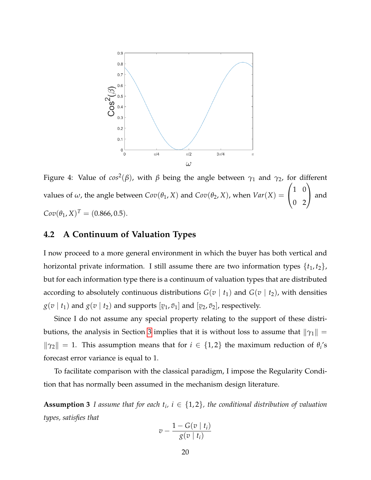<span id="page-22-1"></span>

Figure 4: Value of *cos*<sup>2</sup> (*β*), with *β* being the angle between *γ*<sup>1</sup> and *γ*2, for different values of  $\omega$ , the angle between  $Cov(\theta_1, X)$  and  $Cov(\theta_2, X)$ , when  $Var(X) =$  $\sqrt{ }$  $\mathcal{L}$ 1 0 0 2  $\setminus$  and  $Cov(\theta_1, X)^T = (0.866, 0.5).$ 

### <span id="page-22-0"></span>**4.2 A Continuum of Valuation Types**

I now proceed to a more general environment in which the buyer has both vertical and horizontal private information. I still assume there are two information types  $\{t_1, t_2\}$ , but for each information type there is a continuum of valuation types that are distributed according to absolutely continuous distributions  $G(v | t_1)$  and  $G(v | t_2)$ , with densities  $g(v | t_1)$  and  $g(v | t_2)$  and supports  $[\underline{v}_1, \overline{v}_1]$  and  $[\underline{v}_2, \overline{v}_2]$ , respectively.

Since I do not assume any special property relating to the support of these distri-butions, the analysis in Section [3](#page-12-0) implies that it is without loss to assume that  $\|\gamma_1\| =$  $\|\gamma_2\| = 1$ . This assumption means that for  $i \in \{1,2\}$  the maximum reduction of  $\theta_i$ 's forecast error variance is equal to 1.

To facilitate comparison with the classical paradigm, I impose the Regularity Condition that has normally been assumed in the mechanism design literature.

**Assumption 3** *I* assume that for each  $t_i$ ,  $i \in \{1,2\}$ , the conditional distribution of valuation *types, satisfies that*

$$
v - \frac{1 - G(v \mid t_i)}{g(v \mid t_i)}
$$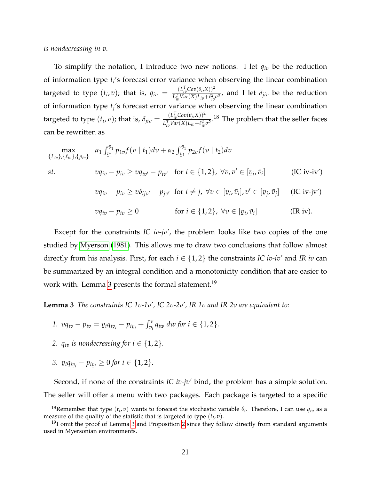*is nondecreasing in v.*

To simplify the notation, I introduce two new notions. I let  $q_{iv}$  be the reduction of information type *t<sup>i</sup>* 's forecast error variance when observing the linear combination targeted to type (*t<sup>i</sup>* , *v*); that is, *qiv* = (*L T ivCov*(*θ<sup>i</sup>* ,*X*))<sup>2</sup>  $\frac{L_{iv}^{(E)} \cos(\nu_i, \lambda_j)}{L_{iv}^T Var(X) L_{iv} + \ell_{iv}^2 \sigma^2}$ , and I let  $\delta_{jiv}$  be the reduction of information type *t<sup>j</sup>* 's forecast error variance when observing the linear combination targeted to type  $(t_i, v)$ ; that is,  $\delta_{jiv} = \frac{(L_{iv}^T Cov(\theta_j, X))^2}{L^T_i Var(X)L_{iv} + l^2_i}$  $\frac{L_{iv}^T Cov(\sigma_j, X)}{L_{iv}^T Var(X) L_{iv} + \ell_{iv}^2 \sigma^2}$ .<sup>18</sup> The problem that the seller faces can be rewritten as

$$
\max_{\{L_{iv}\},\{\ell_{iv}\},\{p_{iv}\}} \alpha_1 \int_{\nu_1}^{\bar{\nu}_1} p_{1v} f(v \mid t_1) dv + \alpha_2 \int_{\nu_1}^{\bar{\nu}_1} p_{2v} f(v \mid t_2) dv
$$
\n*st.*\n
$$
vq_{iv} - p_{iv} \ge vq_{iv'} - p_{iv'} \quad \text{for } i \in \{1,2\}, \ \forall v, v' \in [\underline{v}_i, \bar{v}_i]
$$
\n
$$
(IC \text{ iv-iv'})
$$
\n
$$
vq_{iv} - p_{iv} \ge v\delta_{ijv'} - p_{jv'} \quad \text{for } i \ne j, \ \forall v \in [\underline{v}_i, \bar{v}_i], v' \in [\underline{v}_j, \bar{v}_j]
$$
\n
$$
(IC \text{ iv-iv'})
$$

$$
vq_{iv}-p_{iv}\geq 0 \qquad \text{for } i\in\{1,2\}, \ \forall v\in[\underline{v}_i,\bar{v}_i] \qquad (\text{IR iv}).
$$

Except for the constraints *IC iv-jv'*, the problem looks like two copies of the one studied by [Myerson](#page-36-2) [\(1981\)](#page-36-2). This allows me to draw two conclusions that follow almost directly from his analysis. First, for each  $i \in \{1,2\}$  the constraints *IC iv-iv'* and *IR iv* can be summarized by an integral condition and a monotonicity condition that are easier to work with. Lemma [3](#page-23-0) presents the formal statement.<sup>19</sup>

<span id="page-23-0"></span>**Lemma 3** *The constraints IC 1v-1v', IC 2v-2v', IR 1v and IR 2v are equivalent to:*

- *1.*  $vq_{iv} p_{iv} = v_iq_{i v_i} p_{i v_i} + \int_{v_i}^{v} q_{iw} \ dw \ for \ i \in \{1, 2\}.$ ¯
- 2.  $q_{iv}$  *is nondecreasing for*  $i \in \{1, 2\}$ *.*
- *3.*  $\nu_i q_{i v_i} - p_{i v_i} \geq 0$  for  $i \in \{1, 2\}.$ ¯ ¯

Second, if none of the constraints *IC iv-jv'* bind, the problem has a simple solution. The seller will offer a menu with two packages. Each package is targeted to a specific

<sup>&</sup>lt;sup>18</sup>Remember that type  $(t_i, v)$  wants to forecast the stochastic variable  $\theta_i$ . Therefore, I can use  $q_{iv}$  as a measure of the quality of the statistic that is targeted to type (*t<sup>i</sup>* , *v*).

 $19$ I omit the proof of Lemma [3](#page-23-0) and Proposition [2](#page-24-0) since they follow directly from standard arguments used in Myersonian environments.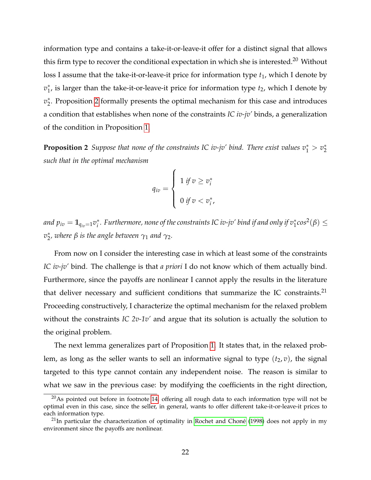information type and contains a take-it-or-leave-it offer for a distinct signal that allows this firm type to recover the conditional expectation in which she is interested.<sup>20</sup> Without loss I assume that the take-it-or-leave-it price for information type  $t_1$ , which I denote by *v* ∗  $_{1}^{*}$ , is larger than the take-it-or-leave-it price for information type  $t_{2}$ , which I denote by  $v_2^*$  $_2^*$ . Proposition [2](#page-24-0) formally presents the optimal mechanism for this case and introduces a condition that establishes when none of the constraints *IC iv-jv'* binds, a generalization of the condition in Proposition [1.](#page-18-0)

<span id="page-24-0"></span>**Proposition 2** Suppose that none of the constraints IC iv-jv' bind. There exist values  $v_1^* > v_2^*$ 2 *such that in the optimal mechanism*

$$
q_{iv} = \begin{cases} 1 & \text{if } v \geq v_i^* \\ 0 & \text{if } v < v_i^*, \end{cases}
$$

*and*  $p_{iv} = 1\!\mathbb{I}_{q_{iv}=1}v_i^*$ \*. Furthermore, none of the constraints IC iv-jv′ bind if and only if v<sub>↑</sub>cos<sup>2</sup>(β) ≤  $v_2^*$ 2 *, where β is the angle between γ*<sup>1</sup> *and γ*2*.*

From now on I consider the interesting case in which at least some of the constraints *IC iv-jv'* bind. The challenge is that *a priori* I do not know which of them actually bind. Furthermore, since the payoffs are nonlinear I cannot apply the results in the literature that deliver necessary and sufficient conditions that summarize the IC constraints. $21$ Proceeding constructively, I characterize the optimal mechanism for the relaxed problem without the constraints *IC 2v-1v'* and argue that its solution is actually the solution to the original problem.

The next lemma generalizes part of Proposition [1.](#page-18-0) It states that, in the relaxed problem, as long as the seller wants to sell an informative signal to type  $(t_2, v)$ , the signal targeted to this type cannot contain any independent noise. The reason is similar to what we saw in the previous case: by modifying the coefficients in the right direction,

 $20$ As pointed out before in footnote [14,](#page-18-1) offering all rough data to each information type will not be optimal even in this case, since the seller, in general, wants to offer different take-it-or-leave-it prices to each information type.

 $^{21}$ In particular the characterization of optimality in Rochet and Choné [\(1998\)](#page-36-3) does not apply in my environment since the payoffs are nonlinear.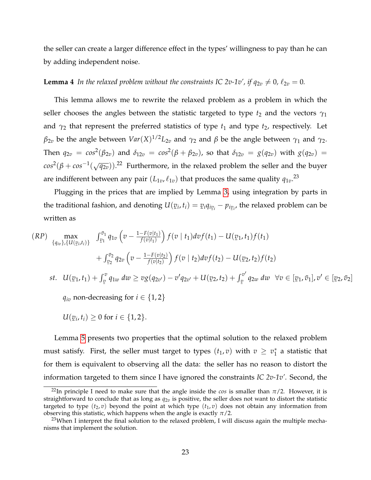the seller can create a larger difference effect in the types' willingness to pay than he can by adding independent noise.

#### <span id="page-25-0"></span>**Lemma 4** In the relaxed problem without the constraints IC 2v-1v', if  $q_{2v} \neq 0$ ,  $\ell_{2v} = 0$ .

This lemma allows me to rewrite the relaxed problem as a problem in which the seller chooses the angles between the statistic targeted to type  $t_2$  and the vectors  $\gamma_1$ and  $\gamma_2$  that represent the preferred statistics of type  $t_1$  and type  $t_2$ , respectively. Let  $β_{2v}$  be the angle between  $Var(X)^{1/2}L_{2v}$  and  $γ_2$  and  $β$  be the angle between  $γ_1$  and  $γ_2$ . Then  $q_{2v} = cos^2(\beta_{2v})$  and  $\delta_{12v} = cos^2(\beta + \beta_{2v})$ , so that  $\delta_{12v} = g(q_{2v})$  with  $g(q_{2v}) =$  $cos^2(\beta + cos^{-1}(\sqrt{q_{2v}}))$ .<sup>22</sup> Furthermore, in the relaxed problem the seller and the buyer are indifferent between any pair  $(L_{1v}, \ell_{1v})$  that produces the same quality  ${q_{1v}}^{23}$ 

Plugging in the prices that are implied by Lemma [3,](#page-23-0) using integration by parts in the traditional fashion, and denoting *U*(  $\mathbf{v}_i$ ,  $t_i$ ) =  $\mathbf{v}_i q_{i \mathbf{v}_i} - p_{i \mathbf{v}_i}$ , the relaxed problem can be written as

$$
(RP) \max_{\{q_{iv}\}, \{U(\underline{v}_i, t_i)\}} \int_{\underline{v}_1}^{\overline{v}_1} q_{1v} \left(v - \frac{1 - F(v|t_1)}{f(v|t_1)}\right) f(v | t_1) dv f(t_1) - U(\underline{v}_1, t_1) f(t_1) + \int_{\underline{v}_2}^{\overline{v}_2} q_{2v} \left(v - \frac{1 - F(v|t_2)}{f(v|t_2)}\right) f(v | t_2) dv f(t_2) - U(\underline{v}_2, t_2) f(t_2) st. \ U(\underline{v}_1, t_1) + \int_{\underline{v}}^{\overline{v}} q_{1w} dw \ge v g(q_{2v'}) - v' q_{2v'} + U(\underline{v}_2, t_2) + \int_{\underline{v}}^{\overline{v}'} q_{2w} dw \ \forall v \in [\underline{v}_1, \overline{v}_1], v' \in [\underline{v}_2, \overline{v}_2]
$$
  

$$
q_{iv} \text{ non-decreasing for } i \in \{1, 2\}
$$

$$
U(\underline{v}_i,t_i)\geq 0 \text{ for } i\in\{1,2\}.
$$

Lemma [5](#page-26-0) presents two properties that the optimal solution to the relaxed problem must satisfy. First, the seller must target to types  $(t_1, v)$  with  $v \geq v_1^*$  $_1^*$  a statistic that for them is equivalent to observing all the data: the seller has no reason to distort the information targeted to them since I have ignored the constraints *IC 2v-1v'*. Second, the

<sup>&</sup>lt;sup>22</sup>In principle I need to make sure that the angle inside the *cos* is smaller than  $\pi/2$ . However, it is straightforward to conclude that as long as  $q_{2v}$  is positive, the seller does not want to distort the statistic targeted to type  $(t_2, v)$  beyond the point at which type  $(t_1, v)$  does not obtain any information from observing this statistic, which happens when the angle is exactly  $\pi/2$ .

 $^{23}$ When I interpret the final solution to the relaxed problem, I will discuss again the multiple mechanisms that implement the solution.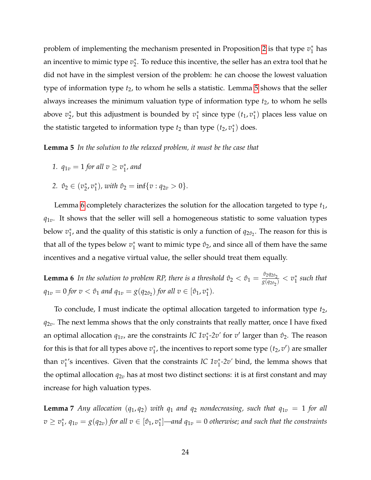problem of implementing the mechanism presented in Proposition [2](#page-24-0) is that type  $v_1^*$  $_1^*$  has an incentive to mimic type  $v_2^*$  $_2^*$ . To reduce this incentive, the seller has an extra tool that he did not have in the simplest version of the problem: he can choose the lowest valuation type of information type  $t_2$ , to whom he sells a statistic. Lemma [5](#page-26-0) shows that the seller always increases the minimum valuation type of information type  $t_2$ , to whom he sells above  $v_2^*$ 2 , but this adjustment is bounded by *v* ∗  $i_1^*$  since type  $(t_1, v_1^*)$  $_1^*$ ) places less value on the statistic targeted to information type  $t_2$  than type  $(t_2, v_1^*)$  $_{1}^{*}$ ) does.

<span id="page-26-0"></span>**Lemma 5** *In the solution to the relaxed problem, it must be the case that*

1. 
$$
q_{1v} = 1
$$
 for all  $v \ge v_1^*$ , and

2. 
$$
\hat{v}_2 \in (v_2^*, v_1^*)
$$
, with  $\hat{v}_2 = \inf\{v : q_{2v} > 0\}$ .

Lemma [6](#page-26-1) completely characterizes the solution for the allocation targeted to type *t*1,  $q_{1v}$ . It shows that the seller will sell a homogeneous statistic to some valuation types **below**  $v_1^*$  $_1^*$ , and the quality of this statistic is only a function of  $q_{2\hat{v}_2}$ . The reason for this is that all of the types below  $v_1^*$  want to mimic type  $\hat{v}_2$ , and since all of them have the same incentives and a negative virtual value, the seller should treat them equally.

<span id="page-26-1"></span>**Lemma 6** In the solution to problem RP, there is a threshold  $\hat{v}_2 < \hat{v}_1 = \frac{\hat{v}_2 q_{2\hat{v}_2}}{g(q_{2\hat{v}_2})}$  $\frac{v_2q_{2\hat{v}_2}}{g(q_{2\hat{v}_2})}< v_1^*$ 1 *such that*  $q_{1v} = 0$  *for*  $v < \hat{v}_1$  *and*  $q_{1v} = g(q_{2\hat{v}_2})$  *for all*  $v \in [\hat{v}_1, v_1^*]$ 1 )*.*

To conclude, I must indicate the optimal allocation targeted to information type *t*2, *q*2*v*. The next lemma shows that the only constraints that really matter, once I have fixed an optimal allocation  $q_{1v}$ , are the constraints *IC*  $1v_1^*$ -2v' for  $v'$  larger than  $\hat{v}_2$ . The reason for this is that for all types above  $v_1^*$  $_1^*$ , the incentives to report some type  $(t_2, v')$  are smaller than *v*<sup>\*</sup><sub>1</sub> <sup>\*</sup><sup>1</sup>'s incentives. Given that the constraints *IC 1v*<sup>∗</sup><sup>2*v*</sup> bind, the lemma shows that the optimal allocation  $q_{2v}$  has at most two distinct sections: it is at first constant and may increase for high valuation types.

<span id="page-26-2"></span>**Lemma** 7 *Any allocation*  $(q_1, q_2)$  *with*  $q_1$  *and*  $q_2$  *nondecreasing, such that*  $q_{1v} = 1$  *for all*  $v \geq v_1^*$  $j^*$ ,  $q_{1v} = g(q_{2v})$  for all  $v \in [\hat{v}_1, v_1^*]$ 1 ]*—and q*1*<sup>v</sup>* = 0 *otherwise; and such that the constraints*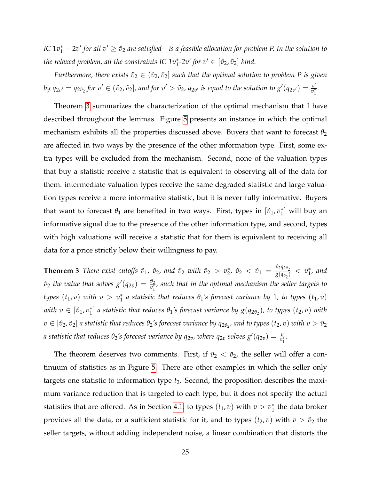*IC*  $1v_1^* - 2v'$  for all  $v' \ge \hat{v}_2$  are satisfied—is a feasible allocation for problem P. In the solution to *the relaxed problem, all the constraints IC*  $1v_1^*$ *-2v' for*  $v' \in [\hat{v}_2, \bar{v}_2]$  *bind.* 

*Furthermore, there exists*  $\tilde{v}_2 \in (\hat{v}_2, \bar{v}_2]$  *such that the optimal solution to problem P is given by*  $q_{2v'}=q_{2\hat{v}_2}$  *for*  $v'\in(\hat{v}_2,\tilde{v}_2]$ *, and for*  $v'>\tilde{v}_2$ *,*  $q_{2v'}$  *is equal to the solution to*  $g'(q_{2v'})=\frac{v'}{v_1^*}$  $\frac{v}{v_1^*}$ .

Theorem [3](#page-27-0) summarizes the characterization of the optimal mechanism that I have described throughout the lemmas. Figure [5](#page-28-1) presents an instance in which the optimal mechanism exhibits all the properties discussed above. Buyers that want to forecast  $\theta_2$ are affected in two ways by the presence of the other information type. First, some extra types will be excluded from the mechanism. Second, none of the valuation types that buy a statistic receive a statistic that is equivalent to observing all of the data for them: intermediate valuation types receive the same degraded statistic and large valuation types receive a more informative statistic, but it is never fully informative. Buyers that want to forecast  $\theta_1$  are benefited in two ways. First, types in  $[\hat{v}_1, v_1^*]$  $_{1}^{*}$ ] will buy an informative signal due to the presence of the other information type, and second, types with high valuations will receive a statistic that for them is equivalent to receiving all data for a price strictly below their willingness to pay.

<span id="page-27-0"></span>**Theorem 3** *There exist cutoffs*  $\hat{v}_1$ ,  $\hat{v}_2$ , and  $\tilde{v}_2$  *with*  $\hat{v}_2 > v_2^*$  $\hat{v}_2^*,\ \hat{v}_2^{}<\ \hat{v}_1^{}=\frac{\hat{v}_2^{}q_{2\hat{v}_2^{}}}{g(q_{\hat{v}_2}^{})}$  $\frac{v_2 q_{2\hat{v}_2}}{g(q_{\hat{v}_2})} < v_1^*$ 1 *, and*  $\tilde{v}_2$  the value that solves  $g'(q_{2\hat{v}}) = \frac{\tilde{v}_2}{v_1^*}$ , such that in the optimal mechanism the seller targets to *types*  $(t_1, v)$  *with*  $v > v_1^*$  $^*_1$  a statistic that reduces  $\theta_1$ 's forecast variance by 1, to types  $(t_1, v)$ *with*  $v \in [\hat{v}_1, v_1^*]$  $_{1}^{*}$ ] a statistic that reduces  $\theta_{1}$ 's forecast variance by  $g(q_{2\hat{\mathit{v}}_{2}})$ , to types  $(t_{2},v)$  with  $v\in[\hat{v}_2,\tilde{v}_2]$  a statistic that reduces  $\theta_2$ 's forecast variance by  $q_{2\hat{v}_2}$ , and to types  $(t_2,v)$  with  $v>\tilde{v}_2$ *a* statistic that reduces  $\theta_2$ 's forecast variance by  $q_{2v}$ , where  $q_{2v}$  solves  $g'(q_{2v}) = \frac{v}{v_1^*}.$ 

The theorem deserves two comments. First, if  $\tilde{v}_2 < \bar{v}_2$ , the seller will offer a continuum of statistics as in Figure [5.](#page-28-1) There are other examples in which the seller only targets one statistic to information type *t*<sub>2</sub>. Second, the proposition describes the maximum variance reduction that is targeted to each type, but it does not specify the actual statistics that are offered. As in Section [4.1,](#page-22-1) to types  $(t_1, v)$  with  $v > v_1^*$  $_1^*$  the data broker provides all the data, or a sufficient statistic for it, and to types  $(t_2, v)$  with  $v > \hat{v}_2$  the seller targets, without adding independent noise, a linear combination that distorts the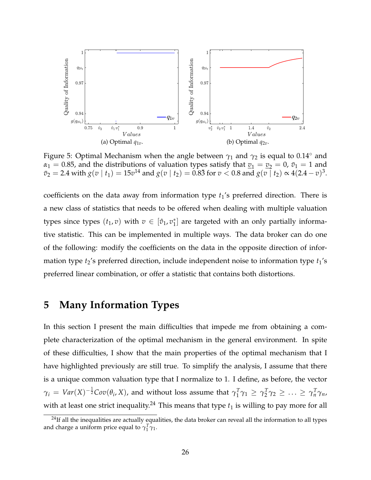<span id="page-28-1"></span>

Figure 5: Optimal Mechanism when the angle between  $\gamma_1$  and  $\gamma_2$  is equal to 0.14° and  $\alpha_1 = 0.85$ , and the distributions of valuation types satisfy that  $v_1 = v_2 = 0$ ,  $\bar{v}_1 = 1$  and  $\bar{v}_2 = 2.4$  with  $g(v \mid t_1) = 15v^{14}$  and  $g(v \mid t_2) = 0.8\bar{3}$  for  $v < 0.8$  and  $g(v \mid t_2) \propto 4(2.4 - v)^3$ .

coefficients on the data away from information type  $t_1$ 's preferred direction. There is a new class of statistics that needs to be offered when dealing with multiple valuation types since types  $(t_1, v)$  with  $v \in [\hat{v}_1, v_1^*]$  $_{1}^{*}$ ] are targeted with an only partially informative statistic. This can be implemented in multiple ways. The data broker can do one of the following: modify the coefficients on the data in the opposite direction of information type  $t_2$ 's preferred direction, include independent noise to information type  $t_1$ 's preferred linear combination, or offer a statistic that contains both distortions.

# <span id="page-28-0"></span>**5 Many Information Types**

In this section I present the main difficulties that impede me from obtaining a complete characterization of the optimal mechanism in the general environment. In spite of these difficulties, I show that the main properties of the optimal mechanism that I have highlighted previously are still true. To simplify the analysis, I assume that there is a unique common valuation type that I normalize to 1. I define, as before, the vector  $\gamma_i \, = \, \textit{Var}(X)^{-\frac{1}{2}} \textit{Cov}(\theta_i,X)$ , and without loss assume that  $\gamma_1^T$  $T_1^T \gamma_1 \geq \gamma_2^T$  $Z_2^T \gamma_2 \geq \ldots \geq \gamma_n^T \gamma_n$ with at least one strict inequality.<sup>24</sup> This means that type  $t_1$  is willing to pay more for all

<sup>&</sup>lt;sup>24</sup>If all the inequalities are actually equalities, the data broker can reveal all the information to all types and charge a uniform price equal to  $\gamma_1^T \gamma_1$ .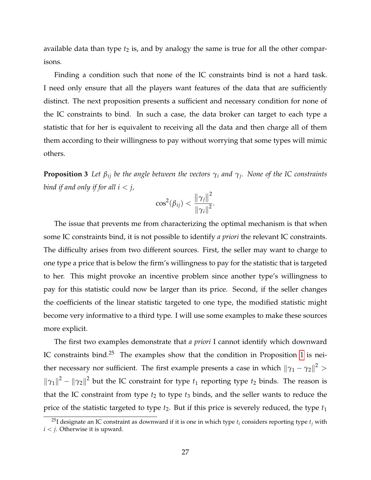available data than type  $t_2$  is, and by analogy the same is true for all the other comparisons.

Finding a condition such that none of the IC constraints bind is not a hard task. I need only ensure that all the players want features of the data that are sufficiently distinct. The next proposition presents a sufficient and necessary condition for none of the IC constraints to bind. In such a case, the data broker can target to each type a statistic that for her is equivalent to receiving all the data and then charge all of them them according to their willingness to pay without worrying that some types will mimic others.

<span id="page-29-0"></span>**Proposition 3** *Let βij be the angle between the vectors γ<sup>i</sup> and γ<sup>j</sup> . None of the IC constraints bind if and only if for all*  $i < j$ *,* 

$$
\cos^2(\beta_{ij}) < \frac{\|\gamma_j\|^2}{\|\gamma_i\|^2}.
$$

The issue that prevents me from characterizing the optimal mechanism is that when some IC constraints bind, it is not possible to identify *a priori* the relevant IC constraints. The difficulty arises from two different sources. First, the seller may want to charge to one type a price that is below the firm's willingness to pay for the statistic that is targeted to her. This might provoke an incentive problem since another type's willingness to pay for this statistic could now be larger than its price. Second, if the seller changes the coefficients of the linear statistic targeted to one type, the modified statistic might become very informative to a third type. I will use some examples to make these sources more explicit.

The first two examples demonstrate that *a priori* I cannot identify which downward IC constraints bind. $25$  The examples show that the condition in Proposition [1](#page-18-0) is neither necessary nor sufficient. The first example presents a case in which  $\left\|\gamma_1 - \gamma_2\right\|^2 >$  $\|\gamma_1\|^2 - \|\gamma_2\|^2$  but the IC constraint for type  $t_1$  reporting type  $t_2$  binds. The reason is that the IC constraint from type  $t_2$  to type  $t_3$  binds, and the seller wants to reduce the price of the statistic targeted to type  $t_2$ . But if this price is severely reduced, the type  $t_1$ 

<sup>&</sup>lt;sup>25</sup>I designate an IC constraint as downward if it is one in which type  $t_i$  considers reporting type  $t_i$  with  $i < j$ . Otherwise it is upward.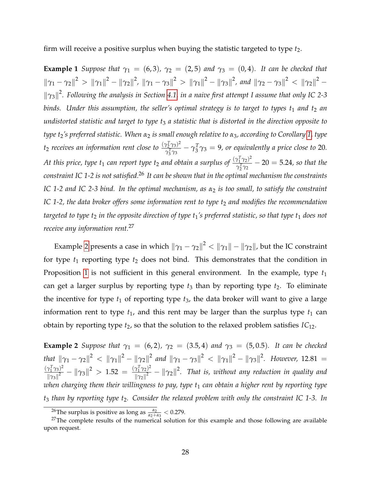firm will receive a positive surplus when buying the statistic targeted to type *t*2.

**Example 1** *Suppose that*  $\gamma_1 = (6, 3)$ ,  $\gamma_2 = (2, 5)$  *and*  $\gamma_3 = (0, 4)$ *. It can be checked that*  $\|\gamma_1 - \gamma_2\|^2 > \|\gamma_1\|^2 - \|\gamma_2\|^2$ ,  $\|\gamma_1 - \gamma_3\|^2 > \|\gamma_1\|^2 - \|\gamma_3\|^2$ , and  $\|\gamma_2 - \gamma_3\|^2 < \|\gamma_2\|^2 \|\gamma_3\|^2$ . Following the analysis in Section [4.1,](#page-22-1) in a naive first attempt I assume that only IC 2-3 *binds. Under this assumption, the seller's optimal strategy is to target to types t<sub>1</sub> <i>and t<sub>2</sub> an undistorted statistic and target to type t*<sup>3</sup> *a statistic that is distorted in the direction opposite to type t*2*'s preferred statistic. When α*<sup>2</sup> *is small enough relative to α*3*, according to Corollary [1,](#page-20-1) type t*<sub>2</sub> *receives an information rent close to*  $\frac{(\gamma_2^T \gamma_3)^2}{\gamma_1^T \gamma_2}$  $\frac{\gamma_{2} \gamma_{3} \gamma_{2}}{\gamma_{3}^{T} \gamma_{3}} - \gamma_{3}^{T}$  $\gamma_3^T \gamma_3 = 9$ , or equivalently a price close to 20. *At this price, type t*<sub>1</sub> *can report type t*<sub>2</sub> *and obtain a surplus of*  $\frac{(\gamma_1^T \gamma_2)^2}{\gamma_1^T \gamma_2}$  $\frac{\gamma_1 \gamma_2}{\gamma_2^T \gamma_2} - 20 = 5.24$ , so that the *constraint IC 1-2 is not satisfied.*<sup>26</sup> *It can be shown that in the optimal mechanism the constraints IC 1-2 and IC 2-3 bind. In the optimal mechanism, as α*<sup>2</sup> *is too small, to satisfy the constraint IC 1-2, the data broker offers some information rent to type t<sub>2</sub> <i>and modifies the recommendation targeted to type t*<sub>2</sub> *in the opposite direction of type t*<sub>1</sub>'s preferred statistic, so that type t<sub>1</sub> does not *receive any information rent.*<sup>27</sup>

Example [2](#page-30-0) presents a case in which  $\left\| \gamma_1 - \gamma_2 \right\|^2 < \left\| \gamma_1 \right\| - \left\| \gamma_2 \right\|$ , but the IC constraint for type  $t_1$  reporting type  $t_2$  does not bind. This demonstrates that the condition in Proposition [1](#page-18-0) is not sufficient in this general environment. In the example, type  $t_1$ can get a larger surplus by reporting type  $t_3$  than by reporting type  $t_2$ . To eliminate the incentive for type  $t_1$  of reporting type  $t_3$ , the data broker will want to give a large information rent to type  $t_1$ , and this rent may be larger than the surplus type  $t_1$  can obtain by reporting type *t*2, so that the solution to the relaxed problem satisfies *IC*12.

<span id="page-30-0"></span>**Example 2** *Suppose that*  $\gamma_1 = (6, 2)$ *,*  $\gamma_2 = (3.5, 4)$  *and*  $\gamma_3 = (5, 0.5)$ *. It can be checked that*  $\|\gamma_1 - \gamma_2\|^2 < \|\gamma_1\|^2 - \|\gamma_2\|^2$  and  $\|\gamma_1 - \gamma_3\|^2 < \|\gamma_1\|^2 - \|\gamma_3\|^2$ . However, 12.81 =  $(\gamma_1^T \gamma_3)^2$  $\frac{\gamma_1^T\gamma_3)^2}{\|\gamma_3\|^2} - \|\gamma_3\|^2 > 1.52 = \frac{(\gamma_1^T\gamma_2)^2}{\|\gamma_2\|^2}$  $\frac{\gamma_1^2 \gamma_2^2}{\|\gamma_2\|^2} - \|\gamma_2\|^2$ . That is, without any reduction in quality and *when charging them their willingness to pay, type t*<sup>1</sup> *can obtain a higher rent by reporting type t*<sup>3</sup> *than by reporting type t*2*. Consider the relaxed problem with only the constraint IC 1-3. In*

<sup>&</sup>lt;sup>26</sup>The surplus is positive as long as  $\frac{\alpha_2}{\alpha_2+\alpha_3} < 0.279$ .

<sup>&</sup>lt;sup>27</sup>The complete results of the numerical solution for this example and those following are available upon request.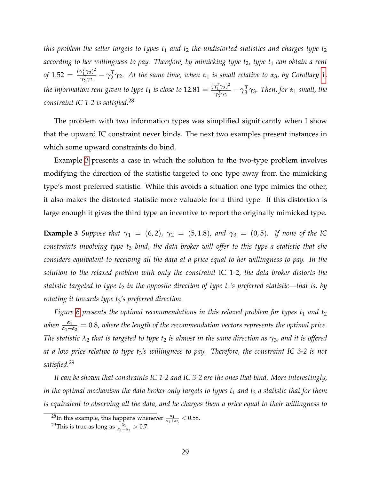*this problem the seller targets to types t<sub>1</sub> and t<sub>2</sub> <i>the undistorted statistics and charges type t<sub>2</sub> according to her willingness to pay. Therefore, by mimicking type t<sub>2</sub>, type t<sub>1</sub> can obtain a rent of* 1.52 =  $\frac{(\gamma_1^T \gamma_2)^2}{\gamma_1^T \gamma_2}$  $\frac{\gamma_1^r\,\gamma_2)^r}{\gamma_2^T\gamma_2}-\gamma_2^T$ 2 2 *γ*2*. At the same time, when α*<sup>1</sup> *is small relative to α*3*, by Corollary [1,](#page-20-1) the information rent given to type t*<sub>1</sub> *is close to*  $12.81 = \frac{(\gamma_1^T \gamma_3)^2}{\gamma_1^T \gamma_2}$  $\frac{\gamma_1^r\gamma_3^r}{\gamma_3^r\gamma_3}-\gamma_3^T$  $\frac{1}{3}\gamma_3$ . Then, for  $\alpha_1$  small, the *constraint IC 1-2 is satisfied.*<sup>28</sup>

The problem with two information types was simplified significantly when I show that the upward IC constraint never binds. The next two examples present instances in which some upward constraints do bind.

Example [3](#page-31-0) presents a case in which the solution to the two-type problem involves modifying the direction of the statistic targeted to one type away from the mimicking type's most preferred statistic. While this avoids a situation one type mimics the other, it also makes the distorted statistic more valuable for a third type. If this distortion is large enough it gives the third type an incentive to report the originally mimicked type.

<span id="page-31-0"></span>**Example 3** *Suppose that*  $\gamma_1 = (6, 2)$ *,*  $\gamma_2 = (5, 1.8)$ *, and*  $\gamma_3 = (0, 5)$ *. If none of the IC constraints involving type t*<sup>3</sup> *bind, the data broker will offer to this type a statistic that she considers equivalent to receiving all the data at a price equal to her willingness to pay. In the solution to the relaxed problem with only the constraint* IC 1-2*, the data broker distorts the statistic targeted to type t*<sub>2</sub> *in the opposite direction of type t*<sup>1</sup>*'s preferred statistic—that is, by rotating it towards type t<sub>3</sub>'s preferred direction.* 

*Figure* [6](#page-32-0) presents the optimal recommendations in this relaxed problem for types  $t_1$  and  $t_2$ *when*  $\frac{\alpha_1}{\alpha_1+\alpha_2}=0.8$ , where the length of the recommendation vectors represents the optimal price. *The statistic λ*<sup>2</sup> *that is targeted to type t*<sup>2</sup> *is almost in the same direction as γ*3*, and it is offered at a low price relative to type t*3*'s willingness to pay. Therefore, the constraint IC 3-2 is not satisfied.*<sup>29</sup>

*It can be shown that constraints IC 1-2 and IC 3-2 are the ones that bind. More interestingly, in the optimal mechanism the data broker only targets to types t*<sup>1</sup> *and t*<sup>3</sup> *a statistic that for them is equivalent to observing all the data, and he charges them a price equal to their willingness to*

<sup>&</sup>lt;sup>28</sup>In this example, this happens whenever  $\frac{\alpha_1}{\alpha_1+\alpha_3} < 0.58$ .

<sup>&</sup>lt;sup>29</sup>This is true as long as  $\frac{\alpha_1}{\alpha_1 + \alpha_2} > 0.7$ .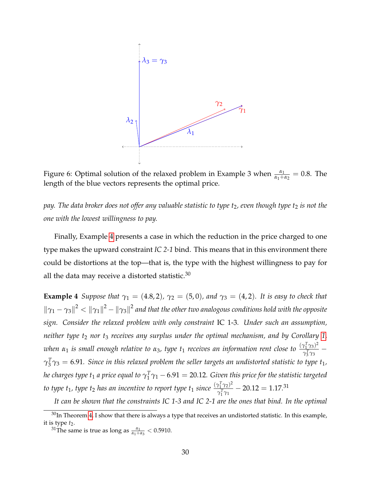<span id="page-32-0"></span>

Figure 6: Optimal solution of the relaxed problem in Example 3 when  $\frac{\alpha_1}{\alpha_1+\alpha_2} = 0.8$ . The length of the blue vectors represents the optimal price.

*pay. The data broker does not offer any valuable statistic to type t<sub>2</sub>, even though type t<sub>2</sub> is not the one with the lowest willingness to pay.*

Finally, Example [4](#page-32-1) presents a case in which the reduction in the price charged to one type makes the upward constraint *IC 2-1* bind. This means that in this environment there could be distortions at the top—that is, the type with the highest willingness to pay for all the data may receive a distorted statistic. $30$ 

<span id="page-32-1"></span>**Example 4** *Suppose that*  $\gamma_1 = (4.8, 2)$ *,*  $\gamma_2 = (5, 0)$ *, and*  $\gamma_3 = (4, 2)$ *. It is easy to check that*  $\|\gamma_1-\gamma_3\|^2<\|\gamma_1\|^2-\|\gamma_3\|^2$  and that the other two analogous conditions hold with the opposite *sign. Consider the relaxed problem with only constraint* IC 1-3*. Under such an assumption, neither type t*<sup>2</sup> *nor t*<sup>3</sup> *receives any surplus under the optimal mechanism, and by Corollary [1,](#page-20-1) when*  $\alpha_1$  *is small enough relative to*  $\alpha_3$ , type  $t_1$  *receives an information rent close to*  $\frac{(\gamma_1^T \gamma_3)^2}{\gamma_1^T \gamma_2}$ *γ*<sub>3</sub> *T*<sub>3</sub><br>*γ*<sub>3</sub> γ<sub>3</sub> 3  $\gamma^T_3$  $\frac{d}{d} \gamma_3 = 6.91$ . Since in this relaxed problem the seller targets an undistorted statistic to type  $t_1$ , *he charges type t*<sup>1</sup> *a price equal to γ T*  $_1^T \gamma_1 - 6.91 = 20.12$ . Given this price for the statistic targeted *to type t*<sub>1</sub>, *type t*<sub>2</sub> *has an incentive to report type t*<sub>1</sub> *since*  $\frac{(\gamma_1^T \gamma_2)^2}{\gamma_1^T \gamma_1}$  $\frac{\gamma_1 \gamma_2 \gamma_1}{\gamma_1^T \gamma_1} - 20.12 = 1.17.31$ 

*It can be shown that the constraints IC 1-3 and IC 2-1 are the ones that bind. In the optimal*

 $30$ In Theorem [4,](#page-33-0) I show that there is always a type that receives an undistorted statistic. In this example, it is type  $t_2$ .

<sup>&</sup>lt;sup>31</sup>The same is true as long as  $\frac{\alpha_1}{\alpha_1 + \alpha_3} < 0.5910$ .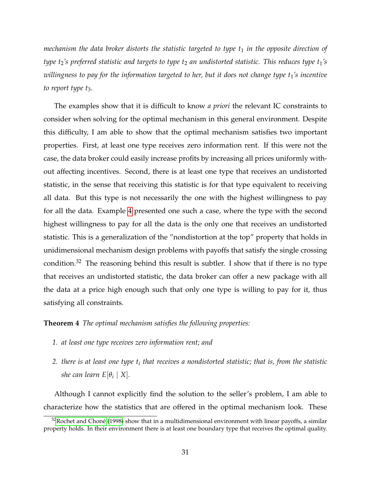*mechanism the data broker distorts the statistic targeted to type t<sub>1</sub> in the opposite direction of type t*2*'s preferred statistic and targets to type t*<sup>2</sup> *an undistorted statistic. This reduces type t*1*'s willingness to pay for the information targeted to her, but it does not change type t<sub>1</sub>'s incentive to report type t*<sub>3</sub>*.* 

The examples show that it is difficult to know *a priori* the relevant IC constraints to consider when solving for the optimal mechanism in this general environment. Despite this difficulty, I am able to show that the optimal mechanism satisfies two important properties. First, at least one type receives zero information rent. If this were not the case, the data broker could easily increase profits by increasing all prices uniformly without affecting incentives. Second, there is at least one type that receives an undistorted statistic, in the sense that receiving this statistic is for that type equivalent to receiving all data. But this type is not necessarily the one with the highest willingness to pay for all the data. Example [4](#page-32-1) presented one such a case, where the type with the second highest willingness to pay for all the data is the only one that receives an undistorted statistic. This is a generalization of the "nondistortion at the top" property that holds in unidimensional mechanism design problems with payoffs that satisfy the single crossing condition.<sup>32</sup> The reasoning behind this result is subtler. I show that if there is no type that receives an undistorted statistic, the data broker can offer a new package with all the data at a price high enough such that only one type is willing to pay for it, thus satisfying all constraints.

#### <span id="page-33-0"></span>**Theorem 4** *The optimal mechanism satisfies the following properties:*

- *1. at least one type receives zero information rent; and*
- *2. there is at least one type t<sup>i</sup> that receives a nondistorted statistic; that is, from the statistic she can learn*  $E[\theta_i | X]$ *.*

Although I cannot explicitly find the solution to the seller's problem, I am able to characterize how the statistics that are offered in the optimal mechanism look. These

 $32$ Rochet and Choné [\(1998\)](#page-36-3) show that in a multidimensional environment with linear payoffs, a similar property holds. In their environment there is at least one boundary type that receives the optimal quality.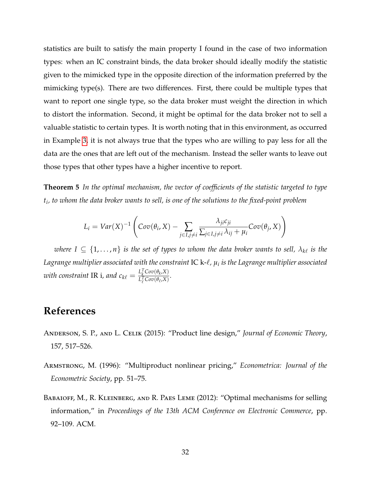statistics are built to satisfy the main property I found in the case of two information types: when an IC constraint binds, the data broker should ideally modify the statistic given to the mimicked type in the opposite direction of the information preferred by the mimicking type(s). There are two differences. First, there could be multiple types that want to report one single type, so the data broker must weight the direction in which to distort the information. Second, it might be optimal for the data broker not to sell a valuable statistic to certain types. It is worth noting that in this environment, as occurred in Example [3,](#page-31-0) it is not always true that the types who are willing to pay less for all the data are the ones that are left out of the mechanism. Instead the seller wants to leave out those types that other types have a higher incentive to report.

<span id="page-34-3"></span>**Theorem 5** *In the optimal mechanism, the vector of coefficients of the statistic targeted to type ti , to whom the data broker wants to sell, is one of the solutions to the fixed-point problem*

$$
L_i = Var(X)^{-1} \left( Cov(\theta_i, X) - \sum_{j \in I, j \neq i} \frac{\lambda_{ji} c_{ji}}{\sum_{j \in I, j \neq i} \lambda_{ij} + \mu_i} Cov(\theta_j, X) \right)
$$

 $w$ here  $I \subseteq \{1,\ldots,n\}$  is the set of types to whom the data broker wants to sell,  $\lambda_{k\ell}$  is the Lagrange multiplier associated with the constraint  $\textsf{IC}\text{ k-}\ell$  ,  $\mu_i$  is the Lagrange multiplier associated *with constraint* IR i, and  $c_{k\ell} = \frac{L_k^T Cov(\theta_k, X)}{L_L^T Cov(\theta_k, X)}$  $\frac{L_k^T \cos(\theta_k, X)}{L_\ell^T \cos(\theta_\ell, X)}$ .

# **References**

- <span id="page-34-2"></span>Anderson, S. P., and L. Celik (2015): "Product line design," *Journal of Economic Theory*, 157, 517–526.
- <span id="page-34-1"></span>Armstrong, M. (1996): "Multiproduct nonlinear pricing," *Econometrica: Journal of the Econometric Society*, pp. 51–75.
- <span id="page-34-0"></span>BABAIOFF, M., R. KLEINBERG, AND R. PAES LEME (2012): "Optimal mechanisms for selling information," in *Proceedings of the 13th ACM Conference on Electronic Commerce*, pp. 92–109. ACM.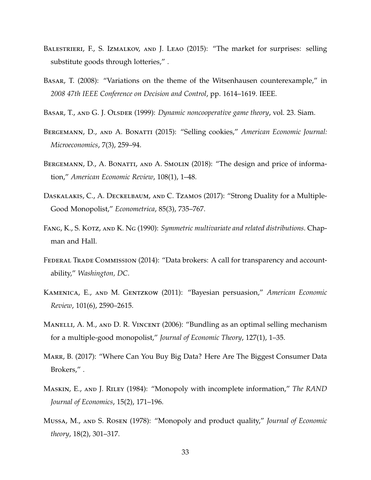- <span id="page-35-7"></span>BALESTRIERI, F., S. IZMALKOV, AND J. LEAO (2015): "The market for surprises: selling substitute goods through lotteries," .
- <span id="page-35-10"></span>Basar, T. (2008): "Variations on the theme of the Witsenhausen counterexample," in *2008 47th IEEE Conference on Decision and Control*, pp. 1614–1619. IEEE.
- <span id="page-35-12"></span>BASAR, T., AND G. J. OLSDER (1999): *Dynamic noncooperative game theory*, vol. 23. Siam.
- <span id="page-35-4"></span>Bergemann, D., and A. Bonatti (2015): "Selling cookies," *American Economic Journal: Microeconomics*, 7(3), 259–94.
- <span id="page-35-2"></span>BERGEMANN, D., A. BONATTI, AND A. SMOLIN (2018): "The design and price of information," *American Economic Review*, 108(1), 1–48.
- <span id="page-35-6"></span>Daskalakis, C., A. Deckelbaum, and C. Tzamos (2017): "Strong Duality for a Multiple-Good Monopolist," *Econometrica*, 85(3), 735–767.
- <span id="page-35-9"></span>Fang, K., S. Kotz, and K. Ng (1990): *Symmetric multivariate and related distributions*. Chapman and Hall.
- <span id="page-35-0"></span>Federal Trade Commission (2014): "Data brokers: A call for transparency and accountability," *Washington, DC*.
- <span id="page-35-11"></span>Kamenica, E., and M. Gentzkow (2011): "Bayesian persuasion," *American Economic Review*, 101(6), 2590–2615.
- <span id="page-35-5"></span>Manelli, A. M., and D. R. Vincent (2006): "Bundling as an optimal selling mechanism for a multiple-good monopolist," *Journal of Economic Theory*, 127(1), 1–35.
- <span id="page-35-1"></span>Marr, B. (2017): "Where Can You Buy Big Data? Here Are The Biggest Consumer Data Brokers," .
- <span id="page-35-8"></span>Maskin, E., and J. Riley (1984): "Monopoly with incomplete information," *The RAND Journal of Economics*, 15(2), 171–196.
- <span id="page-35-3"></span>Mussa, M., and S. Rosen (1978): "Monopoly and product quality," *Journal of Economic theory*, 18(2), 301–317.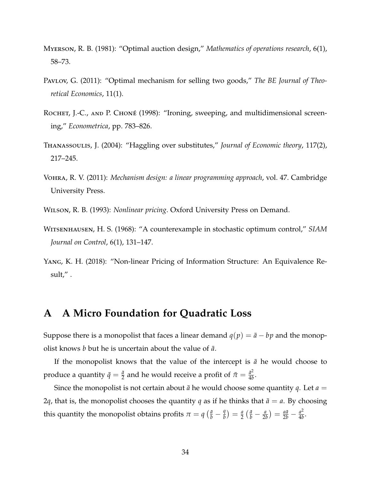- <span id="page-36-2"></span>Myerson, R. B. (1981): "Optimal auction design," *Mathematics of operations research*, 6(1), 58–73.
- <span id="page-36-8"></span>Pavlov, G. (2011): "Optimal mechanism for selling two goods," The BE Journal of Theo*retical Economics*, 11(1).
- <span id="page-36-3"></span>ROCHET, J.-C., AND P. CHONÉ (1998): "Ironing, sweeping, and multidimensional screening," *Econometrica*, pp. 783–826.
- <span id="page-36-5"></span>Thanassoulis, J. (2004): "Haggling over substitutes," *Journal of Economic theory*, 117(2), 217–245.
- <span id="page-36-6"></span>Vohra, R. V. (2011): *Mechanism design: a linear programming approach*, vol. 47. Cambridge University Press.
- <span id="page-36-7"></span>Wilson, R. B. (1993): *Nonlinear pricing*. Oxford University Press on Demand.
- <span id="page-36-1"></span>Witsenhausen, H. S. (1968): "A counterexample in stochastic optimum control," *SIAM Journal on Control*, 6(1), 131–147.
- <span id="page-36-4"></span>Yang, K. H. (2018): "Non-linear Pricing of Information Structure: An Equivalence Result," .

## <span id="page-36-0"></span>**A A Micro Foundation for Quadratic Loss**

Suppose there is a monopolist that faces a linear demand  $q(p) = \bar{a} - bp$  and the monopolist knows *b* but he is uncertain about the value of  $\bar{a}$ .

If the monopolist knows that the value of the intercept is  $\bar{a}$  he would choose to produce a quantity  $\bar{q} = \frac{\bar{a}}{2}$  and he would receive a profit of  $\bar{\pi} = \frac{\bar{a}^2}{4b}$  $rac{a^2}{4b}$ .

Since the monopolist is not certain about  $\bar{a}$  he would choose some quantity  $q$ . Let  $a =$ 2*q*, that is, the monopolist chooses the quantity *q* as if he thinks that  $\bar{a} = a$ . By choosing this quantity the monopolist obtains profits  $\pi = q \left( \frac{\bar{a}}{b} - \frac{q}{b} \right)$  $\left(\frac{q}{b}\right) = \frac{a}{2} \left( \frac{\bar{a}}{b} - \frac{a}{2b} \right) = \frac{a\bar{a}}{2b} - \frac{a^2}{4b}$  $\frac{a^2}{4b}$ .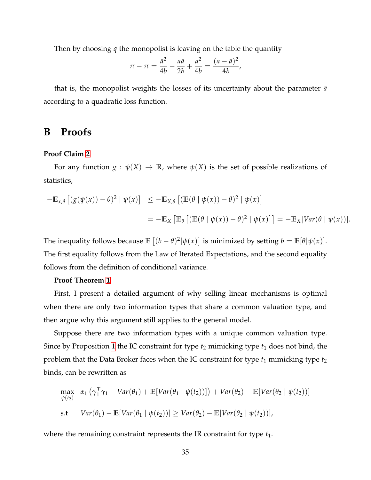Then by choosing *q* the monopolist is leaving on the table the quantity

$$
\bar{\pi} - \pi = \frac{\bar{a}^2}{4b} - \frac{a\bar{a}}{2b} + \frac{a^2}{4b} = \frac{(a - \bar{a})^2}{4b},
$$

that is, the monopolist weights the losses of its uncertainty about the parameter  $\bar{a}$ according to a quadratic loss function.

# <span id="page-37-0"></span>**B Proofs**

#### **Proof Claim [2](#page-12-1)**

For any function  $g : \psi(X) \to \mathbb{R}$ , where  $\psi(X)$  is the set of possible realizations of statistics,

$$
-\mathbb{E}_{x,\theta}\left[\left(g(\psi(x))-\theta\right)^2\mid \psi(x)\right] \leq -\mathbb{E}_{X,\theta}\left[\left(\mathbb{E}(\theta\mid \psi(x))-\theta\right)^2\mid \psi(x)\right]
$$
  
=\left. -\mathbb{E}\_X\left[\mathbb{E}\_{\theta}\left[\left(\mathbb{E}(\theta\mid \psi(x))-\theta\right)^2\mid \psi(x)\right]\right] = -\mathbb{E}\_X[Var(\theta\mid \psi(x))].

The inequality follows because  $\mathbb{E} \left[ (b - \theta)^2 | \psi(x) \right]$  is minimized by setting  $b = \mathbb{E}[\theta | \psi(x)]$ . The first equality follows from the Law of Iterated Expectations, and the second equality follows from the definition of conditional variance.

#### **Proof Theorem [1](#page-13-0)**

First, I present a detailed argument of why selling linear mechanisms is optimal when there are only two information types that share a common valuation type, and then argue why this argument still applies to the general model.

Suppose there are two information types with a unique common valuation type. Since by Proposition [1](#page-18-0) the IC constraint for type  $t_2$  mimicking type  $t_1$  does not bind, the problem that the Data Broker faces when the IC constraint for type  $t_1$  mimicking type  $t_2$ binds, can be rewritten as

$$
\max_{\psi(t_2)} \alpha_1 \left( \gamma_1^T \gamma_1 - Var(\theta_1) + \mathbb{E}[Var(\theta_1 | \psi(t_2))] \right) + Var(\theta_2) - \mathbb{E}[Var(\theta_2 | \psi(t_2))]
$$
\n
$$
\text{s.t} \quad Var(\theta_1) - \mathbb{E}[Var(\theta_1 | \psi(t_2))] \geq Var(\theta_2) - \mathbb{E}[Var(\theta_2 | \psi(t_2))],
$$

where the remaining constraint represents the IR constraint for type  $t_1$ .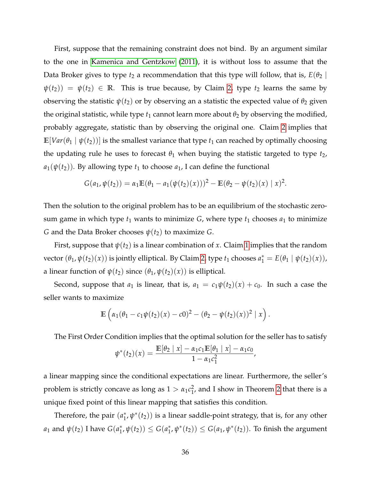First, suppose that the remaining constraint does not bind. By an argument similar to the one in [Kamenica and Gentzkow](#page-35-11) [\(2011\)](#page-35-11), it is without loss to assume that the Data Broker gives to type  $t_2$  a recommendation that this type will follow, that is,  $E(\theta_2 \mid$  $\psi(t_2)$ ) =  $\psi(t_2) \in \mathbb{R}$ . This is true because, by Claim [2,](#page-12-1) type  $t_2$  learns the same by observing the statistic  $\psi(t_2)$  or by observing an a statistic the expected value of  $\theta_2$  given the original statistic, while type  $t_1$  cannot learn more about  $\theta_2$  by observing the modified, probably aggregate, statistic than by observing the original one. Claim [2](#page-12-1) implies that  $\mathbb{E}[Var(\theta_1 | \psi(t_2))]$  is the smallest variance that type  $t_1$  can reached by optimally choosing the updating rule he uses to forecast  $\theta_1$  when buying the statistic targeted to type  $t_2$ ,  $a_1(\psi(t_2))$ . By allowing type  $t_1$  to choose  $a_1$ , I can define the functional

$$
G(a_1, \psi(t_2)) = \alpha_1 \mathbb{E}(\theta_1 - a_1(\psi(t_2)(x)))^2 - \mathbb{E}(\theta_2 - \psi(t_2)(x) | x)^2.
$$

Then the solution to the original problem has to be an equilibrium of the stochastic zerosum game in which type  $t_1$  wants to minimize  $G$ , where type  $t_1$  chooses  $a_1$  to minimize *G* and the Data Broker chooses  $\psi(t_2)$  to maximize *G*.

First, suppose that  $\psi(t_2)$  is a linear combination of x. Claim [1](#page-11-1) implies that the random vector  $(\theta_1, \psi(t_2)(x))$  is jointly elliptical. By Claim [2,](#page-12-1) type  $t_1$  chooses  $a_1^* = E(\theta_1 | \psi(t_2)(x))$ , a linear function of  $\psi(t_2)$  since  $(\theta_1, \psi(t_2)(x))$  is elliptical.

Second, suppose that  $a_1$  is linear, that is,  $a_1 = c_1 \psi(t_2)(x) + c_0$ . In such a case the seller wants to maximize

$$
\mathbb{E}\left(\alpha_1(\theta_1-c_1\psi(t_2)(x)-c0)^2-(\theta_2-\psi(t_2)(x))^2\mid x\right).
$$

The First Order Condition implies that the optimal solution for the seller has to satisfy

$$
\psi^*(t_2)(x) = \frac{\mathbb{E}[\theta_2 \mid x] - \alpha_1 c_1 \mathbb{E}[\theta_1 \mid x] - \alpha_1 c_0}{1 - \alpha_1 c_1^2},
$$

a linear mapping since the conditional expectations are linear. Furthermore, the seller's problem is strictly concave as long as  $1 > \alpha_1 c_1^2$  $\frac{2}{1}$ , and I show in Theorem [2](#page-20-0) that there is a unique fixed point of this linear mapping that satisfies this condition.

Therefore, the pair  $(a_1^*)$  $_1^*, \psi^*(t_2))$  is a linear saddle-point strategy, that is, for any other *a*<sub>1</sub> and  $\psi(t_2)$  I have  $G(a_1^*)$  $_1^*, \psi(t_2)) \leq G(a_1^*)$  $\mathbf{f}_{1}^{*}, \psi^{*}(t_{2}) \leq G(a_{1}, \psi^{*}(t_{2})).$  To finish the argument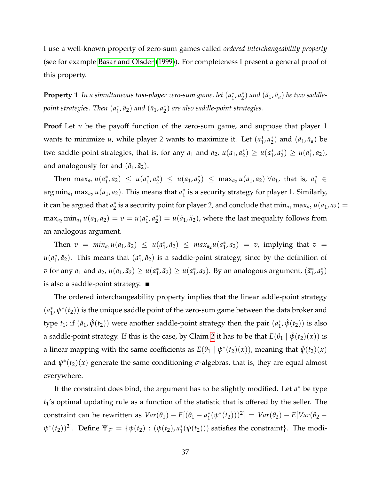I use a well-known property of zero-sum games called *ordered interchangeability property* (see for example [Basar and Olsder](#page-35-12) [\(1999\)](#page-35-12)). For completeness I present a general proof of this property.

**Property 1** *In a simultaneous two-player zero-sum game, let* (*a* ∗  $_{1}^{*}$ ,  $a_{2}^{*}$  $\binom{*}{2}$  and  $(\tilde{a}_1, \tilde{a}_a)$  be two saddle*point strategies. Then* (*a* ∗  $\left(\frac{a}{1}, \frac{a}{2}\right)$  and  $\left(\frac{a}{a_1}, a_2^*\right)$ 2 ) *are also saddle-point strategies.*

**Proof** Let *u* be the payoff function of the zero-sum game, and suppose that player 1 wants to minimize  $u$ , while player 2 wants to maximize it. Let  $(a_1^*)$  $_{1}^{*}$ ,  $a_{2}^{*}$  $\binom{*}{2}$  and  $(\tilde{a}_1, \tilde{a}_a)$  be two saddle-point strategies, that is, for any  $a_1$  and  $a_2$ ,  $u(a_1, a_2^*)$  $y_2^*$ )  $\geq u(a_1^*$  $_{1}^{*}$ ,  $a_{2}^{*}$  $y_2^*$ )  $\geq u(a_1^*$  $_{1}^{*},a_{2}),$ and analogously for and  $(\tilde{a}_1, \tilde{a}_2)$ .

Then  $\max_{a_2} u(a_1^*)$  $u_1^*, a_2 \leq u(a_1^*)$  $_{1}^{*}$ ,  $a_{2}^{*}$  $y_2^*$   $\leq u(a_1, a_2^*)$  $\binom{1}{2}$   $\leq$  max<sub>*a*2</sub></sub> *u*(*a*<sub>1</sub>, *a*<sub>2</sub>)  $\forall$ *a*<sub>1</sub>, that is, *a*<sup>\*</sup><sub>1</sub>  $\in$  $\argmin_{a_1} \max_{a_2} u(a_1, a_2)$ . This means that  $a_1^*$  $_1^\ast$  is a security strategy for player 1. Similarly, it can be argued that *a* ∗  $_2^*$  is a security point for player 2, and conclude that  $\min_{a_1} \max_{a_2} u(a_1, a_2) = 0$  $max_{a_2} min_{a_1} u(a_1, a_2) = v = u(a_1^*)$  $_{1}^{*}$ ,  $a_{2}^{*}$  $\mathbf{z}^*_{(2)} = u(\tilde{a}_1, \tilde{a}_2)$ , where the last inequality follows from an analogous argument.

Then  $v = min_{a_1}u(a_1, \tilde{a}_2) \leq u(a_1^*)$  $\left( \sum_{1}^{*}, \tilde{a}_{2} \right) \leq \max_{a_{2}} u(a_{1}^{*})$  $j_1^*, a_2$  = *v*, implying that *v* = *u*(*a* ∗  $_1^*, \tilde{a}_2$ ). This means that  $(a_1^*)$  $_1^*, \tilde{a}_2$ ) is a saddle-point strategy, since by the definition of *v* for any *a*<sub>1</sub> and *a*<sub>2</sub>, *u*(*a*<sub>1</sub>,  $\tilde{a}_2$ )  $\geq u(a_1^*)$  $u_1^*, \tilde{a}_2) \geq u(a_1^*)$  $_1^*, a_2$ ). By an analogous argument,  $(\tilde{a}_1^*)$  $_{1}^{*}$ ,  $a_{2}^{*}$  $_{2}^{*}$ is also a saddle-point strategy.

The ordered interchangeability property implies that the linear addle-point strategy (*a* ∗  $_1^*,\psi^*(t_2))$  is the unique saddle point of the zero-sum game between the data broker and type  $t_1$ ; if  $(\hat{a}_1, \hat{\psi}(t_2))$  were another saddle-point strategy then the pair  $(a_1^*$  $_{1}^{*}$ ,  $\hat{\psi}(t_{2})$ ) is also a saddle-point strategy. If this is the case, by Claim [2](#page-12-1) it has to be that  $E(\theta_1 | \tilde{\psi}(t_2)(x))$  is a linear mapping with the same coefficients as  $E(\theta_1 \mid \psi^*(t_2)(x))$ , meaning that  $\tilde{\psi}(t_2)(x)$ and  $\psi^*(t_2)(x)$  generate the same conditioning  $\sigma$ -algebras, that is, they are equal almost everywhere.

If the constraint does bind, the argument has to be slightly modified. Let  $a_1^*$  $_1^*$  be type *t*1's optimal updating rule as a function of the statistic that is offered by the seller. The constraint can be rewritten as  $Var(\theta_1) - E[(\theta_1 - a_1^*)]$  $\int_{1}^{*} (\psi^{*}(t_{2})))^{2}$ ] = *Var*( $\theta_{2}$ ) – *E*[*Var*( $\theta_{2}$ ) –  $\psi^*(t_2))^2$ . Define  $\Psi_{\mathcal{F}} = {\psi(t_2) : (\psi(t_2), a_1^*)}$  $_1^*(\psi(t_2))$ ) satisfies the constraint}. The modi-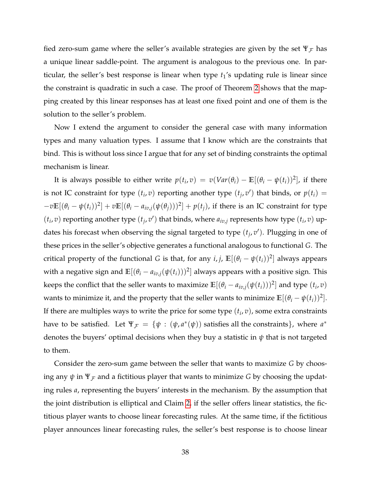fied zero-sum game where the seller's available strategies are given by the set  $\Psi_{\mathcal{F}}$  has a unique linear saddle-point. The argument is analogous to the previous one. In particular, the seller's best response is linear when type *t*1's updating rule is linear since the constraint is quadratic in such a case. The proof of Theorem [2](#page-20-0) shows that the mapping created by this linear responses has at least one fixed point and one of them is the solution to the seller's problem.

Now I extend the argument to consider the general case with many information types and many valuation types. I assume that I know which are the constraints that bind. This is without loss since I argue that for any set of binding constraints the optimal mechanism is linear.

It is always possible to either write  $p(t_i, v) = v(Var(\theta_i) - \mathbb{E}[(\theta_i - \psi(t_i))^2]$ , if there is not IC constraint for type  $(t_i, v)$  reporting another type  $(t_j, v')$  that binds, or  $p(t_i)$  =  $-v\mathbb{E}[(\theta_i-\psi(t_i))^2]+v\mathbb{E}[(\theta_i-a_{iv,j}(\psi(\theta_j)))^2]+p(t_j)$ , if there is an IC constraint for type  $(t_i, v)$  reporting another type  $(t_j, v')$  that binds, where  $a_{iv,j}$  represents how type  $(t_i, v)$  updates his forecast when observing the signal targeted to type  $(t_j, v')$ . Plugging in one of these prices in the seller's objective generates a functional analogous to functional *G*. The critical property of the functional *G* is that, for any  $i, j$ ,  $\mathbb{E}[(\theta_i - \psi(t_i))^2]$  always appears with a negative sign and  $\mathbb{E}[(\theta_i - a_{iv,j}(\psi(t_i)))^2]$  always appears with a positive sign. This keeps the conflict that the seller wants to maximize  $\mathbb{E}[(\theta_i - a_{iv,j}(\psi(t_i)))^2]$  and type  $(t_i, v)$ wants to minimize it, and the property that the seller wants to minimize  $\mathbb{E}[(\theta_i - \psi(t_i))^2].$ If there are multiples ways to write the price for some type  $(t_i, v)$ , some extra constraints have to be satisfied. Let  $\Psi_{\mathcal{F}} = \{ \psi : (\psi, a^*(\psi)) \text{ satisfies all the constraints} \}, \text{ where } a^*$ denotes the buyers' optimal decisions when they buy a statistic in *ψ* that is not targeted to them.

Consider the zero-sum game between the seller that wants to maximize *G* by choosing any  $\psi$  in  $\Psi_{\mathcal{F}}$  and a fictitious player that wants to minimize *G* by choosing the updating rules *a*, representing the buyers' interests in the mechanism. By the assumption that the joint distribution is elliptical and Claim [2,](#page-12-1) if the seller offers linear statistics, the fictitious player wants to choose linear forecasting rules. At the same time, if the fictitious player announces linear forecasting rules, the seller's best response is to choose linear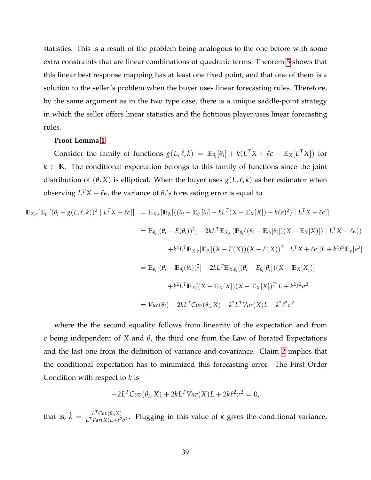statistics. This is a result of the problem being analogous to the one before with some extra constraints that are linear combinations of quadratic terms. Theorem [5](#page-34-3) shows that this linear best response mapping has at least one fixed point, and that one of them is a solution to the seller's problem when the buyer uses linear forecasting rules. Therefore, by the same argument as in the two type case, there is a unique saddle-point strategy in which the seller offers linear statistics and the fictitious player uses linear forecasting rules.

#### **Proof Lemma [1](#page-14-0)**

Consider the family of functions  $g(L, \ell, k) = \mathbb{E}_{\theta_i}[\theta_i] + k(L^T X + \ell \epsilon - \mathbb{E}_X[L^T X])$  for  $k \in \mathbb{R}$ . The conditional expectation belongs to this family of functions since the joint distribution of  $(\theta, X)$  is elliptical. When the buyer uses  $g(L, \ell, k)$  as her estimator when observing  $L^T X + \ell \epsilon$ , the variance of  $\theta_i$ 's forecasting error is equal to

$$
\mathbb{E}_{X,\epsilon}[\mathbb{E}_{\theta_i}[(\theta_i - g(L,\ell,k))^2 | L^T X + \ell \epsilon]] = \mathbb{E}_{X,\epsilon}[\mathbb{E}_{\theta_i}[((\theta_i - \mathbb{E}_{\theta_i}[\theta_i] - kL^T(X - \mathbb{E}_X[X]) - k\ell \epsilon)^2) | L^T X + \ell \epsilon]]
$$
  
\n
$$
= \mathbb{E}_{\theta_i}[(\theta_i - E(\theta_i))^2] - 2kL^T \mathbb{E}_{X,\epsilon}(\mathbb{E}_{\theta_i}((\theta_i - \mathbb{E}_{\theta_i}[\theta_i])(X - \mathbb{E}_X[X])]) | L^T X + \ell \epsilon))
$$
  
\n
$$
+ k^2 L^T \mathbb{E}_{X,\epsilon}[\mathbb{E}_{\theta_i}[(X - E(X))(X - E(X))^T | L^T X + \ell \epsilon]]L + k^2 \ell^2 \mathbb{E}_{\epsilon}[\epsilon^2]
$$
  
\n
$$
= \mathbb{E}_{\theta_i}[(\theta_i - \mathbb{E}_{\theta_i}(\theta_i))^2] - 2kL^T \mathbb{E}_{X,\theta_i}[(\theta_i - E_{\theta_i}[\theta_i])(X - \mathbb{E}_X[X])]
$$
  
\n
$$
+ k^2 L^T \mathbb{E}_X[(X - \mathbb{E}_X[X])(X - \mathbb{E}_X[X])^T]L + k^2 \ell^2 \sigma^2
$$
  
\n
$$
= Var(\theta_i) - 2kL^T Cov(\theta_i, X) + k^2 L^T Var(X)L + k^2 \ell^2 \sigma^2
$$

where the the second equality follows from linearity of the expectation and from *e* being independent of *X* and *θ*, the third one from the Law of Iterated Expectations and the last one from the definition of variance and covariance. Claim [2](#page-12-1) implies that the conditional expectation has to minimized this forecasting error. The First Order Condition with respect to *k* is

$$
-2L^{T}Cov(\theta_{i}, X) + 2kL^{T}Var(X)L + 2k\ell^{2}\sigma^{2} = 0,
$$

that is,  $\hat{k} = \frac{L^T Cov(\theta_i, X)}{L^T Var(X)I + \ell^2}$  $\frac{L \text{ Cov}(v_i, x)}{L^T Var(X)L + l^2 \sigma^2}$ . Plugging in this value of *k* gives the conditional variance,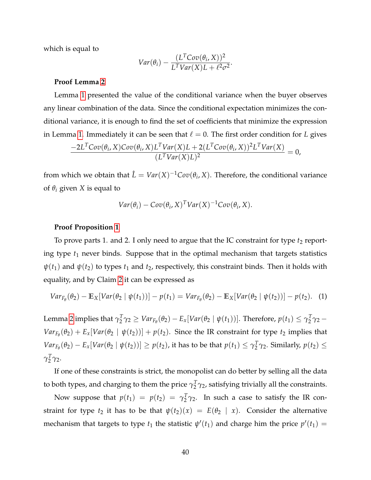which is equal to

$$
Var(\theta_i) - \frac{(L^T Cov(\theta_i, X))^2}{L^T Var(X)L + \ell^2 \sigma^2}.
$$

#### **Proof Lemma [2](#page-14-1)**

Lemma [1](#page-14-0) presented the value of the conditional variance when the buyer observes any linear combination of the data. Since the conditional expectation minimizes the conditional variance, it is enough to find the set of coefficients that minimize the expression in Lemma [1.](#page-14-0) Immediately it can be seen that  $\ell = 0$ . The first order condition for *L* gives

$$
\frac{-2L^T \text{Cov}(\theta_i, X) \text{Cov}(\theta_i, X) L^T \text{Var}(X) L + 2(L^T \text{Cov}(\theta_i, X))^2 L^T \text{Var}(X)}{(L^T \text{Var}(X) L)^2} = 0,
$$

from which we obtain that  $\hat{L} = Var(X)^{-1}Cov(\theta_i, X)$ . Therefore, the conditional variance of  $\theta_i$  given *X* is equal to

$$
Var(\theta_i) - Cov(\theta_i, X)^T Var(X)^{-1}Cov(\theta_i, X).
$$

#### **Proof Proposition [1](#page-18-0)**

To prove parts 1. and 2. I only need to argue that the IC constraint for type  $t_2$  reporting type *t*<sup>1</sup> never binds. Suppose that in the optimal mechanism that targets statistics  $ψ(t_1)$  and  $ψ(t_2)$  to types  $t_1$  and  $t_2$ , respectively, this constraint binds. Then it holds with equality, and by Claim [2](#page-12-1) it can be expressed as

$$
Var_{F_{\theta}}(\theta_2) - \mathbb{E}_X[Var(\theta_2 \mid \psi(t_1))] - p(t_1) = Var_{F_{\theta}}(\theta_2) - \mathbb{E}_X[Var(\theta_2 \mid \psi(t_2))] - p(t_2).
$$
 (1)

Lemma [2](#page-14-1) implies that  $\gamma_{2}^{T}$  $Z_1^T \gamma_2 \geq Var_{F_{\theta}}(\theta_2) - E_x[Var(\theta_2 \mid \psi(t_1))].$  Therefore,  $p(t_1) \leq \gamma_2^T$  $\frac{T}{2}$ γ<sub>2</sub> –  $Var_{F_{\theta}}(\theta_2) + E_x[Var(\theta_2 \mid \psi(t_2))] + p(t_2)$ . Since the IR constraint for type  $t_2$  implies that  $Var_{F_{\theta}}(\theta_2) - E_x[Var(\theta_2 \mid \psi(t_2))] \geq p(t_2)$ , it has to be that  $p(t_1) \leq \gamma_2^T$  $\frac{T}{2}$ γ<sub>2</sub>. Similarly,  $p(t_2) \leq$  $\gamma^T_2$  $\frac{1}{2}$  γ<sub>2</sub>.

If one of these constraints is strict, the monopolist can do better by selling all the data to both types, and charging to them the price  $\gamma_{2}^T$  $\frac{1}{2}\gamma_2$ , satisfying trivially all the constraints.

Now suppose that  $p(t_1) = p(t_2) = \gamma_2^T$  $\frac{1}{2}$  $\gamma$ <sub>2</sub>. In such a case to satisfy the IR constraint for type  $t_2$  it has to be that  $\psi(t_2)(x) = E(\theta_2 | x)$ . Consider the alternative mechanism that targets to type  $t_1$  the statistic  $\psi'(t_1)$  and charge him the price  $p'(t_1)$  =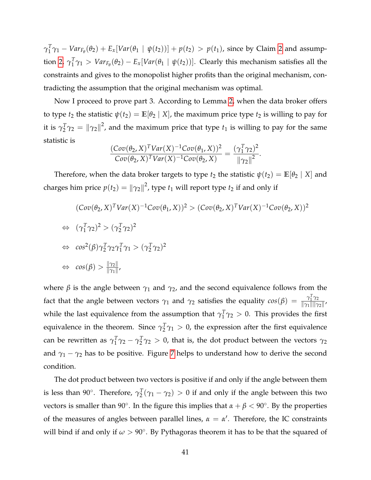$\gamma_1^T$  $\frac{T}{1}$ γ<sub>1</sub> − *Var*<sub>*F*<sup>β</sup></sub>( $\theta$ <sub>2</sub>) + *E<sub>x</sub>*[*Var*( $\theta$ <sub>1</sub> |  $\psi$ (*t*<sub>2</sub>))] + *p*(*t*<sub>2</sub>) > *p*(*t*<sub>1</sub>), since by Claim [2](#page-12-1) and assump-tion [2,](#page-16-2)  $\gamma_1^T$  $\int_1^T \gamma_1 > Var_{F_\theta}(\theta_2) - E_x[Var(\theta_1 \mid \psi(t_2))].$  Clearly this mechanism satisfies all the constraints and gives to the monopolist higher profits than the original mechanism, contradicting the assumption that the original mechanism was optimal.

Now I proceed to prove part 3. According to Lemma [2,](#page-14-1) when the data broker offers to type  $t_2$  the statistic  $\psi(t_2) = \mathbb{E}[\theta_2 | X]$ , the maximum price type  $t_2$  is willing to pay for it is  $\gamma^T_2$  $\frac{T}{2}\gamma_2 = \left\|\gamma_2\right\|^2$ , and the maximum price that type  $t_1$  is willing to pay for the same statistic is

$$
\frac{(Cov(\theta_2, X)^T Var(X)^{-1}Cov(\theta_1, X))^2}{Cov(\theta_2, X)^T Var(X)^{-1}Cov(\theta_2, X)} = \frac{(\gamma_1^T \gamma_2)^2}{\|\gamma_2\|^2}.
$$

Therefore, when the data broker targets to type  $t_2$  the statistic  $\psi(t_2) = \mathbb{E}[\theta_2 \mid X]$  and charges him price  $p(t_2) = ||\gamma_2||^2$ , type  $t_1$  will report type  $t_2$  if and only if

$$
(\text{Cov}(\theta_2, X)^T \text{Var}(X)^{-1} \text{Cov}(\theta_1, X))^2 > (\text{Cov}(\theta_2, X)^T \text{Var}(X)^{-1} \text{Cov}(\theta_2, X))^2
$$
  
\n
$$
\Leftrightarrow (\gamma_1^T \gamma_2)^2 > (\gamma_2^T \gamma_2)^2
$$
  
\n
$$
\Leftrightarrow \cos^2(\beta) \gamma_2^T \gamma_2 \gamma_1^T \gamma_1 > (\gamma_2^T \gamma_2)^2
$$
  
\n
$$
\Leftrightarrow \cos(\beta) > \frac{\|\gamma_2\|}{\|\gamma_1\|},
$$

where  $\beta$  is the angle between  $\gamma_1$  and  $\gamma_2$ , and the second equivalence follows from the fact that the angle between vectors  $\gamma_1$  and  $\gamma_2$  satisfies the equality  $cos(\beta) = \frac{\gamma_1^T \gamma_2}{\|\gamma_1\|\|\gamma_2\|\|\gamma_3\|\|\gamma_4\|}$  $\frac{1}{\|\gamma_1\| \|\gamma_2\|}$ while the last equivalence from the assumption that  $\gamma_1^T$  $\int_1^T \gamma_2 > 0$ . This provides the first equivalence in the theorem. Since *γ T*  $\frac{T}{2}\gamma_1 > 0$ , the expression after the first equivalence can be rewritten as  $\gamma_1^T$  $<sup>T</sup><sub>1</sub> γ<sub>2</sub> - γ<sup>T</sup><sub>2</sub>$ </sup>  $\gamma_2^T \gamma_2 > 0$ , that is, the dot product between the vectors  $\gamma_2$ and  $\gamma_1 - \gamma_2$  has to be positive. Figure [7](#page-44-0) helps to understand how to derive the second condition.

The dot product between two vectors is positive if and only if the angle between them is less than 90°. Therefore,  $\gamma_{2}^{T}$  $T_2(\gamma_1 - \gamma_2) > 0$  if and only if the angle between this two vectors is smaller than 90°. In the figure this implies that  $\alpha + \beta < 90^{\circ}$ . By the properties of the measures of angles between parallel lines,  $\alpha = \alpha'$ . Therefore, the IC constraints will bind if and only if  $\omega > 90^{\circ}$ . By Pythagoras theorem it has to be that the squared of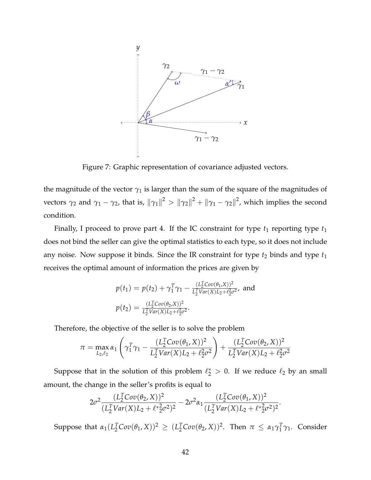<span id="page-44-0"></span>

Figure 7: Graphic representation of covariance adjusted vectors.

the magnitude of the vector  $\gamma_1$  is larger than the sum of the square of the magnitudes of vectors  $\gamma_2$  and  $\gamma_1 - \gamma_2$ , that is,  $\|\gamma_1\|^2 > \|\gamma_2\|^2 + \|\gamma_1 - \gamma_2\|^2$ , which implies the second condition.

Finally, I proceed to prove part 4. If the IC constraint for type  $t_1$  reporting type  $t_1$ does not bind the seller can give the optimal statistics to each type, so it does not include any noise. Now suppose it binds. Since the IR constraint for type  $t_2$  binds and type  $t_1$ receives the optimal amount of information the prices are given by

$$
p(t_1) = p(t_2) + \gamma_1^T \gamma_1 - \frac{(L_2^T Cov(\theta_1, X))^2}{L_2^T Var(X)L_2 + \ell_2^2 \sigma^2}, \text{ and}
$$
  

$$
p(t_2) = \frac{(L_2^T Cov(\theta_2, X))^2}{L_2^T Var(X)L_2 + \ell_2^2 \sigma^2}.
$$

Therefore, the objective of the seller is to solve the problem

$$
\pi = \max_{L_2, \ell_2} \alpha_1 \left( \gamma_1^T \gamma_1 - \frac{(L_2^T \text{Cov}(\theta_1, X))^2}{L_2^T \text{Var}(X) L_2 + \ell_2^2 \sigma^2} \right) + \frac{(L_2^T \text{Cov}(\theta_2, X))^2}{L_2^T \text{Var}(X) L_2 + \ell_2^2 \sigma^2}
$$

Suppose that in the solution of this problem  $\ell_2^* > 0$ . If we reduce  $\ell_2$  by an small amount, the change in the seller's profits is equal to

$$
2\sigma^2 \frac{(L_2^T \text{Cov}(\theta_2, X))^2}{(L_2^T \text{Var}(X)L_2 + \ell^*_{2}^2 \sigma^2)^2} - 2\sigma^2 \alpha_1 \frac{(L_2^T \text{Cov}(\theta_1, X))^2}{(L_2^T \text{Var}(X)L_2 + \ell^*_{2}^2 \sigma^2)^2}.
$$

 $\text{Suppose that } \alpha_1(L_2^T \text{Cov}(\theta_1, X))^2 \geq (L_2^T \text{Cov}(\theta_2, X))^2$ . Then  $\pi \leq \alpha_1 \gamma_1^T$  $<sup>I</sup><sub>1</sub> γ<sub>1</sub>$ . Consider</sup>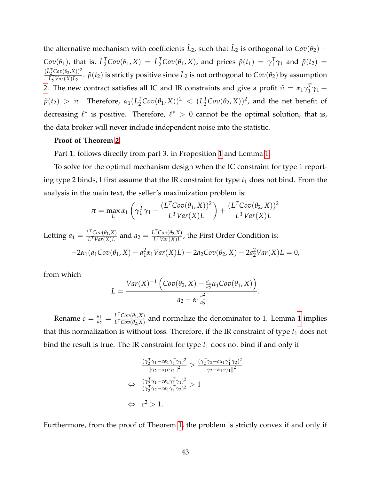the alternative mechanism with coefficients  $\tilde{L}_2$ , such that  $\tilde{L}_2$  is orthogonal to  $Cov(\theta_2)$  –  $Cov(\theta_1)$ , that is,  $\tilde{L}_2^T Cov(\theta_1, X) = \tilde{L}_2^T Cov(\theta_1, X)$ , and prices  $\tilde{p}(t_1) = \gamma_1^T$  $i_1^T \gamma_1$  and  $\tilde{p}(t_2)$  =  $(\tilde{L}_2^T Cov(\theta_2, X))^2$  $\frac{L_2^2 Cov(\theta_2, X))^2}{\tilde{L}_2^T Var(X)\tilde{L}_2}$ .  $\tilde{p}(t_2)$  is strictly positive since  $\tilde{L}_2$  is not orthogonal to  $Cov(\theta_2)$  by assumption [2.](#page-16-2) The new contract satisfies all IC and IR constraints and give a profit  $\tilde{\pi} = \alpha_1 \gamma_1^T$  $\frac{T}{1}\gamma_1 +$  $p(t_2) > π$ . Therefore,  $α_1(L_2^T Cov(\theta_1, X))^2 < (L_2^T Cov(\theta_2, X))^2$ , and the net benefit of decreasing  $\ell^*$  is positive. Therefore,  $\ell^* > 0$  cannot be the optimal solution, that is, the data broker will never include independent noise into the statistic.

#### **Proof of Theorem [2](#page-20-0)**

Part 1. follows directly from part 3. in Proposition [1](#page-18-0) and Lemma [1.](#page-14-0)

To solve for the optimal mechanism design when the IC constraint for type 1 reporting type 2 binds, I first assume that the IR constraint for type *t*<sup>1</sup> does not bind. From the analysis in the main text, the seller's maximization problem is:

$$
\pi = \max_{L} \alpha_1 \left( \gamma_1^T \gamma_1 - \frac{(L^T \text{Cov}(\theta_1, X))^2}{L^T \text{Var}(X) L} \right) + \frac{(L^T \text{Cov}(\theta_2, X))^2}{L^T \text{Var}(X) L}
$$

Letting  $a_1 = \frac{L^T Cov(\theta_1, X)}{L^T Var(X) L}$  $\frac{L^T Cov(\theta_1, X)}{L^T Var(X) L}$  and  $a_2 = \frac{L^T Cov(\theta_2, X)}{L^T Var(X) L}$  $\frac{L^2 \text{Cov}(\nu_2, A)}{L^T Var(X) L}$ , the First Order Condition is:  $-2\alpha_1(a_1Cov(\theta_1, X) - a_1^2)$  $2a_1x_1Var(X)L$  + 2 $a_2Cov(\theta_2, X) - 2a_2x_1(X)L = 0$ ,

from which

$$
L = \frac{Var(X)^{-1} \left( Cov(\theta_2, X) - \frac{a_1}{a_2} \alpha_1 Cov(\theta_1, X) \right)}{a_2 - \alpha_1 \frac{a_1^2}{a_2}}.
$$

Rename  $c = \frac{a_1}{a_2}$  $\frac{a_1}{a_2} = \frac{L^T Cov(\theta_1, X)}{L^T Cov(\theta_2, X)}$  $\frac{L}{L} \frac{Cov(\theta_1, A)}{Cov(\theta_2, X)}$  and normalize the denominator to [1](#page-14-0). Lemma 1 implies that this normalization is without loss. Therefore, if the IR constraint of type  $t_1$  does not bind the result is true. The IR constraint for type  $t_1$  does not bind if and only if

$$
\frac{(\gamma_2^T \gamma_1 - c\alpha_1 \gamma_1^T \gamma_1)^2}{\|\gamma_2 - \alpha_1 c \gamma_1\|^2} > \frac{(\gamma_2^T \gamma_2 - c\alpha_1 \gamma_1^T \gamma_2)^2}{\|\gamma_2 - \alpha_1 c \gamma_1\|^2}
$$
  
\n
$$
\Leftrightarrow \frac{(\gamma_2^T \gamma_1 - c\alpha_1 \gamma_1^T \gamma_1)^2}{(\gamma_2^T \gamma_2 - c\alpha_1 \gamma_1^T \gamma_2)^2} > 1
$$
  
\n
$$
\Leftrightarrow c^2 > 1.
$$

Furthermore, from the proof of Theorem [1,](#page-13-0) the problem is strictly convex if and only if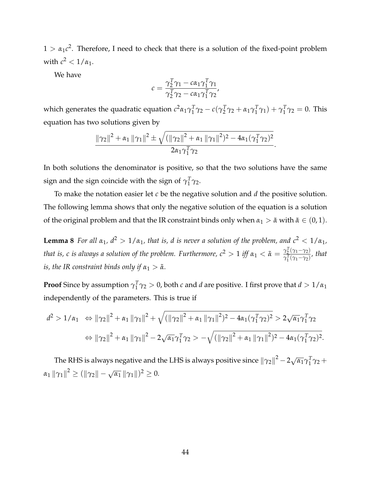$1 > \alpha_1 c^2$ . Therefore, I need to check that there is a solution of the fixed-point problem with  $c^2 < 1/\alpha_1$ .

We have

$$
c = \frac{\gamma_2^T \gamma_1 - c\alpha_1 \gamma_1^T \gamma_1}{\gamma_2^T \gamma_2 - c\alpha_1 \gamma_1^T \gamma_2'}
$$

which generates the quadratic equation *c* <sup>2</sup>*α*1*γ T*  $T_1^T$ γ<sub>2</sub> –  $c(\gamma_2^T)$  $T_2^T$ γ<sub>2</sub> + α<sub>1</sub>γ<sup>T</sup><sub>1</sub>  $\gamma_1^T \gamma_1$ ) +  $\gamma_1^T$  $j_1^T \gamma_2 = 0$ . This equation has two solutions given by

$$
\frac{\|\gamma_2\|^2 + \alpha_1 \|\gamma_1\|^2 \pm \sqrt{(\|\gamma_2\|^2 + \alpha_1 \|\gamma_1\|^2)^2 - 4\alpha_1(\gamma_1^T\gamma_2)^2}}{2\alpha_1\gamma_1^T\gamma_2}.
$$

In both solutions the denominator is positive, so that the two solutions have the same sign and the sign coincide with the sign of  $\gamma_1^T$  $<sup>1</sup>$  γ2.</sup>

To make the notation easier let *c* be the negative solution and *d* the positive solution. The following lemma shows that only the negative solution of the equation is a solution of the original problem and that the IR constraint binds only when  $\alpha_1 > \tilde{\alpha}$  with  $\tilde{\alpha} \in (0,1)$ .

<span id="page-46-0"></span>**Lemma 8** *For all*  $\alpha_1$ ,  $d^2 > 1/\alpha_1$ , that is, d is never a solution of the problem, and  $c^2 < 1/\alpha_1$ , *that is, c is always a solution of the problem. Furthermore,*  $c^2 > 1$  *iff*  $\alpha_1 < \tilde{\alpha} = \frac{\gamma_2^T(\gamma_1 - \gamma_2)}{\gamma_1^T(\gamma_1 - \gamma_2)}$  $\frac{T_2(T_1-T_2)}{\gamma_1^T(\gamma_1-\gamma_2)}$ , that *is, the IR constraint binds only if*  $\alpha_1 > \tilde{\alpha}$ *.* 

**Proof** Since by assumption *γ T*  $\frac{T}{1}$ γ<sub>2</sub> > 0, both *c* and *d* are positive. I first prove that *d* > 1/*α*<sub>1</sub> independently of the parameters. This is true if

$$
d^{2} > 1/\alpha_{1} \Leftrightarrow ||\gamma_{2}||^{2} + \alpha_{1} ||\gamma_{1}||^{2} + \sqrt{(||\gamma_{2}||^{2} + \alpha_{1} ||\gamma_{1}||^{2})^{2} - 4\alpha_{1}(\gamma_{1}^{T}\gamma_{2})^{2}} > 2\sqrt{\alpha_{1}}\gamma_{1}^{T}\gamma_{2}
$$

$$
\Leftrightarrow ||\gamma_{2}||^{2} + \alpha_{1} ||\gamma_{1}||^{2} - 2\sqrt{\alpha_{1}}\gamma_{1}^{T}\gamma_{2} > -\sqrt{(||\gamma_{2}||^{2} + \alpha_{1} ||\gamma_{1}||^{2})^{2} - 4\alpha_{1}(\gamma_{1}^{T}\gamma_{2})^{2}}.
$$

The RHS is always negative and the LHS is always positive since  $\left\| \gamma_{2} \right\|^{2}-2\sqrt{2}$  $\overline{\alpha_1}\gamma_1^T$  $\frac{T}{1}\gamma_2 +$ *α*<sub>1</sub> ||  $γ_1$ ||<sup>2</sup>  $\ge$  (||  $γ_2$ || -  $\sqrt{ }$  $\overline{\alpha_1} \, \|\gamma_1\|$ <sup>2</sup>  $\geq 0$ .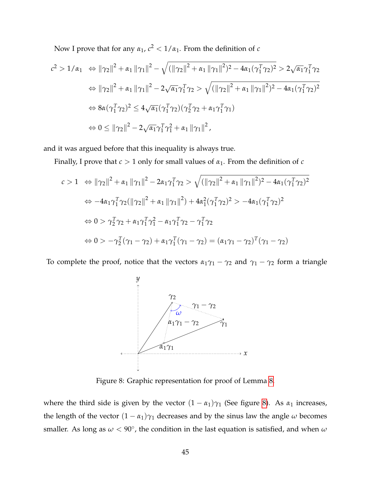Now I prove that for any  $\alpha_1$ ,  $c^2 < 1/\alpha_1$ . From the definition of *c* 

$$
c^{2} > 1/\alpha_{1} \Leftrightarrow ||\gamma_{2}||^{2} + \alpha_{1} ||\gamma_{1}||^{2} - \sqrt{(||\gamma_{2}||^{2} + \alpha_{1} ||\gamma_{1}||^{2})^{2} - 4\alpha_{1}(\gamma_{1}^{T}\gamma_{2})^{2}} > 2\sqrt{\alpha_{1}}\gamma_{1}^{T}\gamma_{2}
$$
  
\n
$$
\Leftrightarrow ||\gamma_{2}||^{2} + \alpha_{1} ||\gamma_{1}||^{2} - 2\sqrt{\alpha_{1}}\gamma_{1}^{T}\gamma_{2} > \sqrt{(||\gamma_{2}||^{2} + \alpha_{1} ||\gamma_{1}||^{2})^{2} - 4\alpha_{1}(\gamma_{1}^{T}\gamma_{2})^{2}}
$$
  
\n
$$
\Leftrightarrow 8\alpha(\gamma_{1}^{T}\gamma_{2})^{2} \le 4\sqrt{\alpha_{1}}(\gamma_{1}^{T}\gamma_{2})(\gamma_{2}^{T}\gamma_{2} + \alpha_{1}\gamma_{1}^{T}\gamma_{1})
$$
  
\n
$$
\Leftrightarrow 0 \le ||\gamma_{2}||^{2} - 2\sqrt{\alpha_{1}}\gamma_{1}^{T}\gamma_{1}^{2} + \alpha_{1} ||\gamma_{1}||^{2},
$$

and it was argued before that this inequality is always true.

Finally, I prove that *c* > 1 only for small values of *α*1. From the definition of *c*

$$
c > 1 \Leftrightarrow ||\gamma_2||^2 + \alpha_1 ||\gamma_1||^2 - 2\alpha_1 \gamma_1^T \gamma_2 > \sqrt{(||\gamma_2||^2 + \alpha_1 ||\gamma_1||^2)^2 - 4\alpha_1 (\gamma_1^T \gamma_2)^2}
$$
  
\n
$$
\Leftrightarrow -4\alpha_1 \gamma_1^T \gamma_2 (||\gamma_2||^2 + \alpha_1 ||\gamma_1||^2) + 4\alpha_1^2 (\gamma_1^T \gamma_2)^2 > -4\alpha_1 (\gamma_1^T \gamma_2)^2
$$
  
\n
$$
\Leftrightarrow 0 > \gamma_2^T \gamma_2 + \alpha_1 \gamma_1^T \gamma_1^2 - \alpha_1 \gamma_1^T \gamma_2 - \gamma_1^T \gamma_2
$$
  
\n
$$
\Leftrightarrow 0 > -\gamma_2^T (\gamma_1 - \gamma_2) + \alpha_1 \gamma_1^T (\gamma_1 - \gamma_2) = (\alpha_1 \gamma_1 - \gamma_2)^T (\gamma_1 - \gamma_2)
$$

<span id="page-47-0"></span>To complete the proof, notice that the vectors  $\alpha_1\gamma_1 - \gamma_2$  and  $\gamma_1 - \gamma_2$  form a triangle



Figure 8: Graphic representation for proof of Lemma [8.](#page-46-0)

where the third side is given by the vector  $(1 - \alpha_1)\gamma_1$  (See figure [8\)](#page-47-0). As  $\alpha_1$  increases, the length of the vector  $(1 - \alpha_1)\gamma_1$  decreases and by the sinus law the angle  $\omega$  becomes smaller. As long as  $\omega < 90^{\circ}$ , the condition in the last equation is satisfied, and when  $\omega$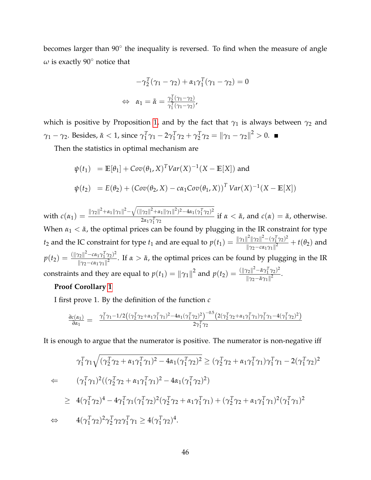becomes larger than 90° the inequality is reversed. To find when the measure of angle *ω* is exactly 90◦ notice that

$$
-\gamma_2^T(\gamma_1 - \gamma_2) + \alpha_1 \gamma_1^T(\gamma_1 - \gamma_2) = 0
$$
  
\n
$$
\Leftrightarrow \alpha_1 = \tilde{\alpha} = \frac{\gamma_2^T(\gamma_1 - \gamma_2)}{\gamma_1^T(\gamma_1 - \gamma_2)},
$$

which is positive by Proposition [1,](#page-18-0) and by the fact that  $\gamma_1$  is always between  $\gamma_2$  and *γ*<sup>1</sup> − *γ*2. Besides, *α*˜ < 1, since *γ T*  $T_1^T \gamma_1 - 2\gamma_1^T$  $T_1^T \gamma_2 + \gamma_2^T$  $\frac{T}{2}\gamma_2 = ||\gamma_1 - \gamma_2||^2 > 0.$ 

Then the statistics in optimal mechanism are

$$
\psi(t_1) = \mathbb{E}[\theta_1] + Cov(\theta_1, X)^T Var(X)^{-1}(X - \mathbb{E}[X]) \text{ and}
$$
  

$$
\psi(t_2) = E(\theta_2) + (Cov(\theta_2, X) - c\alpha_1 Cov(\theta_1, X))^T Var(X)^{-1}(X - \mathbb{E}[X])
$$

 $\text{with } c(\alpha_1) = \frac{\|\gamma_2\|^2 + \alpha_1 \|\gamma_1\|^2 - \sqrt{(\|\gamma_2\|^2 + \alpha_1 \|\gamma_1\|^2)^2 - 4\alpha_1 (\gamma_1^T \gamma_2)^2}}{2\alpha_1 \gamma_1^T \gamma_2}$  $\frac{2\alpha_1 \gamma_1^T \gamma_2}{2\alpha_1 \gamma_1^T \gamma_2}$  if  $\alpha < \tilde{\alpha}$ , and  $c(\alpha) = \tilde{\alpha}$ , otherwise. 1 When  $\alpha_1 < \tilde{\alpha}$ , the optimal prices can be found by plugging in the IR constraint for type *t*<sub>2</sub> and the IC constraint for type *t*<sub>1</sub> and are equal to  $p(t_1) = \frac{\|\gamma_1\|^2 \|\gamma_2\|^2 - (\gamma_1^T \gamma_2)^2}{\|\gamma_2 - \gamma_1 \gamma_2\|^2}$  $\frac{|| ||\gamma_2|| - (|\gamma_1| \gamma_2)|}{||\gamma_2 - c\alpha_1 \gamma_1||^2} + t(\theta_2)$  and  $p(t_2) = \frac{(\|\gamma_2\|^2 - c\alpha_1\gamma_1^T\gamma_2)^2}{\|\alpha_2 - c\alpha_1\gamma_1\|^2}$  $\frac{f_2|| - c\alpha_1 \gamma_1 \gamma_2}{||\gamma_2 - c\alpha_1 \gamma_1||^2}$ . If *α* >  $\tilde{\alpha}$ , the optimal prices can be found by plugging in the IR constraints and they are equal to  $p(t_1) = ||\gamma_1||^2$  and  $p(t_2) = \frac{(||\gamma_2||^2 - \tilde{\alpha}\gamma_1^T\gamma_2)^2}{||\gamma_2 - \tilde{\alpha}\gamma_1||^2}$  $\frac{r_2||-\alpha r_1 r_2}{\|\gamma_2-\tilde{\alpha}\gamma_1\|^2}$ .

#### **Proof Corollary [1](#page-20-1)**

I first prove 1. By the definition of the function *c*

$$
\tfrac{\partial c(\alpha_1)}{\partial \alpha_1} = \tfrac{\gamma_1^T \gamma_1 - 1/2 \left((\gamma_2^T \gamma_2 + \alpha_1 \gamma_1^T \gamma_1)^2 - 4 \alpha_1 (\gamma_1^T \gamma_2)^2\right)^{-0.5} \left(2 (\gamma_2^T \gamma_2 + \alpha_1 \gamma_1^T \gamma_1) \gamma_1^T \gamma_1 - 4 (\gamma_1^T \gamma_2)^2\right)}{2 \gamma_1^T \gamma_2}
$$

It is enough to argue that the numerator is positive. The numerator is non-negative iff

$$
\gamma_1^T \gamma_1 \sqrt{(\gamma_2^T \gamma_2 + \alpha_1 \gamma_1^T \gamma_1)^2 - 4\alpha_1 (\gamma_1^T \gamma_2)^2} \ge (\gamma_2^T \gamma_2 + \alpha_1 \gamma_1^T \gamma_1) \gamma_1^T \gamma_1 - 2(\gamma_1^T \gamma_2)^2
$$
  
\n
$$
\Leftarrow (\gamma_1^T \gamma_1)^2 ((\gamma_2^T \gamma_2 + \alpha_1 \gamma_1^T \gamma_1)^2 - 4\alpha_1 (\gamma_1^T \gamma_2)^2)
$$
  
\n
$$
\ge 4(\gamma_1^T \gamma_2)^4 - 4\gamma_1^T \gamma_1 (\gamma_1^T \gamma_2)^2 (\gamma_2^T \gamma_2 + \alpha_1 \gamma_1^T \gamma_1) + (\gamma_2^T \gamma_2 + \alpha_1 \gamma_1^T \gamma_1)^2 (\gamma_1^T \gamma_1)^2
$$
  
\n
$$
\Leftrightarrow 4(\gamma_1^T \gamma_2)^2 \gamma_2^T \gamma_2 \gamma_1^T \gamma_1 \ge 4(\gamma_1^T \gamma_2)^4.
$$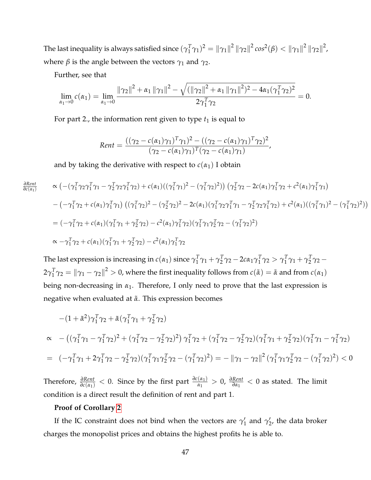The last inequality is always satisfied since  $(\gamma_1^T)$  $\int_1^T \gamma_1^2 = \|\gamma_1\|^2 \|\gamma_2\|^2 \cos^2(\beta) < \|\gamma_1\|^2 \|\gamma_2\|^2$ , where  $\beta$  is the angle between the vectors  $\gamma_1$  and  $\gamma_2$ .

Further, see that

$$
\lim_{\alpha_1 \to 0} c(\alpha_1) = \lim_{\alpha_1 \to 0} \frac{\|\gamma_2\|^2 + \alpha_1 \|\gamma_1\|^2 - \sqrt{(\|\gamma_2\|^2 + \alpha_1 \|\gamma_1\|^2)^2 - 4\alpha_1(\gamma_1^T\gamma_2)^2}}{2\gamma_1^T\gamma_2} = 0.
$$

For part 2., the information rent given to type  $t_1$  is equal to

$$
Rent = \frac{((\gamma_2 - c(\alpha_1)\gamma_1)^T \gamma_1)^2 - ((\gamma_2 - c(\alpha_1)\gamma_1)^T \gamma_2)^2}{(\gamma_2 - c(\alpha_1)\gamma_1)^T (\gamma_2 - c(\alpha_1)\gamma_1)},
$$

and by taking the derivative with respect to  $c(\alpha_1)$  I obtain

$$
\tfrac{\partial Rent}{\partial c(\alpha_1)}
$$

$$
\alpha \left( -(\gamma_1^T \gamma_2 \gamma_1^T \gamma_1 - \gamma_2^T \gamma_2 \gamma_1^T \gamma_2) + c(\alpha_1)((\gamma_1^T \gamma_1)^2 - (\gamma_1^T \gamma_2)^2) \right) (\gamma_2^T \gamma_2 - 2c(\alpha_1)\gamma_1^T \gamma_2 + c^2(\alpha_1)\gamma_1^T \gamma_1)
$$
  
-( $-\gamma_1^T \gamma_2 + c(\alpha_1)\gamma_1^T \gamma_1$ ) (( $\gamma_1^T \gamma_2)^2 - (\gamma_2^T \gamma_2)^2 - 2c(\alpha_1)(\gamma_1^T \gamma_2 \gamma_1^T \gamma_1 - \gamma_2^T \gamma_2 \gamma_1^T \gamma_2) + c^2(\alpha_1)((\gamma_1^T \gamma_1)^2 - (\gamma_1^T \gamma_2)^2))$   
=  $(-\gamma_1^T \gamma_2 + c(\alpha_1)(\gamma_1^T \gamma_1 + \gamma_2^T \gamma_2) - c^2(\alpha_1)\gamma_1^T \gamma_2)(\gamma_1^T \gamma_1 \gamma_2^T \gamma_2 - (\gamma_1^T \gamma_2)^2)$   
 $\alpha - \gamma_1^T \gamma_2 + c(\alpha_1)(\gamma_1^T \gamma_1 + \gamma_2^T \gamma_2) - c^2(\alpha_1)\gamma_1^T \gamma_2$ 

The last expression is increasing in  $c(\alpha_1)$  since  $\gamma_1^T$  $T_1^T \gamma_1 + \gamma_2^T$  $\frac{T}{2}$ γ<sub>2</sub> – 2cα<sub>1</sub>γ<sup>T</sup><sub>1</sub>  $<sup>T</sup><sub>1</sub>γ<sub>2</sub> > γ<sub>1</sub><sup>T</sup>$ </sup>  $T_1^T \gamma_1 + \gamma_2^T$  $\frac{T}{2}$ γ<sub>2</sub> –  $2\gamma_1^T$  $T_1^T \gamma_2 = ||\gamma_1 - \gamma_2||^2 > 0$ , where the first inequality follows from  $c(\tilde{\alpha}) = \tilde{\alpha}$  and from  $c(\alpha_1)$ being non-decreasing in  $\alpha_1$ . Therefore, I only need to prove that the last expression is negative when evaluated at *α*˜. This expression becomes

$$
-(1 + \tilde{\alpha}^{2})\gamma_{1}^{T}\gamma_{2} + \tilde{\alpha}(\gamma_{1}^{T}\gamma_{1} + \gamma_{2}^{T}\gamma_{2})
$$
  
\n
$$
\alpha - ((\gamma_{1}^{T}\gamma_{1} - \gamma_{1}^{T}\gamma_{2})^{2} + (\gamma_{1}^{T}\gamma_{2} - \gamma_{2}^{T}\gamma_{2})^{2})\gamma_{1}^{T}\gamma_{2} + (\gamma_{1}^{T}\gamma_{2} - \gamma_{2}^{T}\gamma_{2})(\gamma_{1}^{T}\gamma_{1} + \gamma_{2}^{T}\gamma_{2})(\gamma_{1}^{T}\gamma_{1} - \gamma_{1}^{T}\gamma_{2})
$$
  
\n
$$
= (-\gamma_{1}^{T}\gamma_{1} + 2\gamma_{1}^{T}\gamma_{2} - \gamma_{2}^{T}\gamma_{2})(\gamma_{1}^{T}\gamma_{1}\gamma_{2}^{T}\gamma_{2} - (\gamma_{1}^{T}\gamma_{2})^{2}) = - ||\gamma_{1} - \gamma_{2}||^{2}(\gamma_{1}^{T}\gamma_{1}\gamma_{2}^{T}\gamma_{2} - (\gamma_{1}^{T}\gamma_{2})^{2}) < 0
$$

Therefore,  $\frac{\partial Rent}{\partial c(\alpha_1)} < 0$ . Since by the first part  $\frac{\partial c(\alpha_1)}{\alpha_1} > 0$ ,  $\frac{\partial Rent}{\partial \alpha_1} < 0$  as stated. The limit condition is a direct result the definition of rent and part 1.

#### **Proof of Corollary [2](#page-21-0)**

If the IC constraint does not bind when the vectors are  $\gamma_1'$  $\gamma'_1$  and  $\gamma'_2$  $'_{2'}$ , the data broker charges the monopolist prices and obtains the highest profits he is able to.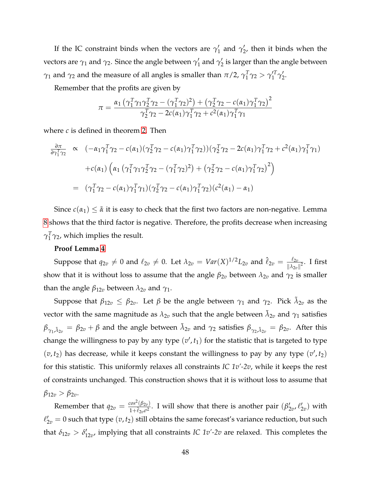If the IC constraint binds when the vectors are  $\gamma_1'$  $\gamma'_1$  and  $\gamma'_2$  $_2^{\prime}$ , then it binds when the vectors are  $\gamma_1$  and  $\gamma_2$ . Since the angle between  $\gamma_1'$  $\frac{7}{1}$  and  $\gamma_2'$  $_2^{\prime}$  is larger than the angle between  $\gamma_1$  and  $\gamma_2$  and the measure of all angles is smaller than  $\pi/2$ ,  $\gamma_1^T$  $T_1^T$ γ<sub>2</sub> > γ'<sub>1</sub><sup>T</sup> *'<sub>1</sub>'T*<sub>2</sub>'<sub>2</sub>  $\frac{7}{2}$ 

Remember that the profits are given by

$$
\pi = \frac{\alpha_1 \left( \gamma_1^T \gamma_1 \gamma_2^T \gamma_2 - (\gamma_1^T \gamma_2)^2 \right) + \left( \gamma_2^T \gamma_2 - c(\alpha_1) \gamma_1^T \gamma_2 \right)^2}{\gamma_2^T \gamma_2 - 2c(\alpha_1) \gamma_1^T \gamma_2 + c^2(\alpha_1) \gamma_1^T \gamma_1}
$$

where *c* is defined in theorem [2.](#page-20-0) Then

$$
\frac{\partial \pi}{\partial \gamma_1^T \gamma_2} \propto (-\alpha_1 \gamma_1^T \gamma_2 - c(\alpha_1)(\gamma_2^T \gamma_2 - c(\alpha_1)\gamma_1^T \gamma_2))(\gamma_2^T \gamma_2 - 2c(\alpha_1)\gamma_1^T \gamma_2 + c^2(\alpha_1)\gamma_1^T \gamma_1) \n+ c(\alpha_1) \left( \alpha_1 (\gamma_1^T \gamma_1 \gamma_2^T \gamma_2 - (\gamma_1^T \gamma_2)^2) + (\gamma_2^T \gamma_2 - c(\alpha_1)\gamma_1^T \gamma_2)^2 \right) \n= (\gamma_1^T \gamma_2 - c(\alpha_1)\gamma_1^T \gamma_1)(\gamma_2^T \gamma_2 - c(\alpha_1)\gamma_1^T \gamma_2)(c^2(\alpha_1) - \alpha_1)
$$

Since  $c(\alpha_1) \leq \tilde{\alpha}$  it is easy to check that the first two factors are non-negative. Lemma [8](#page-46-0) shows that the third factor is negative. Therefore, the profits decrease when increasing  $\gamma_1^T$  $\frac{1}{1}\gamma_2$ , which implies the result.

#### **Proof Lemma [4](#page-25-0)**

Suppose that  $q_{2v} \neq 0$  and  $\ell_{2v} \neq 0$ . Let  $\lambda_{2v} = Var(X)^{1/2}L_{2v}$  and  $\hat{\ell}_{2v} = \frac{\ell_{2v}}{\mu_{2v}}$  $\frac{\iota_{2v}}{\|\lambda_{2v}\|^2}$ . I first show that it is without loss to assume that the angle  $\beta_{2v}$  between  $\lambda_{2v}$  and  $\gamma_2$  is smaller than the angle  $\beta_{12v}$  between  $\lambda_{2v}$  and  $\gamma_1$ .

Suppose that  $\beta_{12v} \leq \beta_{2v}$ . Let  $\beta$  be the angle between  $\gamma_1$  and  $\gamma_2$ . Pick  $\tilde{\lambda}_{2v}$  as the vector with the same magnitude as  $\lambda_{2v}$  such that the angle between  $\tilde{\lambda}_{2v}$  and  $\gamma_1$  satisfies  $\beta_{\gamma_1,\tilde{\lambda}_{2v}}=\beta_{2v}+\beta$  and the angle between  $\tilde{\lambda}_{2v}$  and  $\gamma_2$  satisfies  $\beta_{\gamma_2,\tilde{\lambda}_{2v}}=\beta_{2v}.$  After this change the willingness to pay by any type  $(v', t_1)$  for the statistic that is targeted to type  $(v, t_2)$  has decrease, while it keeps constant the willingness to pay by any type  $(v', t_2)$ for this statistic. This uniformly relaxes all constraints *IC 1v'-2v*, while it keeps the rest of constraints unchanged. This construction shows that it is without loss to assume that  $β_{12v} > β_{2v}$ .

Remember that  $q_{2v} = \frac{\cos^2(\beta_{2v})}{1 + \beta_0 \sigma^2}$  $\frac{\cos^2(\beta_{2v})}{1+\hat{\ell}_{2v}\sigma^2}$ . I will show that there is another pair  $(\beta_2)$  $\frac{1}{2v}$ ,  $\ell_2'$  $y'_{2v}$ ) with  $\ell_{2v}' = 0$  such that type  $(v, t_2)$  still obtains the same forecast's variance reduction, but such that  $\delta_{12v} > \delta_1'$  $T_{12v}$ , implying that all constraints *IC 1v'-2v* are relaxed. This completes the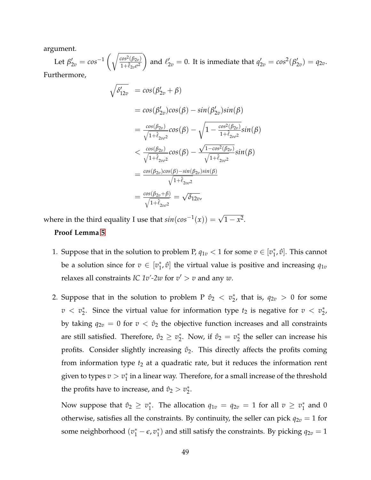argument.

Let  $\beta'_{2v} = cos^{-1}\left(\sqrt{\frac{cos^2(\beta_{2v})}{1+\hat{\ell}_{2v}\sigma^2}}\right)$  $1+\hat{\ell}_{2v}\sigma^2$ and  $\ell'_{2v} = 0$ . It is inmediate that  $q'_{2v} = cos^2(\beta'_2)$  $\binom{1}{2v} = q_{2v}.$ Furthermore,

> $\sqrt{\delta_{12v}'}$  =  $cos(\beta_{2v}'+\beta)$  $= cos(\beta_2^{\prime})$  $\mathcal{L}_{2v}$ ) $cos(\beta) - sin(\beta_2^{\prime})$ 2*v* )*sin*(*β*)  $=\frac{cos(\beta_{2v})}{\sqrt{2}}$  $\sqrt{1+\hat{\ell}_{2v\sigma^2}}$ 2*vσ*  $cos(\beta) - \sqrt{1 - \frac{cos^2(\beta_{2v})}{1 + \beta_{2v}}}$ 1+ˆ` 2*vσ* 2 *sin*(*β*)  $\langle \frac{\cos(\beta_{2v})}{\sqrt{2}} \rangle$  $\sqrt{1+\hat{\ell}_{2v\sigma^2}}$ *cos*(*β*) − √ 1−*cos*2(*β*2*v*)  $\sqrt{1+\hat{\ell}_{2v\sigma^2}}$ *sin*(*β*) = *cos*(*β*2*v*)*cos*(*β*)−*sin*(*β*2*v*)*sin*(*β*)  $\sqrt{1+\hat{\ell}_{2v\sigma^2}}$  $=\frac{\cos(\beta_{2v}+\beta)}{\sqrt{2}}$  $\sqrt{1+\hat{\ell}_{2v\sigma^2}}$ = √ *δ*12*v*,

where in the third equality I use that  $sin(cos^{-1}(x)) = \sqrt{1 - x^2}$ .

#### **Proof Lemma [5](#page-26-0)**

- 1. Suppose that in the solution to problem P,  $q_{1v} < 1$  for some  $v \in [v_1^*]$  $_{1}^{*}$ ,  $\hat{v}$ ]. This cannot be a solution since for  $v \in [v_1^*]$  $_{1}^{*}$ ,  $\hat{v}$ ] the virtual value is positive and increasing  $q_{1v}$ relaxes all constraints *IC 1v'-2w* for  $v' > v$  and any *w*.
- 2. Suppose that in the solution to problem P  $\hat{v}_2 < v_2^*$  $_{2}^{*}$ , that is,  $q_{2v} > 0$  for some  $v < v_2^*$ <sup>\*</sup><sub>2</sub>. Since the virtual value for information type  $t_2$  is negative for  $v < v_2^*$  $_{2}^{*}$ , by taking  $q_{2v} = 0$  for  $v < \hat{v}_2$  the objective function increases and all constraints are still satisfied. Therefore,  $\hat{v}_2 \geq v_2^*$ <sup>\*</sup><sub>2</sub>. Now, if  $\hat{v}_2 = v_2^*$  $_2^*$  the seller can increase his profits. Consider slightly increasing  $\hat{v}_2$ . This directly affects the profits coming from information type  $t_2$  at a quadratic rate, but it reduces the information rent given to types  $v > v_1^*$  $_1^\ast$  in a linear way. Therefore, for a small increase of the threshold the profits have to increase, and  $\hat{v}_2 > v_2^*$  $\frac{1}{2}$ .

Now suppose that  $\hat{v}_2 \geq v_1^*$ <sup>\*</sup><sub>1</sub>. The allocation  $q_{1v} = q_{2v} = 1$  for all  $v \ge v_1^*$  $_1^*$  and 0 otherwise, satisfies all the constraints. By continuity, the seller can pick  $q_{2v} = 1$  for some neighborhood  $(v_1^* - \epsilon, v_1^*)$  $_{1}^{*}$ ) and still satisfy the constraints. By picking  $q_{2v} = 1$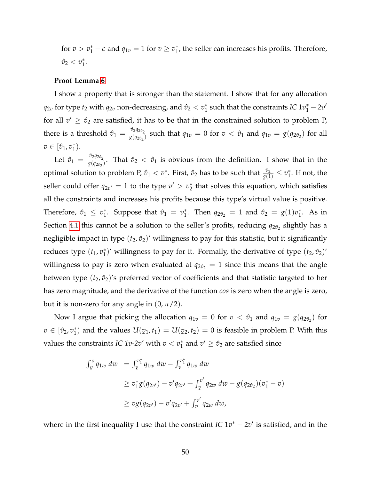for  $v > v_1^* - \epsilon$  and  $q_{1v} = 1$  for  $v \ge v_1^*$  $_{1}^{*}$ , the seller can increases his profits. Therefore,  $\hat{v}_2 < v_1^*$  $\frac{*}{1}$ .

#### **Proof Lemma [6](#page-26-1)**

I show a property that is stronger than the statement. I show that for any allocation  $q_{2v}$  for type  $t_2$  with  $q_{2v}$  non-decreasing, and  $\hat{v}_2 < v_1^*$  $\frac{1}{1}$  such that the constraints *IC*  $1v_1^* - 2v'$ for all  $v' \geq \hat{v}_2$  are satisfied, it has to be that in the constrained solution to problem P, there is a threshold  $\hat{v}_1 = \frac{\hat{v}_2 q_{2\hat{v}_2}}{g(q_{2\hat{v}_1})}$  $\frac{v_{2}q_{2}v_{2}}{g(q_{2}\hat{v}_{2})}$  such that  $q_{1v} = 0$  for  $v < \hat{v}_{1}$  and  $q_{1v} = g(q_{2}\hat{v}_{2})$  for all  $v \in [\hat{v}_1, v_1^*]$  $_{1}^{*}$ ).

Let  $\hat{v}_1 = \frac{\hat{v}_2 q_{2\hat{v}_2}}{g(q_{2\hat{v}_2})}$  $\frac{\partial^2 \mathcal{Y}(\mathcal{Y}(\mathcal{Y}))}{\partial g(q_{2\hat{v}_2})}$ . That  $\hat{v}_2 < \hat{v}_1$  is obvious from the definition. I show that in the optimal solution to problem P,  $\hat{v}_1 < v_1^*$  $_1^\ast$ . First*,*  $\hat{v}_2$  *has to be such that*  $\frac{\hat{v}_2}{g(1)} \leq v_1^\ast$  $_1^*$ . If not, the seller could offer  $q_{2v'} = 1$  to the type  $v' > v_2^*$  $_2^*$  that solves this equation, which satisfies all the constraints and increases his profits because this type's virtual value is positive. Therefore,  $\hat{v}_1 \leq v_1^*$ <sup>\*</sup><sub>1</sub>. Suppose that  $\hat{v}_1 = v_1^*$ <sup>\*</sup><sub>1</sub>. Then  $q_{2\hat{v}_2} = 1$  and  $\hat{v}_2 = g(1)v_1^*$  $i<sub>1</sub>$ . As in Section [4.1](#page-22-1) this cannot be a solution to the seller's profits, reducing  $q_{2\hat{\sigma}_2}$  slightly has a negligible impact in type  $(t_2, \hat{v}_2)$ ' willingness to pay for this statistic, but it significantly reduces type  $(t_1, v_1^*)$  $_1^*$ )' willingness to pay for it. Formally, the derivative of type  $(t_2, \hat{v}_2)'$ willingness to pay is zero when evaluated at  $q_{2\hat{v}_2} = 1$  since this means that the angle between type  $(t_2, \hat{v}_2)$ 's preferred vector of coefficients and that statistic targeted to her has zero magnitude, and the derivative of the function *cos* is zero when the angle is zero, but it is non-zero for any angle in  $(0, \pi/2)$ .

Now I argue that picking the allocation  $q_{1v} = 0$  for  $v < \hat{v}_1$  and  $q_{1v} = g(q_{2\hat{v}_2})$  for  $v \in [\hat{v}_2, v_1^*]$  $\binom{*}{1}$  and the values  $U($  $\n v_1, t_1$  =  $U(v_2, t_2) = 0$  is feasible in problem P. With this values the constraints *IC 1v-2v'* with  $v < v_1^*$  $i_1^*$  and  $v' \geq \hat{v}_2$  are satisfied since

$$
\int_{\varrho}^{\varrho} q_{1w} \, dw = \int_{\varrho}^{\varrho_1^*} q_{1w} \, dw - \int_{\varrho}^{\varrho_1^*} q_{1w} \, dw
$$
\n
$$
\geq v_1^* g(q_{2v'}) - v' q_{2v'} + \int_{\varrho}^{\varrho'} q_{2w} \, dw - g(q_{2\vartheta_2}) (v_1^* - v)
$$
\n
$$
\geq v g(q_{2v'}) - v' q_{2v'} + \int_{\varrho}^{\varrho'} q_{2w} \, dw,
$$

where in the first inequality I use that the constraint *IC*  $1v^* - 2v'$  is satisfied, and in the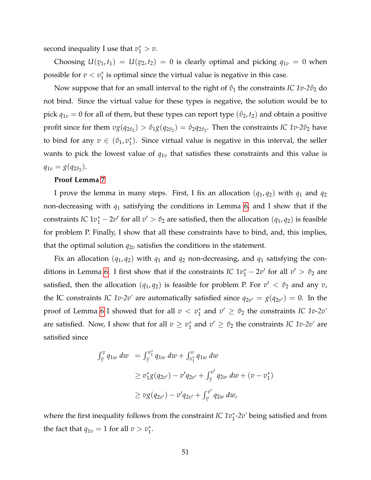second inequality I use that  $v_1^* > v$ .

Choosing *U*(  $\mathbf{v}_1$ ,  $t_1$ ) =  $U(\mathbf{v}_2, t_2)$  = 0 is clearly optimal and picking  $q_{1v}$  = 0 when possible for  $v < v_1^*$  $_1^\ast$  is optimal since the virtual value is negative in this case.

Now suppose that for an small interval to the right of  $\hat{v}_1$  the constraints *IC 1v-2* $\hat{v}_2$  do not bind. Since the virtual value for these types is negative, the solution would be to pick  $q_{1v} = 0$  for all of them, but these types can report type  $(\hat{v}_2, t_2)$  and obtain a positive profit since for them  $vg(q_{2\hat{\sigma}_2}) > \hat{v}_1 g(q_{2\hat{\sigma}_2}) = \hat{v}_2 q_{2\hat{\sigma}_2}$ . Then the constraints *IC 1v-2* $\hat{v}_2$  have to bind for any  $v \in (\hat{v}_1, v_1^*)$  $_{1}^{*}$ ). Since virtual value is negative in this interval, the seller wants to pick the lowest value of  $q_{1v}$  that satisfies these constraints and this value is  $q_{1v} = g(q_{2v_2}).$ 

#### **Proof Lemma [7](#page-26-2)**

I prove the lemma in many steps. First, I fix an allocation  $(q_1, q_2)$  with  $q_1$  and  $q_2$ non-decreasing with *q*<sup>1</sup> satisfying the conditions in Lemma [6,](#page-26-1) and I show that if the constraints *IC*  $1v_1^* - 2v'$  for all  $v' > \hat{v}_2$  are satisfied, then the allocation  $(q_1, q_2)$  is feasible for problem P. Finally, I show that all these constraints have to bind, and, this implies, that the optimal solution  $q_{2v}$  satisfies the conditions in the statement.

Fix an allocation  $(q_1, q_2)$  with  $q_1$  and  $q_2$  non-decreasing, and  $q_1$  satisfying the con-ditions in Lemma [6.](#page-26-1) I first show that if the constraints *IC*  $1v_1^* - 2v'$  for all  $v' > \hat{v}_2$  are satisfied, then the allocation  $(q_1, q_2)$  is feasible for problem P. For  $v' < \hat{v}_2$  and any  $v$ , the IC constraints *IC 1v-2v'* are automatically satisfied since  $q_{2v'} = g(q_{2v'}) = 0$ . In the proof of Lemma [6](#page-26-1) I showed that for all  $v < v_1^*$  $\hat{v}_1^*$  and  $v' \geq \hat{v}_2$  the constraints *IC 1v-2v'* are satisfied. Now, I show that for all  $v \geq v_1^*$  $\hat{v}_1^*$  and  $v' \geq \hat{v}_2$  the constraints *IC 1v-2v'* are satisfied since

$$
\int_{\underline{v}}^{\underline{v}} q_{1w} dw = \int_{\underline{v}}^{\underline{v}_1^*} q_{1w} dw + \int_{\underline{v}_1^*}^{\underline{v}} q_{1w} dw
$$
\n
$$
\geq v_1^* g(q_{2v'}) - v' q_{2v'} + \int_{\underline{v}}^{\underline{v}'} q_{2w} dw + (v - v_1^*)
$$
\n
$$
\geq v g(q_{2v'}) - v' q_{2v'} + \int_{\underline{v}}^{\underline{v}'} q_{2w} dw,
$$

where the first inequality follows from the constraint *IC 1v*<sup>\*</sup><sub>1</sub>-2*v'* being satisfied and from the fact that  $q_{1v} = 1$  for all  $v > v_1^*$  $\frac{1}{1}$ .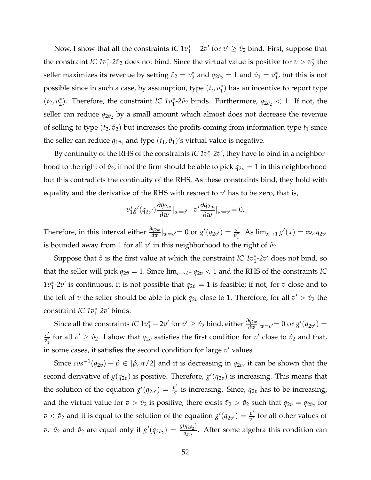Now, I show that all the constraints *IC*  $1v_1^* - 2v'$  for  $v' \geq \hat{v}_2$  bind. First, suppose that the constraint *IC*  $1v_1^*$ -2 $\hat{v}_2$  does not bind. Since the virtual value is positive for  $v > v_2^*$  $_2^*$  the seller maximizes its revenue by setting  $\hat{v}_2 = v_2^*$  $\hat{p}_2^*$  and  $q_{2\hat{v}_2} = 1$  and  $\hat{v}_1 = v_1^*$  $_1^*$ , but this is not possible since in such a case, by assumption, type  $(t_i, v_1^*)$  $_1^*$ ) has an incentive to report type  $(t_2, v_2^*)$ <sup>\*</sup><sub>2</sub>). Therefore, the constraint *IC*  $1v_1^*$ -2 $\hat{v}_2$  binds. Furthermore,  $q_{2\hat{v}_2} < 1$ . If not, the seller can reduce  $q_{2\hat{\sigma}_2}$  by a small amount which almost does not decrease the revenue of selling to type  $(t_2, \hat{v}_2)$  but increases the profits coming from information type  $t_1$  since the seller can reduce  $q_{1\hat{v}_1}$  and type  $(t_1, \hat{v}_1)'$ s virtual value is negative.

By continuity of the RHS of the constraints *IC 1v*<sup>\*</sup><sub>1</sub>-2*v'*, they have to bind in a neighborhood to the right of  $\hat{v}_2$ ; if not the firm should be able to pick  $q_{2v} = 1$  in this neighborhood but this contradicts the continuity of the RHS. As these constraints bind, they hold with equality and the derivative of the RHS with respect to  $v'$  has to be zero, that is,

$$
v_1^*g'(q_{2v'})\frac{\partial q_{2w}}{\partial w}|_{w=v'}-v'\frac{\partial q_{2w}}{\partial w}|_{w=v'}=0.
$$

Therefore, in this interval either  $\frac{\partial q_{2w}}{\partial w}|_{w=v'}=0$  or  $g'(q_{2v'})=\frac{v'}{v_1^*}$  $\frac{v'}{v_1^*}$ . As  $\lim_{x\to 1} g'(x) = \infty$ ,  $q_{2v'}$ is bounded away from 1 for all  $v'$  in this neighborhood to the right of  $\hat{v}_2$ .

Suppose that  $\mathring{v}$  is the first value at which the constraint *IC*  $1v_1^*$ -2v' does not bind, so that the seller will pick  $q_{2\hat{v}} = 1$ . Since  $\lim_{v \to \hat{v}^-} q_{2v} < 1$  and the RHS of the constraints *IC*  $1v_1^*$ -2*v'* is continuous, it is not possible that  $q_{2\hat{v}} = 1$  is feasible; if not, for *v* close and to the left of  $\mathring{v}$  the seller should be able to pick  $q_{2v}$  close to 1. Therefore, for all  $v' > \mathring{v}_2$  the constraint *IC 1v*<sup>∗</sup> 1 *-2v'* binds.

Since all the constraints *IC*  $1v_1^* - 2v'$  for  $v' \ge \hat{v}_2$  bind, either  $\frac{\partial q_{2w}}{\partial w}|_{w=v'} = 0$  or  $g'(q_{2v'}) = 0$  $v'$  $\frac{v'}{v_1^*}$  for all  $v' \ge \hat{v}_2$ . I show that  $q_{2v}$  satisfies the first condition for  $v'$  close to  $\hat{v}_2$  and that, in some cases, it satisfies the second condition for large  $v'$  values.

Since  $cos^{-1}(q_{2v}) + \beta \in [\beta, \pi/2]$  and it is decreasing in  $q_{2v}$ , it can be shown that the second derivative of  $g(q_{2v})$  is positive. Therefore,  $g'(q_{2v})$  is increasing. This means that the solution of the equation  $g'(q_{2v'}) = \frac{v'}{v_1^*}$  $\frac{v}{v_1^*}$  is increasing. Since,  $q_{2v}$  has to be increasing, and the virtual value for  $v > \hat{v}_2$  is positive, there exists  $\tilde{v}_2 > \hat{v}_2$  such that  $q_{2v} = q_{2\hat{v}_2}$  for  $v < \tilde{v}_2$  and it is equal to the solution of the equation  $g'(q_{2v'}) = \frac{v'}{v_1^*}$  $\frac{v}{v_1^*}$  for all other values of *v*.  $\tilde{v}_2$  and  $\hat{v}_2$  are equal only if  $g'(q_{2\hat{v}_2}) = \frac{g(q_{2\hat{v}_2})}{q_{2\hat{v}_2}}$  $\frac{\sqrt{q_2q_2}}{q_2q_2}$ . After some algebra this condition can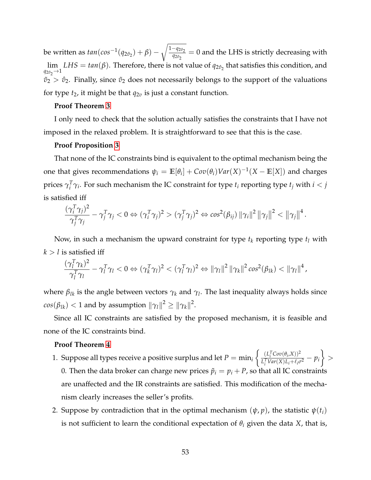be written as  $tan(cos^{-1}(q_{2\hat{v}_2}) + \beta)$ r <sup>1</sup>−*q*2*v*ˆ2  $\frac{q_{2v_2}}{q_{2v_2}} = 0$  and the LHS is strictly decreasing with lim  $q_{2\hat{v}_2} \rightarrow 1$  $LHS = \tan(\beta)$ . Therefore, there is not value of  $q_{2\hat{\sigma}_2}$  that satisfies this condition, and  $\tilde{v}_2 > \hat{v}_2$ . Finally, since  $\tilde{v}_2$  does not necessarily belongs to the support of the valuations for type  $t_2$ , it might be that  $q_{2v}$  is just a constant function.

#### **Proof Theorem [3](#page-27-0)**

I only need to check that the solution actually satisfies the constraints that I have not imposed in the relaxed problem. It is straightforward to see that this is the case.

#### **Proof Proposition [3](#page-29-0)**

That none of the IC constraints bind is equivalent to the optimal mechanism being the one that gives recommendations  $\psi_i = \mathbb{E}[\theta_i] + Cov(\theta_i)Var(X)^{-1}(X - \mathbb{E}[X])$  and charges prices  $\gamma^T_i$ *i*<sup>*T</sup>* $\gamma$ *i*. For such mechanism the IC constraint for type *t<sub>i</sub>* reporting type *t<sub>j</sub>* with *i* < *j*</sup> is satisfied iff

$$
\frac{(\gamma_i^T \gamma_j)^2}{\gamma_j^T \gamma_j} - \gamma_j^T \gamma_j < 0 \Leftrightarrow (\gamma_i^T \gamma_j)^2 > (\gamma_j^T \gamma_j)^2 \Leftrightarrow \cos^2(\beta_{ij}) \|\gamma_i\|^2 \|\gamma_j\|^2 < \|\gamma_j\|^4.
$$

Now, in such a mechanism the upward constraint for type  $t_k$  reporting type  $t_l$  with  $k > l$  is satisfied iff

$$
\frac{(\gamma_l^T \gamma_k)^2}{\gamma_l^T \gamma_l} - \gamma_l^T \gamma_l < 0 \Leftrightarrow (\gamma_k^T \gamma_l)^2 < (\gamma_l^T \gamma_l)^2 \Leftrightarrow ||\gamma_l||^2 ||\gamma_k||^2 \cos^2(\beta_{lk}) < ||\gamma_l||^4,
$$

where *βlk* is the angle between vectors *γ<sup>k</sup>* and *γ<sup>l</sup>* . The last inequality always holds since  $cos(\beta_{lk}) < 1$  and by assumption  $\|\gamma_l\|^2 \geq \|\gamma_k\|^2.$ 

Since all IC constraints are satisfied by the proposed mechanism, it is feasible and none of the IC constraints bind.

#### **Proof Theorem [4](#page-33-0)**

- 1. Suppose all types receive a positive surplus and let  $P = \min_i \left\{ \frac{(L_i^T Cov(\theta_i, X))^2}{L_i^T Var(X) L_i + l_i \phi(\theta_i, X)} \right\}$  $\left\{\frac{L_i^T Cov(\theta_i, X))^2}{L_i^T Var(X)L_i + \ell_i \sigma^2} - p_i \right\} >$ 0. Then the data broker can charge new prices  $\tilde{p}_i = p_i + P$ , so that all IC constraints are unaffected and the IR constraints are satisfied. This modification of the mechanism clearly increases the seller's profits.
- 2. Suppose by contradiction that in the optimal mechanism  $(\psi, p)$ , the statistic  $\psi(t_i)$ is not sufficient to learn the conditional expectation of  $\theta_i$  given the data *X*, that is,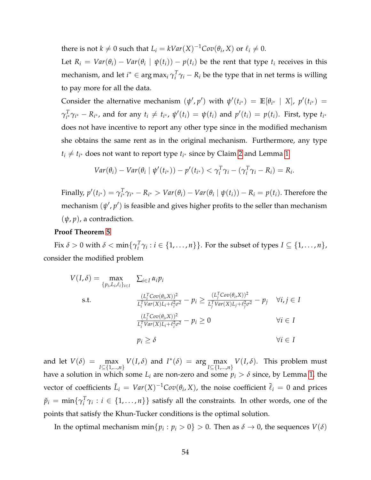there is not  $k \neq 0$  such that  $L_i = kVar(X)^{-1}Cov(\theta_i, X)$  or  $\ell_i \neq 0$ .

Let  $R_i = Var(\theta_i) - Var(\theta_i \mid \psi(t_i)) - p(t_i)$  be the rent that type  $t_i$  receives in this  $\mathbf{mechanism,}$  and let  $i^* ∈ \arg\max_i \gamma_i^T$  $\int_i^T \gamma_i - R_i$  be the type that in net terms is willing to pay more for all the data.

Consider the alternative mechanism  $(\psi', p')$  with  $\psi'(t_{i^*}) = \mathbb{E}[\theta_{i^*} \mid X]$ ,  $p'(t_{i^*}) =$  $\gamma_{i^*}^T$  ${}_{i^*}^T \gamma_{i^*} - R_{i^*}$ , and for any  $t_i \neq t_{i^*}$ ,  $\psi'(t_i) = \psi(t_i)$  and  $p'(t_i) = p(t_i)$ . First, type  $t_{i^*}$ does not have incentive to report any other type since in the modified mechanism she obtains the same rent as in the original mechanism. Furthermore, any type  $t_i \neq t_{i^*}$  does not want to report type  $t_{i^*}$  since by Claim [2](#page-12-1) and Lemma [1](#page-14-0)

$$
Var(\theta_i) - Var(\theta_i \mid \psi'(t_{i^*})) - p'(t_{i^*}) < \gamma_i^T \gamma_i - (\gamma_i^T \gamma_i - R_i) = R_i.
$$

Finally,  $p'(t_{i^*}) = \gamma_{i^*}^T$  $Y_{i^*}^T \gamma_{i^*} - R_{i^*} > Var(\theta_i) - Var(\theta_i | \psi(t_i)) - R_i = p(t_i)$ . Therefore the mechanism  $(\psi', p')$  is feasible and gives higher profits to the seller than mechanism  $(\psi, p)$ , a contradiction.

#### **Proof Theorem [5](#page-34-3)**

Fix  $\delta > 0$  with  $\delta < \min\{\gamma_i^T\}$  $\{T_i^T \gamma_i : i \in \{1, \ldots, n\}\}$ . For the subset of types  $I \subseteq \{1, \ldots, n\}$ , consider the modified problem

$$
V(I, \delta) = \max_{\{p_i, L_i, \ell_i\}_{i \in I}} \sum_{i \in I} \alpha_i p_i
$$
  
s.t. 
$$
\frac{(L_i^T Cov(\theta_i, X))^2}{L_i^T Var(X) L_i + \ell_i^2 \sigma^2} - p_i \ge \frac{(L_i^T Cov(\theta_i, X))^2}{L_j^T Var(X) L_j + \ell_j^2 \sigma^2} - p_j \quad \forall i, j \in I
$$

$$
\frac{(L_i^T Cov(\theta_i, X))^2}{L_i^T Var(X) L_i + \ell_i^2 \sigma^2} - p_i \ge 0 \qquad \forall i \in I
$$

$$
p_i \ge \delta \qquad \forall i \in I
$$

and let  $V(\delta) = \max_{I \subseteq \{1,...,n\}} V(I, \delta)$  and  $I^*(\delta) = \arg \max_{I \subseteq \{1,...,n\}} V(I, \delta)$ . This problem must have a solution in which some  $L_i$  are non-zero and some  $p_i > \delta$  since, by Lemma [1,](#page-14-0) the vector of coefficients  $\tilde{L}_i = Var(X)^{-1}Cov(\theta_i, X)$ , the noise coefficient  $\tilde{\ell}_i = 0$  and prices  $\tilde{p}_i \, = \, \min\{\gamma_i^T\}$  $\{T_i^T \gamma_i : i \in \{1, ..., n\}\}$  satisfy all the constraints. In other words, one of the points that satisfy the Khun-Tucker conditions is the optimal solution.

In the optimal mechanism  $\min\{p_i : p_i > 0\} > 0$ . Then as  $\delta \to 0$ , the sequences  $V(\delta)$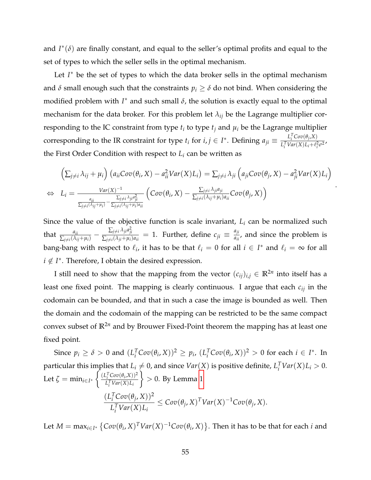and  $I^*(\delta)$  are finally constant, and equal to the seller's optimal profits and equal to the set of types to which the seller sells in the optimal mechanism.

Let *I*<sup>\*</sup> be the set of types to which the data broker sells in the optimal mechanism and  $\delta$  small enough such that the constraints  $p_i \geq \delta$  do not bind. When considering the modified problem with  $I^*$  and such small  $\delta$ , the solution is exactly equal to the optimal mechanism for the data broker. For this problem let  $\lambda_{ij}$  be the Lagrange multiplier corresponding to the IC constraint from type  $t_i$  to type  $t_j$  and  $\mu_i$  be the Lagrange multiplier corresponding to the IR constraint for type  $t_i$  for  $i, j \in I^*$ . Defining  $a_{ji} \equiv \frac{L_i^T Cov(\theta_j, X)}{L_i^T Var(X) L_i + \ell_i^2}$  $L_i^T Var(X) L_i + \ell_i^2 \sigma^2$ the First Order Condition with respect to  $L_i$  can be written as

$$
\left(\sum_{j\neq i}\lambda_{ij} + \mu_i\right)\left(a_{ii}Cov(\theta_i, X) - a_{ii}^2Var(X)L_i\right) = \sum_{j\neq i}\lambda_{ji}\left(a_{ji}Cov(\theta_j, X) - a_{ji}^2Var(X)L_i\right)
$$
  
\n
$$
\Leftrightarrow L_i = \frac{Var(X)^{-1}}{\frac{a_{ii}}{\sum_{j\neq i}\lambda_{ji}a_{ji}^2} \left(Cov(\theta_i, X) - \frac{\sum_{j\neq i}\lambda_{ji}a_{ji}}{\sum_{j\neq i}(\lambda_{ij} + \mu_i)a_{ii}}Cov(\theta_j, X)\right)}.
$$

Since the value of the objective function is scale invariant,  $L_i$  can be normalized such that  $\frac{a_{ii}}{\sum_{j\neq i}(\lambda_{ij}+\mu_i)} - \frac{\sum_{j\neq i}\lambda_{ji}a_{ji}^2}{\sum_{j\neq i}(\lambda_{ji}+\mu_i)}$  $\frac{\sum_{j\neq i}\lambda_{ji}a_{ji}^2}{\sum_{j\neq i}(\lambda_{ji}+\mu_i)a_{ii}}=1$ . Further, define  $c_{ji}\equiv \frac{a_{ji}}{a_{ii}}$  $\frac{a_n}{a_{ii}}$ , and since the problem is bang-bang with respect to  $\ell_i$ , it has to be that  $\ell_i = 0$  for all  $i \in I^*$  and  $\ell_i = \infty$  for all  $i \notin I^*$ . Therefore, I obtain the desired expression.

I still need to show that the mapping from the vector  $(c_{ij})_{i,j} \in \mathbb{R}^{2n}$  into itself has a least one fixed point. The mapping is clearly continuous. I argue that each *cij* in the codomain can be bounded, and that in such a case the image is bounded as well. Then the domain and the codomain of the mapping can be restricted to be the same compact convex subset of **R**2*<sup>n</sup>* and by Brouwer Fixed-Point theorem the mapping has at least one fixed point.

Since  $p_i \ge \delta > 0$  and  $(L_i^T)$  $\int_i^T \mathcal{C}ov(\theta_i, X))^2 \geq p_i$ ,  $(L_i^T)$  $\int_i^T \text{Cov}(\theta_i, X)^2 > 0$  for each  $i \in I^*$ . In particular this implies that  $L_i \neq 0$ , and since  $Var(X)$  is positive definite,  $L_i^T Var(X) L_i > 0$ . Let  $\zeta = \min_{i \in I^*} \left\{ \frac{(L_i^T Cov(\theta_i, X))^2}{L_i^T Var(X) L_i} \right\}$  $L_i^T Var(X) L_i$  $\big\} > 0$ . By Lemma [1](#page-14-0)  $(L_i^T)$ *i Cov*(*θ<sup>j</sup>* , *X*))<sup>2</sup>  $L_i^T Var(X) L_i$  $\leq$   $Cov(\theta_j, X)^T Var(X)^{-1}Cov(\theta_j, X).$ 

Let  $M = \max_{i \in I^*} \left\{ Cov(\theta_i, X)^T Var(X)^{-1}Cov(\theta_i, X) \right\}$ . Then it has to be that for each *i* and